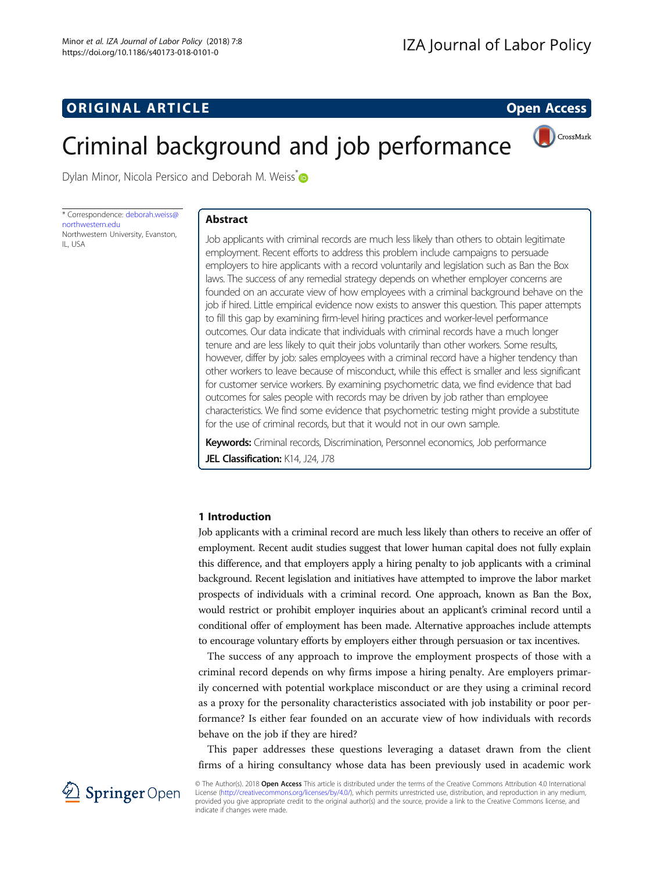# **ORIGINAL ARTICLE CONSERVANCE IN A LOCAL CONSERVANCE IN A LOCAL CONSERVANCE IN A LOCAL CONSERVANCE IN A LOCAL CONSERVANCE IN A LOCAL CONSERVANCE IN A LOCAL CONSERVANCE IN A LOCAL CONSERVANCE IN A LOCAL CONSERVANCE IN A L**

# Criminal background and job performance



Dylan Minor, Nicola Persico and Deborah M. Weiss<sup>\*</sup>

\* Correspondence: [deborah.weiss@](mailto:deborah.weiss@northwestern.edu) [northwestern.edu](mailto:deborah.weiss@northwestern.edu) Northwestern University, Evanston, IL, USA

# Abstract

Job applicants with criminal records are much less likely than others to obtain legitimate employment. Recent efforts to address this problem include campaigns to persuade employers to hire applicants with a record voluntarily and legislation such as Ban the Box laws. The success of any remedial strategy depends on whether employer concerns are founded on an accurate view of how employees with a criminal background behave on the job if hired. Little empirical evidence now exists to answer this question. This paper attempts to fill this gap by examining firm-level hiring practices and worker-level performance outcomes. Our data indicate that individuals with criminal records have a much longer tenure and are less likely to quit their jobs voluntarily than other workers. Some results, however, differ by job: sales employees with a criminal record have a higher tendency than other workers to leave because of misconduct, while this effect is smaller and less significant for customer service workers. By examining psychometric data, we find evidence that bad outcomes for sales people with records may be driven by job rather than employee characteristics. We find some evidence that psychometric testing might provide a substitute for the use of criminal records, but that it would not in our own sample.

Keywords: Criminal records, Discrimination, Personnel economics, Job performance

JEL Classification: K14, J24, J78

# 1 Introduction

Job applicants with a criminal record are much less likely than others to receive an offer of employment. Recent audit studies suggest that lower human capital does not fully explain this difference, and that employers apply a hiring penalty to job applicants with a criminal background. Recent legislation and initiatives have attempted to improve the labor market prospects of individuals with a criminal record. One approach, known as Ban the Box, would restrict or prohibit employer inquiries about an applicant's criminal record until a conditional offer of employment has been made. Alternative approaches include attempts to encourage voluntary efforts by employers either through persuasion or tax incentives.

The success of any approach to improve the employment prospects of those with a criminal record depends on why firms impose a hiring penalty. Are employers primarily concerned with potential workplace misconduct or are they using a criminal record as a proxy for the personality characteristics associated with job instability or poor performance? Is either fear founded on an accurate view of how individuals with records behave on the job if they are hired?

This paper addresses these questions leveraging a dataset drawn from the client firms of a hiring consultancy whose data has been previously used in academic work



© The Author(s). 2018 Open Access This article is distributed under the terms of the Creative Commons Attribution 4.0 International License [\(http://creativecommons.org/licenses/by/4.0/](http://creativecommons.org/licenses/by/4.0/)), which permits unrestricted use, distribution, and reproduction in any medium, provided you give appropriate credit to the original author(s) and the source, provide a link to the Creative Commons license, and indicate if changes were made.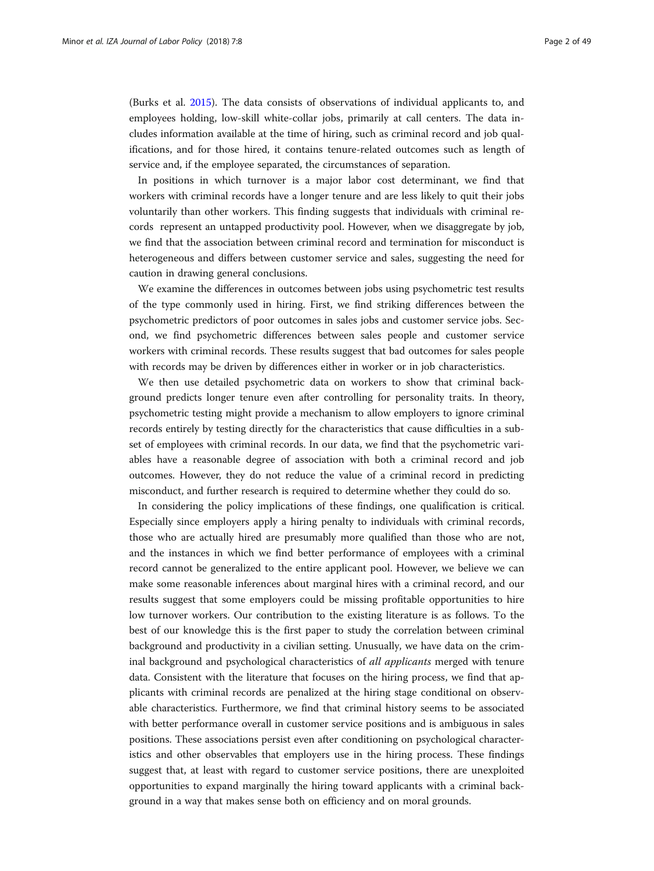(Burks et al. [2015\)](#page-47-0). The data consists of observations of individual applicants to, and employees holding, low-skill white-collar jobs, primarily at call centers. The data includes information available at the time of hiring, such as criminal record and job qualifications, and for those hired, it contains tenure-related outcomes such as length of service and, if the employee separated, the circumstances of separation.

In positions in which turnover is a major labor cost determinant, we find that workers with criminal records have a longer tenure and are less likely to quit their jobs voluntarily than other workers. This finding suggests that individuals with criminal records represent an untapped productivity pool. However, when we disaggregate by job, we find that the association between criminal record and termination for misconduct is heterogeneous and differs between customer service and sales, suggesting the need for caution in drawing general conclusions.

We examine the differences in outcomes between jobs using psychometric test results of the type commonly used in hiring. First, we find striking differences between the psychometric predictors of poor outcomes in sales jobs and customer service jobs. Second, we find psychometric differences between sales people and customer service workers with criminal records. These results suggest that bad outcomes for sales people with records may be driven by differences either in worker or in job characteristics.

We then use detailed psychometric data on workers to show that criminal background predicts longer tenure even after controlling for personality traits. In theory, psychometric testing might provide a mechanism to allow employers to ignore criminal records entirely by testing directly for the characteristics that cause difficulties in a subset of employees with criminal records. In our data, we find that the psychometric variables have a reasonable degree of association with both a criminal record and job outcomes. However, they do not reduce the value of a criminal record in predicting misconduct, and further research is required to determine whether they could do so.

In considering the policy implications of these findings, one qualification is critical. Especially since employers apply a hiring penalty to individuals with criminal records, those who are actually hired are presumably more qualified than those who are not, and the instances in which we find better performance of employees with a criminal record cannot be generalized to the entire applicant pool. However, we believe we can make some reasonable inferences about marginal hires with a criminal record, and our results suggest that some employers could be missing profitable opportunities to hire low turnover workers. Our contribution to the existing literature is as follows. To the best of our knowledge this is the first paper to study the correlation between criminal background and productivity in a civilian setting. Unusually, we have data on the criminal background and psychological characteristics of all applicants merged with tenure data. Consistent with the literature that focuses on the hiring process, we find that applicants with criminal records are penalized at the hiring stage conditional on observable characteristics. Furthermore, we find that criminal history seems to be associated with better performance overall in customer service positions and is ambiguous in sales positions. These associations persist even after conditioning on psychological characteristics and other observables that employers use in the hiring process. These findings suggest that, at least with regard to customer service positions, there are unexploited opportunities to expand marginally the hiring toward applicants with a criminal background in a way that makes sense both on efficiency and on moral grounds.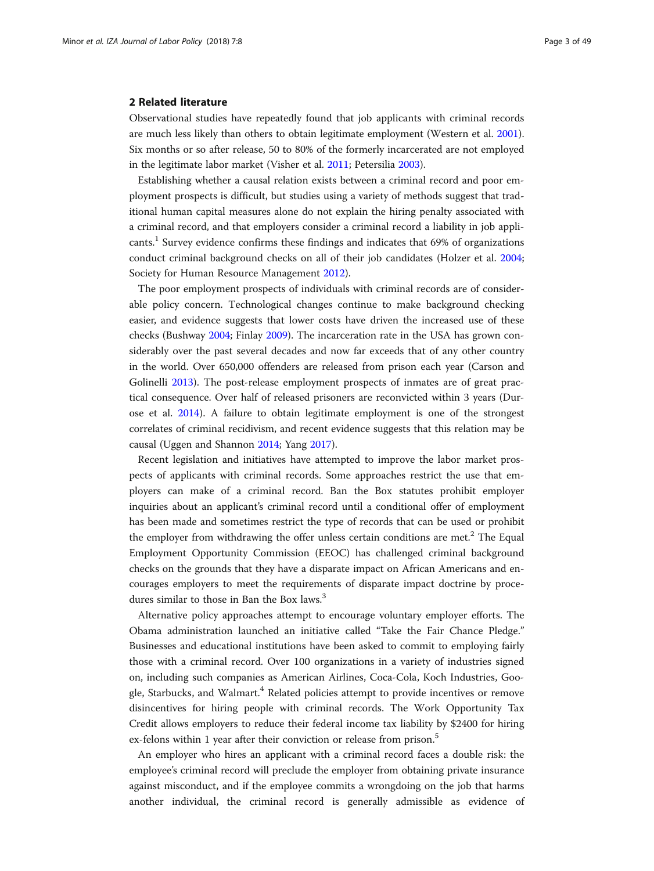# <span id="page-2-0"></span>2 Related literature

Observational studies have repeatedly found that job applicants with criminal records are much less likely than others to obtain legitimate employment (Western et al. [2001](#page-48-0)). Six months or so after release, 50 to 80% of the formerly incarcerated are not employed in the legitimate labor market (Visher et al. [2011;](#page-48-0) Petersilia [2003\)](#page-48-0).

Establishing whether a causal relation exists between a criminal record and poor employment prospects is difficult, but studies using a variety of methods suggest that traditional human capital measures alone do not explain the hiring penalty associated with a criminal record, and that employers consider a criminal record a liability in job applicants.<sup>1</sup> Survey evidence confirms these findings and indicates that 69% of organizations conduct criminal background checks on all of their job candidates (Holzer et al. [2004](#page-48-0); Society for Human Resource Management [2012](#page-48-0)).

The poor employment prospects of individuals with criminal records are of considerable policy concern. Technological changes continue to make background checking easier, and evidence suggests that lower costs have driven the increased use of these checks (Bushway [2004;](#page-47-0) Finlay [2009\)](#page-48-0). The incarceration rate in the USA has grown considerably over the past several decades and now far exceeds that of any other country in the world. Over 650,000 offenders are released from prison each year (Carson and Golinelli [2013](#page-47-0)). The post-release employment prospects of inmates are of great practical consequence. Over half of released prisoners are reconvicted within 3 years (Durose et al. [2014\)](#page-48-0). A failure to obtain legitimate employment is one of the strongest correlates of criminal recidivism, and recent evidence suggests that this relation may be causal (Uggen and Shannon [2014](#page-48-0); Yang [2017](#page-48-0)).

Recent legislation and initiatives have attempted to improve the labor market prospects of applicants with criminal records. Some approaches restrict the use that employers can make of a criminal record. Ban the Box statutes prohibit employer inquiries about an applicant's criminal record until a conditional offer of employment has been made and sometimes restrict the type of records that can be used or prohibit the employer from withdrawing the offer unless certain conditions are met. $2$  The Equal Employment Opportunity Commission (EEOC) has challenged criminal background checks on the grounds that they have a disparate impact on African Americans and encourages employers to meet the requirements of disparate impact doctrine by procedures similar to those in Ban the Box laws.<sup>3</sup>

Alternative policy approaches attempt to encourage voluntary employer efforts. The Obama administration launched an initiative called "Take the Fair Chance Pledge." Businesses and educational institutions have been asked to commit to employing fairly those with a criminal record. Over 100 organizations in a variety of industries signed on, including such companies as American Airlines, Coca-Cola, Koch Industries, Google, Starbucks, and Walmart.<sup>4</sup> Related policies attempt to provide incentives or remove disincentives for hiring people with criminal records. The Work Opportunity Tax Credit allows employers to reduce their federal income tax liability by \$2400 for hiring ex-felons within 1 year after their conviction or release from prison.<sup>5</sup>

An employer who hires an applicant with a criminal record faces a double risk: the employee's criminal record will preclude the employer from obtaining private insurance against misconduct, and if the employee commits a wrongdoing on the job that harms another individual, the criminal record is generally admissible as evidence of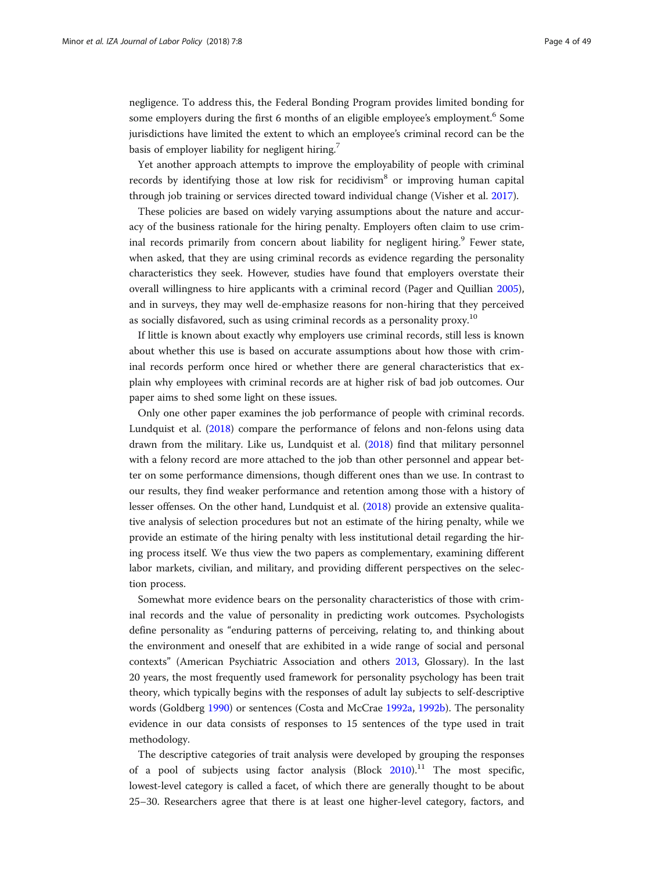negligence. To address this, the Federal Bonding Program provides limited bonding for some employers during the first 6 months of an eligible employee's employment.<sup>6</sup> Some jurisdictions have limited the extent to which an employee's criminal record can be the basis of employer liability for negligent hiring.<sup>7</sup>

Yet another approach attempts to improve the employability of people with criminal records by identifying those at low risk for recidivism<sup>8</sup> or improving human capital through job training or services directed toward individual change (Visher et al. [2017](#page-48-0)).

These policies are based on widely varying assumptions about the nature and accuracy of the business rationale for the hiring penalty. Employers often claim to use criminal records primarily from concern about liability for negligent hiring.<sup>9</sup> Fewer state, when asked, that they are using criminal records as evidence regarding the personality characteristics they seek. However, studies have found that employers overstate their overall willingness to hire applicants with a criminal record (Pager and Quillian [2005](#page-48-0)), and in surveys, they may well de-emphasize reasons for non-hiring that they perceived as socially disfavored, such as using criminal records as a personality proxy.<sup>10</sup>

If little is known about exactly why employers use criminal records, still less is known about whether this use is based on accurate assumptions about how those with criminal records perform once hired or whether there are general characteristics that explain why employees with criminal records are at higher risk of bad job outcomes. Our paper aims to shed some light on these issues.

Only one other paper examines the job performance of people with criminal records. Lundquist et al. [\(2018](#page-48-0)) compare the performance of felons and non-felons using data drawn from the military. Like us, Lundquist et al. [\(2018](#page-48-0)) find that military personnel with a felony record are more attached to the job than other personnel and appear better on some performance dimensions, though different ones than we use. In contrast to our results, they find weaker performance and retention among those with a history of lesser offenses. On the other hand, Lundquist et al. ([2018](#page-48-0)) provide an extensive qualitative analysis of selection procedures but not an estimate of the hiring penalty, while we provide an estimate of the hiring penalty with less institutional detail regarding the hiring process itself. We thus view the two papers as complementary, examining different labor markets, civilian, and military, and providing different perspectives on the selection process.

Somewhat more evidence bears on the personality characteristics of those with criminal records and the value of personality in predicting work outcomes. Psychologists define personality as "enduring patterns of perceiving, relating to, and thinking about the environment and oneself that are exhibited in a wide range of social and personal contexts" (American Psychiatric Association and others [2013,](#page-47-0) Glossary). In the last 20 years, the most frequently used framework for personality psychology has been trait theory, which typically begins with the responses of adult lay subjects to self-descriptive words (Goldberg [1990\)](#page-48-0) or sentences (Costa and McCrae [1992a,](#page-48-0) [1992b\)](#page-48-0). The personality evidence in our data consists of responses to 15 sentences of the type used in trait methodology.

The descriptive categories of trait analysis were developed by grouping the responses of a pool of subjects using factor analysis (Block  $2010$ ).<sup>11</sup> The most specific, lowest-level category is called a facet, of which there are generally thought to be about 25–30. Researchers agree that there is at least one higher-level category, factors, and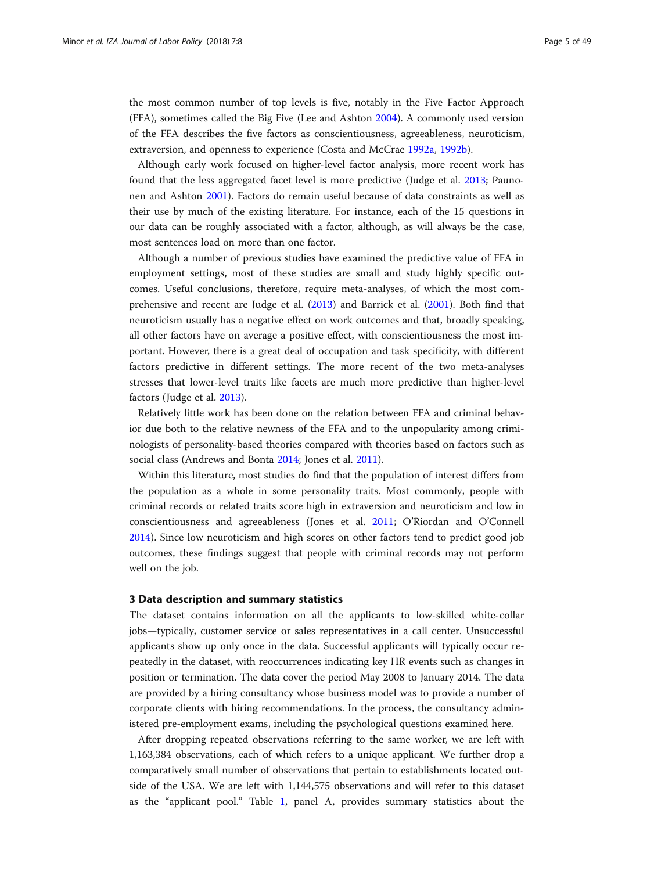the most common number of top levels is five, notably in the Five Factor Approach (FFA), sometimes called the Big Five (Lee and Ashton [2004\)](#page-48-0). A commonly used version of the FFA describes the five factors as conscientiousness, agreeableness, neuroticism, extraversion, and openness to experience (Costa and McCrae [1992a,](#page-48-0) [1992b\)](#page-48-0).

Although early work focused on higher-level factor analysis, more recent work has found that the less aggregated facet level is more predictive (Judge et al. [2013;](#page-48-0) Paunonen and Ashton [2001\)](#page-48-0). Factors do remain useful because of data constraints as well as their use by much of the existing literature. For instance, each of the 15 questions in our data can be roughly associated with a factor, although, as will always be the case, most sentences load on more than one factor.

Although a number of previous studies have examined the predictive value of FFA in employment settings, most of these studies are small and study highly specific outcomes. Useful conclusions, therefore, require meta-analyses, of which the most comprehensive and recent are Judge et al. ([2013](#page-48-0)) and Barrick et al. ([2001](#page-47-0)). Both find that neuroticism usually has a negative effect on work outcomes and that, broadly speaking, all other factors have on average a positive effect, with conscientiousness the most important. However, there is a great deal of occupation and task specificity, with different factors predictive in different settings. The more recent of the two meta-analyses stresses that lower-level traits like facets are much more predictive than higher-level factors (Judge et al. [2013\)](#page-48-0).

Relatively little work has been done on the relation between FFA and criminal behavior due both to the relative newness of the FFA and to the unpopularity among criminologists of personality-based theories compared with theories based on factors such as social class (Andrews and Bonta [2014](#page-47-0); Jones et al. [2011](#page-48-0)).

Within this literature, most studies do find that the population of interest differs from the population as a whole in some personality traits. Most commonly, people with criminal records or related traits score high in extraversion and neuroticism and low in conscientiousness and agreeableness (Jones et al. [2011;](#page-48-0) O'Riordan and O'Connell [2014](#page-48-0)). Since low neuroticism and high scores on other factors tend to predict good job outcomes, these findings suggest that people with criminal records may not perform well on the job.

# 3 Data description and summary statistics

The dataset contains information on all the applicants to low-skilled white-collar jobs—typically, customer service or sales representatives in a call center. Unsuccessful applicants show up only once in the data. Successful applicants will typically occur repeatedly in the dataset, with reoccurrences indicating key HR events such as changes in position or termination. The data cover the period May 2008 to January 2014. The data are provided by a hiring consultancy whose business model was to provide a number of corporate clients with hiring recommendations. In the process, the consultancy administered pre-employment exams, including the psychological questions examined here.

After dropping repeated observations referring to the same worker, we are left with 1,163,384 observations, each of which refers to a unique applicant. We further drop a comparatively small number of observations that pertain to establishments located outside of the USA. We are left with 1,144,575 observations and will refer to this dataset as the "applicant pool." Table [1,](#page-5-0) panel A, provides summary statistics about the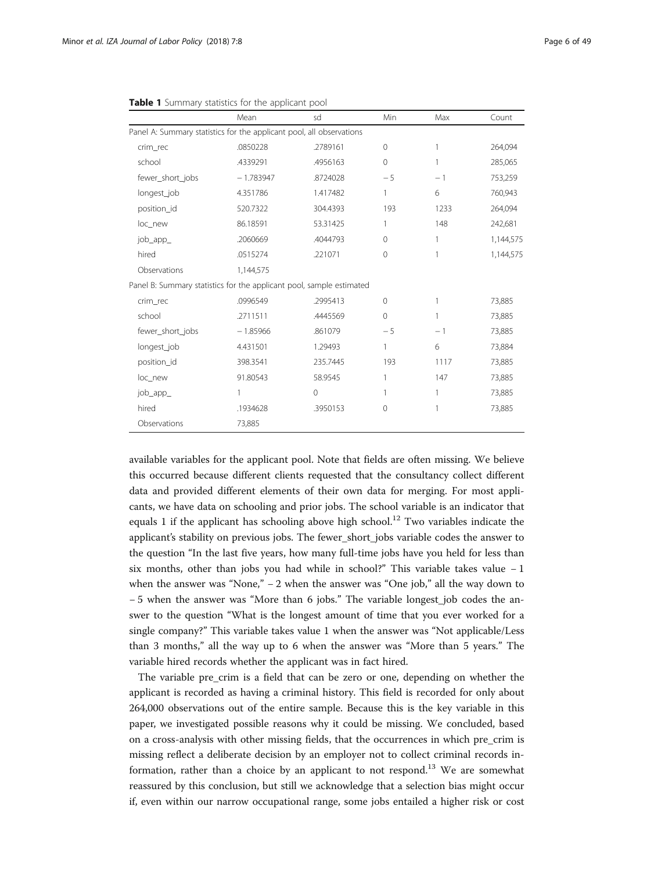|                                                                      | Mean        | sd             | Min          | Max  | Count     |
|----------------------------------------------------------------------|-------------|----------------|--------------|------|-----------|
| Panel A: Summary statistics for the applicant pool, all observations |             |                |              |      |           |
| crim rec                                                             | .0850228    | .2789161       | $\mathbf{0}$ | 1    | 264,094   |
| school                                                               | .4339291    | .4956163       | $\mathbf 0$  | 1    | 285,065   |
| fewer_short_jobs                                                     | $-1.783947$ | .8724028       | $-5$         | $-1$ | 753,259   |
| longest_job                                                          | 4.351786    | 1.417482       | 1            | 6    | 760,943   |
| position_id                                                          | 520.7322    | 304.4393       | 193          | 1233 | 264,094   |
| loc_new                                                              | 86.18591    | 53.31425       | 1            | 148  | 242,681   |
| job_app_                                                             | .2060669    | .4044793       | $\mathbf{0}$ | 1    | 1,144,575 |
| hired                                                                | .0515274    | .221071        | $\mathbf 0$  | 1    | 1,144,575 |
| Observations                                                         | 1,144,575   |                |              |      |           |
| Panel B: Summary statistics for the applicant pool, sample estimated |             |                |              |      |           |
| crim rec                                                             | .0996549    | .2995413       | $\mathbf{0}$ | 1    | 73,885    |
| school                                                               | .2711511    | .4445569       | $\mathbf 0$  | 1    | 73,885    |
| fewer_short_jobs                                                     | $-1.85966$  | .861079        | $-5$         | $-1$ | 73,885    |
| longest_job                                                          | 4.431501    | 1.29493        | 1            | 6    | 73,884    |
| position_id                                                          | 398.3541    | 235.7445       | 193          | 1117 | 73,885    |
| loc_new                                                              | 91.80543    | 58.9545        | 1            | 147  | 73,885    |
| job_app_                                                             | 1           | $\overline{0}$ | 1            | 1    | 73,885    |
| hired                                                                | .1934628    | .3950153       | 0            | 1    | 73,885    |
| Observations                                                         | 73,885      |                |              |      |           |

<span id="page-5-0"></span>Table 1 Summary statistics for the applicant pool

available variables for the applicant pool. Note that fields are often missing. We believe this occurred because different clients requested that the consultancy collect different data and provided different elements of their own data for merging. For most applicants, we have data on schooling and prior jobs. The school variable is an indicator that equals 1 if the applicant has schooling above high school.<sup>12</sup> Two variables indicate the applicant's stability on previous jobs. The fewer\_short\_jobs variable codes the answer to the question "In the last five years, how many full-time jobs have you held for less than six months, other than jobs you had while in school?" This variable takes value − 1 when the answer was "None," − 2 when the answer was "One job," all the way down to − 5 when the answer was "More than 6 jobs." The variable longest\_job codes the answer to the question "What is the longest amount of time that you ever worked for a single company?" This variable takes value 1 when the answer was "Not applicable/Less than 3 months," all the way up to 6 when the answer was "More than 5 years." The variable hired records whether the applicant was in fact hired.

The variable pre\_crim is a field that can be zero or one, depending on whether the applicant is recorded as having a criminal history. This field is recorded for only about 264,000 observations out of the entire sample. Because this is the key variable in this paper, we investigated possible reasons why it could be missing. We concluded, based on a cross-analysis with other missing fields, that the occurrences in which pre\_crim is missing reflect a deliberate decision by an employer not to collect criminal records information, rather than a choice by an applicant to not respond.<sup>13</sup> We are somewhat reassured by this conclusion, but still we acknowledge that a selection bias might occur if, even within our narrow occupational range, some jobs entailed a higher risk or cost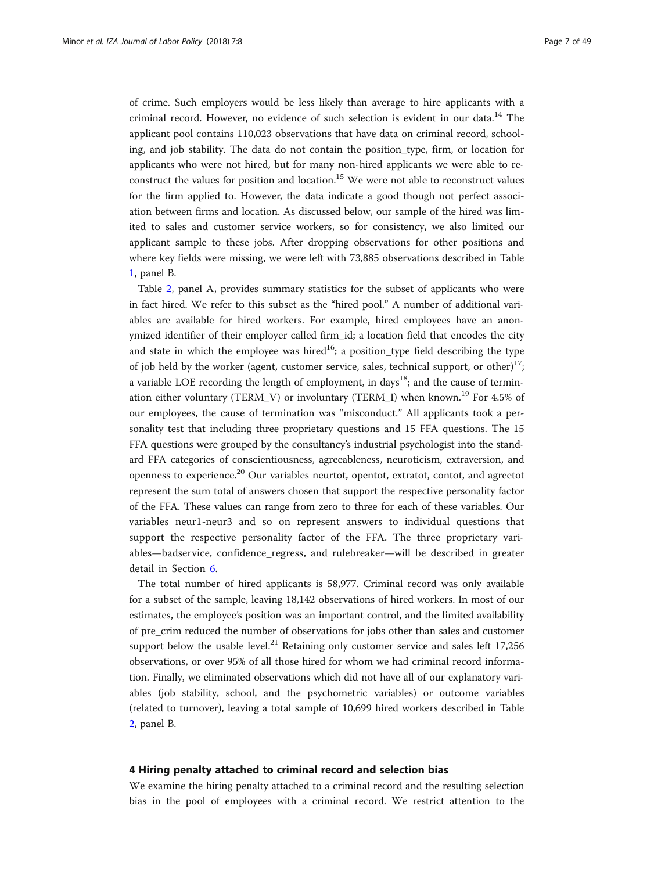of crime. Such employers would be less likely than average to hire applicants with a criminal record. However, no evidence of such selection is evident in our data.<sup>14</sup> The applicant pool contains 110,023 observations that have data on criminal record, schooling, and job stability. The data do not contain the position\_type, firm, or location for applicants who were not hired, but for many non-hired applicants we were able to reconstruct the values for position and location.<sup>15</sup> We were not able to reconstruct values for the firm applied to. However, the data indicate a good though not perfect association between firms and location. As discussed below, our sample of the hired was limited to sales and customer service workers, so for consistency, we also limited our applicant sample to these jobs. After dropping observations for other positions and where key fields were missing, we were left with 73,885 observations described in Table [1,](#page-5-0) panel B.

Table [2](#page-7-0), panel A, provides summary statistics for the subset of applicants who were in fact hired. We refer to this subset as the "hired pool." A number of additional variables are available for hired workers. For example, hired employees have an anonymized identifier of their employer called firm\_id; a location field that encodes the city and state in which the employee was hired<sup>16</sup>; a position\_type field describing the type of job held by the worker (agent, customer service, sales, technical support, or other)<sup>17</sup>; a variable LOE recording the length of employment, in days<sup>18</sup>; and the cause of termination either voluntary (TERM\_V) or involuntary (TERM\_I) when known.<sup>19</sup> For 4.5% of our employees, the cause of termination was "misconduct." All applicants took a personality test that including three proprietary questions and 15 FFA questions. The 15 FFA questions were grouped by the consultancy's industrial psychologist into the standard FFA categories of conscientiousness, agreeableness, neuroticism, extraversion, and openness to experience.20 Our variables neurtot, opentot, extratot, contot, and agreetot represent the sum total of answers chosen that support the respective personality factor of the FFA. These values can range from zero to three for each of these variables. Our variables neur1-neur3 and so on represent answers to individual questions that support the respective personality factor of the FFA. The three proprietary variables—badservice, confidence\_regress, and rulebreaker—will be described in greater detail in Section [6](#page-29-0).

The total number of hired applicants is 58,977. Criminal record was only available for a subset of the sample, leaving 18,142 observations of hired workers. In most of our estimates, the employee's position was an important control, and the limited availability of pre\_crim reduced the number of observations for jobs other than sales and customer support below the usable level.<sup>21</sup> Retaining only customer service and sales left 17,256 observations, or over 95% of all those hired for whom we had criminal record information. Finally, we eliminated observations which did not have all of our explanatory variables (job stability, school, and the psychometric variables) or outcome variables (related to turnover), leaving a total sample of 10,699 hired workers described in Table [2,](#page-7-0) panel B.

# 4 Hiring penalty attached to criminal record and selection bias

We examine the hiring penalty attached to a criminal record and the resulting selection bias in the pool of employees with a criminal record. We restrict attention to the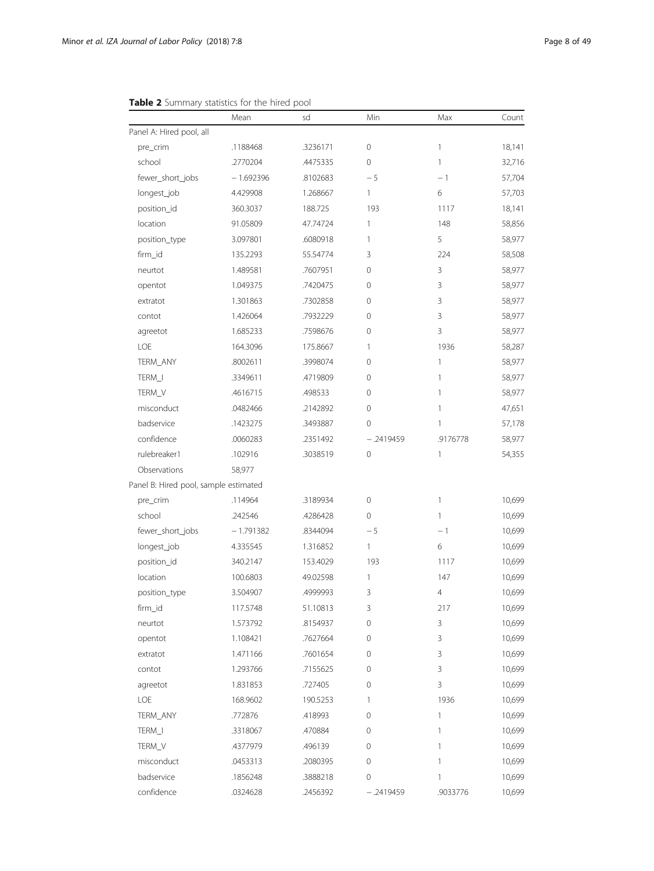<span id="page-7-0"></span>

| Table 2 Summary statistics for the hired pool |             |          |              |              |        |
|-----------------------------------------------|-------------|----------|--------------|--------------|--------|
|                                               | Mean        | sd       | Min          | Max          | Count  |
| Panel A: Hired pool, all                      |             |          |              |              |        |
| pre_crim                                      | .1188468    | .3236171 | 0            | 1            | 18,141 |
| school                                        | .2770204    | .4475335 | 0            | 1            | 32,716 |
| fewer_short_jobs                              | $-1.692396$ | .8102683 | $-5$         | $-1$         | 57,704 |
| longest_job                                   | 4.429908    | 1.268667 | 1            | 6            | 57,703 |
| position_id                                   | 360.3037    | 188.725  | 193          | 1117         | 18,141 |
| location                                      | 91.05809    | 47.74724 | 1            | 148          | 58,856 |
| position_type                                 | 3.097801    | .6080918 | 1            | 5            | 58,977 |
| firm_id                                       | 135.2293    | 55.54774 | 3            | 224          | 58,508 |
| neurtot                                       | 1.489581    | .7607951 | 0            | 3            | 58,977 |
| opentot                                       | 1.049375    | .7420475 | 0            | 3            | 58,977 |
| extratot                                      | 1.301863    | .7302858 | 0            | 3            | 58,977 |
| contot                                        | 1.426064    | .7932229 | $\mathbf{0}$ | 3            | 58,977 |
| agreetot                                      | 1.685233    | .7598676 | 0            | 3            | 58,977 |
| <b>LOE</b>                                    | 164.3096    | 175.8667 | 1            | 1936         | 58,287 |
| TERM_ANY                                      | .8002611    | .3998074 | 0            | 1            | 58,977 |
| TERM I                                        | .3349611    | .4719809 | 0            | 1            | 58,977 |
| TERM V                                        | .4616715    | .498533  | 0            | 1            | 58,977 |
| misconduct                                    | .0482466    | .2142892 | $\mathbf{0}$ | 1            | 47,651 |
| badservice                                    | .1423275    | .3493887 | 0            | 1            | 57,178 |
| confidence                                    | .0060283    | .2351492 | $-.2419459$  | .9176778     | 58,977 |
| rulebreaker1                                  | .102916     | .3038519 | 0            | 1            | 54,355 |
| Observations                                  | 58,977      |          |              |              |        |
| Panel B: Hired pool, sample estimated         |             |          |              |              |        |
| pre_crim                                      | .114964     | .3189934 | $\circ$      | $\mathbf{1}$ | 10,699 |
| school                                        | .242546     | .4286428 | 0            | $\mathbf{1}$ | 10,699 |
| fewer_short_jobs                              | $-1.791382$ | .8344094 | $-5$         | $-1$         | 10,699 |
| longest_job                                   | 4.335545    | 1.316852 | 1            | 6            | 10,699 |
| position_id                                   | 340.2147    | 153.4029 | 193          | 1117         | 10,699 |
| location                                      | 100.6803    | 49.02598 | 1            | 147          | 10,699 |
| position_type                                 | 3.504907    | .4999993 | 3            | 4            | 10,699 |
| firm_id                                       | 117.5748    | 51.10813 | 3            | 217          | 10,699 |
| neurtot                                       | 1.573792    | .8154937 | 0            | 3            | 10,699 |
| opentot                                       | 1.108421    | .7627664 | 0            | 3            | 10,699 |
| extratot                                      | 1.471166    | .7601654 | 0            | 3            | 10,699 |
| contot                                        | 1.293766    | .7155625 | 0            | 3            | 10,699 |
| agreetot                                      | 1.831853    | .727405  | 0            | 3            | 10,699 |
| LOE                                           | 168.9602    | 190.5253 | 1            | 1936         | 10,699 |
| TERM_ANY                                      | .772876     | .418993  | 0            | 1            | 10,699 |
| TERM_I                                        | .3318067    | .470884  | 0            | 1            | 10,699 |
| TERM_V                                        | .4377979    | .496139  | 0            | 1            | 10,699 |
| misconduct                                    | .0453313    | .2080395 | 0            | 1            | 10,699 |
| badservice                                    | .1856248    | .3888218 | $\mathbf 0$  | 1            | 10,699 |
| confidence                                    | .0324628    | .2456392 | $-.2419459$  | .9033776     | 10,699 |
|                                               |             |          |              |              |        |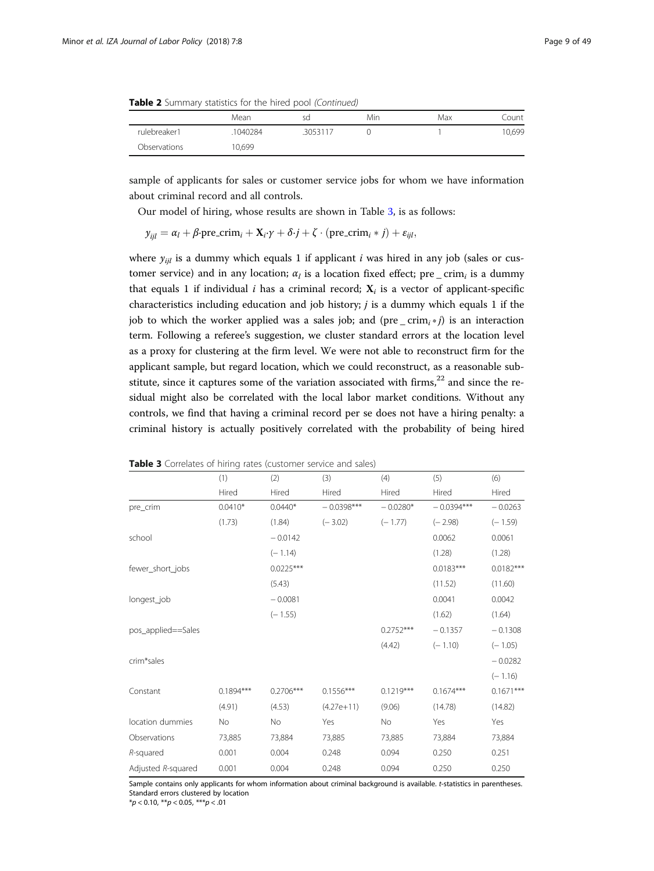<span id="page-8-0"></span>Table 2 Summary statistics for the hired pool (Continued)

|              | Mean    | sd      | Min | Max | Count  |
|--------------|---------|---------|-----|-----|--------|
| rulebreaker1 | 1040284 | 3053117 |     |     | 10,699 |
| Observations | 10.699  |         |     |     |        |

sample of applicants for sales or customer service jobs for whom we have information about criminal record and all controls.

Our model of hiring, whose results are shown in Table 3, is as follows:

 $y_{ijl} = \alpha_l + \beta$ •pre\_crim<sub>i</sub> + **X**<sub>i</sub>⋅ $\gamma$  +  $\delta$ ⋅ $j$  +  $\zeta$  · (pre\_crim<sub>i</sub> \*  $j$ ) +  $\varepsilon_{ijl}$ ,

where  $y_{ijl}$  is a dummy which equals 1 if applicant i was hired in any job (sales or customer service) and in any location;  $a_l$  is a location fixed effect; pre \_ crim<sub>i</sub> is a dummy that equals 1 if individual *i* has a criminal record;  $X_i$  is a vector of applicant-specific characteristics including education and job history;  $j$  is a dummy which equals 1 if the job to which the worker applied was a sales job; and (pre \_ crim<sub>i</sub> \* j) is an interaction term. Following a referee's suggestion, we cluster standard errors at the location level as a proxy for clustering at the firm level. We were not able to reconstruct firm for the applicant sample, but regard location, which we could reconstruct, as a reasonable substitute, since it captures some of the variation associated with firms, $^{22}$  and since the residual might also be correlated with the local labor market conditions. Without any controls, we find that having a criminal record per se does not have a hiring penalty: a criminal history is actually positively correlated with the probability of being hired

|                    | (1)         | (2)         | (3)          | (4)         | (5)          | (6)         |
|--------------------|-------------|-------------|--------------|-------------|--------------|-------------|
|                    | Hired       | Hired       | Hired        | Hired       | Hired        | Hired       |
| pre_crim           | $0.0410*$   | $0.0440*$   | $-0.0398***$ | $-0.0280*$  | $-0.0394***$ | $-0.0263$   |
|                    | (1.73)      | (1.84)      | $(-3.02)$    | $(-1.77)$   | $(-2.98)$    | $(-1.59)$   |
| school             |             | $-0.0142$   |              |             | 0.0062       | 0.0061      |
|                    |             | $(-1.14)$   |              |             | (1.28)       | (1.28)      |
| fewer_short_jobs   |             | $0.0225***$ |              |             | $0.0183***$  | $0.0182***$ |
|                    |             | (5.43)      |              |             | (11.52)      | (11.60)     |
| longest_job        |             | $-0.0081$   |              |             | 0.0041       | 0.0042      |
|                    |             | $(-1.55)$   |              |             | (1.62)       | (1.64)      |
| pos_applied==Sales |             |             |              | $0.2752***$ | $-0.1357$    | $-0.1308$   |
|                    |             |             |              | (4.42)      | $(-1.10)$    | $(-1.05)$   |
| crim*sales         |             |             |              |             |              | $-0.0282$   |
|                    |             |             |              |             |              | $(-1.16)$   |
| Constant           | $0.1894***$ | $0.2706***$ | $0.1556***$  | $0.1219***$ | $0.1674***$  | $0.1671***$ |
|                    | (4.91)      | (4.53)      | $(4.27e+11)$ | (9.06)      | (14.78)      | (14.82)     |
| location dummies   | No          | No          | Yes          | No          | Yes          | Yes         |
| Observations       | 73,885      | 73,884      | 73,885       | 73,885      | 73,884       | 73,884      |
| R-squared          | 0.001       | 0.004       | 0.248        | 0.094       | 0.250        | 0.251       |
| Adjusted R-squared | 0.001       | 0.004       | 0.248        | 0.094       | 0.250        | 0.250       |

Table 3 Correlates of hiring rates (customer service and sales)

Sample contains only applicants for whom information about criminal background is available. t-statistics in parentheses. Standard errors clustered by location

 $*p < 0.10, **p < 0.05, **p < .01$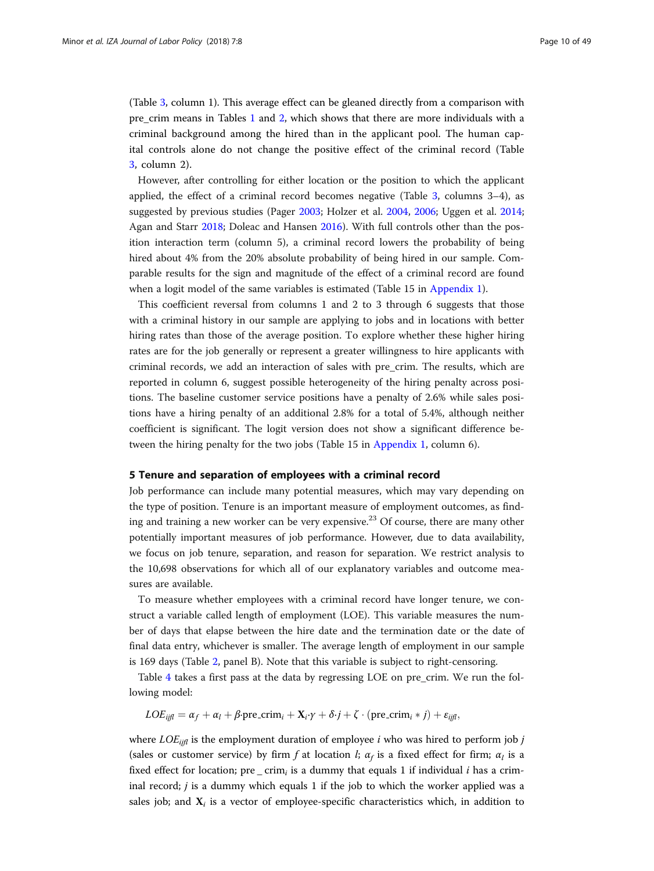(Table [3,](#page-8-0) column 1). This average effect can be gleaned directly from a comparison with pre\_crim means in Tables [1](#page-5-0) and [2](#page-7-0), which shows that there are more individuals with a criminal background among the hired than in the applicant pool. The human capital controls alone do not change the positive effect of the criminal record (Table [3,](#page-8-0) column 2).

However, after controlling for either location or the position to which the applicant applied, the effect of a criminal record becomes negative (Table [3,](#page-8-0) columns 3–4), as suggested by previous studies (Pager [2003](#page-48-0); Holzer et al. [2004,](#page-48-0) [2006](#page-48-0); Uggen et al. [2014](#page-48-0); Agan and Starr [2018](#page-47-0); Doleac and Hansen [2016\)](#page-48-0). With full controls other than the position interaction term (column 5), a criminal record lowers the probability of being hired about 4% from the 20% absolute probability of being hired in our sample. Comparable results for the sign and magnitude of the effect of a criminal record are found when a logit model of the same variables is estimated (Table 15 in [Appendix 1](#page-38-0)).

This coefficient reversal from columns 1 and 2 to 3 through 6 suggests that those with a criminal history in our sample are applying to jobs and in locations with better hiring rates than those of the average position. To explore whether these higher hiring rates are for the job generally or represent a greater willingness to hire applicants with criminal records, we add an interaction of sales with pre\_crim. The results, which are reported in column 6, suggest possible heterogeneity of the hiring penalty across positions. The baseline customer service positions have a penalty of 2.6% while sales positions have a hiring penalty of an additional 2.8% for a total of 5.4%, although neither coefficient is significant. The logit version does not show a significant difference between the hiring penalty for the two jobs (Table 15 in [Appendix 1,](#page-38-0) column 6).

# 5 Tenure and separation of employees with a criminal record

Job performance can include many potential measures, which may vary depending on the type of position. Tenure is an important measure of employment outcomes, as finding and training a new worker can be very expensive.<sup>23</sup> Of course, there are many other potentially important measures of job performance. However, due to data availability, we focus on job tenure, separation, and reason for separation. We restrict analysis to the 10,698 observations for which all of our explanatory variables and outcome measures are available.

To measure whether employees with a criminal record have longer tenure, we construct a variable called length of employment (LOE). This variable measures the number of days that elapse between the hire date and the termination date or the date of final data entry, whichever is smaller. The average length of employment in our sample is 169 days (Table [2,](#page-7-0) panel B). Note that this variable is subject to right-censoring.

Table [4](#page-10-0) takes a first pass at the data by regressing LOE on pre\_crim. We run the following model:

 $LOE_{ij\beta} = \alpha_f + \alpha_l + \beta$ •pre\_crim<sub>i</sub> + **X**<sub>i</sub>⋅ $\gamma$  +  $\delta$ ⋅ $j$  +  $\zeta$  · (pre\_crim<sub>i</sub> \*  $j$ ) +  $\varepsilon_{ij\beta}$ ,

where  $LOE_{ijfl}$  is the employment duration of employee i who was hired to perform job j (sales or customer service) by firm f at location l;  $\alpha_f$  is a fixed effect for firm;  $\alpha_l$  is a fixed effect for location; pre \_ crim<sub>i</sub> is a dummy that equals 1 if individual *i* has a criminal record; j is a dummy which equals 1 if the job to which the worker applied was a sales job; and  $X_i$  is a vector of employee-specific characteristics which, in addition to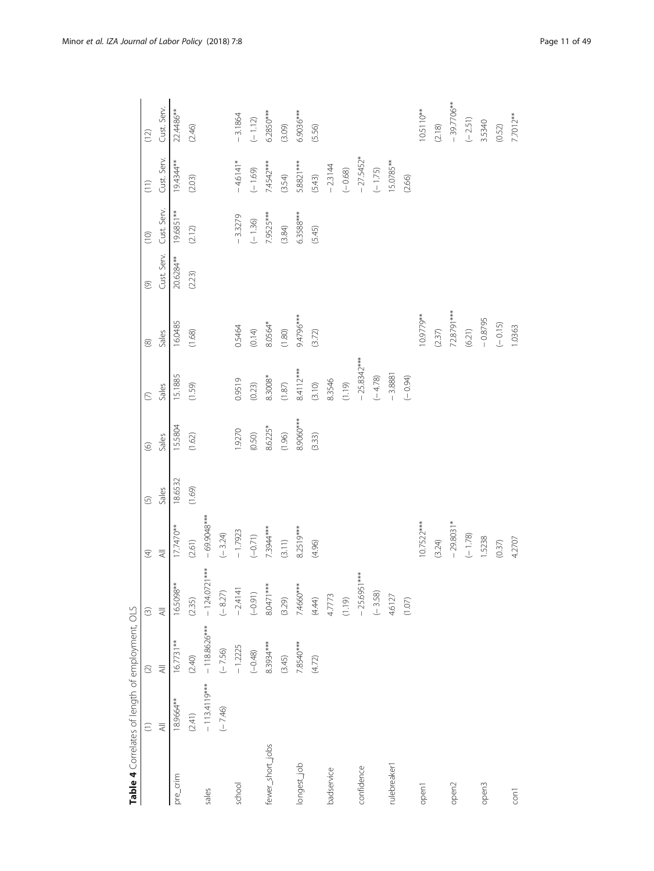<span id="page-10-0"></span>

| Table 4 Correlates of length of employment, OLS |                |                |                           |                           |         |                |               |                |                |                                                     |                |              |
|-------------------------------------------------|----------------|----------------|---------------------------|---------------------------|---------|----------------|---------------|----------------|----------------|-----------------------------------------------------|----------------|--------------|
|                                                 | $\in$          | $\odot$        | $\odot$                   | $\bigoplus$               | $\odot$ | $\circledcirc$ | $\circ$       | $\circledcirc$ | $\circledcirc$ | $\begin{array}{c} \bigcirc \\ \bigcirc \end{array}$ | $\binom{1}{1}$ | $(1 2)$      |
|                                                 | $\equiv$       | $\equiv$       | $\overline{\overline{z}}$ | $\overline{\overline{z}}$ | Salles  | Sales          | Sales         | Sales          | Cust. Serv.    | Cust. Serv.                                         | Cust. Serv.    | Cust. Serv.  |
| pre_crim                                        | 18.9664**      | $16.7731**$    | 16.5098**                 | 17.7470**                 | 18.6532 | 15.5804        | 15.1885       | 16.0485        | 20.6284**      | 19.6851**                                           | 19.4344**      | 22.4486**    |
|                                                 | (2.41)         | (2.40)         | (2.35)                    | (2.61)                    | (1.69)  | (1.62)         | (1.59)        | (1.68)         | (2.23)         | (2.12)                                              | (2.03)         | (2.46)       |
| sales                                           | $-113.4119***$ | $-118.8626***$ | $-124.0721***$            | $-69.9048***$             |         |                |               |                |                |                                                     |                |              |
|                                                 | $(-7.46)$      | $(-7.56)$      | $(-8.27)$                 | $(-3.24)$                 |         |                |               |                |                |                                                     |                |              |
| school                                          |                | $-1.2225$      | $-2.4141$                 | $-1.7923$                 |         | 1.9270         | 0.9519        | 0.5464         |                | $-3.3279$                                           | $-4.6141*$     | $-3.1864$    |
|                                                 |                | $(-0.48)$      | $(-0.91)$                 | $(-0.71)$                 |         | (0.50)         | (0.23)        | (0.14)         |                | $(-1.36)$                                           | $(-1.69)$      | $(-1.12)$    |
| fewer_short_jobs                                |                | 8.3934***      | *** 12508                 | 7.3944***                 |         | 8.6225*        | 8.3008*       | 8.0564*        |                | 7.9525***                                           | 7.4542***      | $6.2850***$  |
|                                                 |                | (3.45)         | (3.29)                    | (3.11)                    |         | (1.96)         | $(1.87)$      | (1.80)         |                | (3.84)                                              | (3.54)         | (3.09)       |
| longest_job                                     |                | 7.8540***      | 7.4660***                 | 3.2519***                 |         | 8.9060***      | 8.4112***     | 9.4796***      |                | 5.3588***                                           | 5.8821 ***     | 6.9036***    |
|                                                 |                | (4.72)         | (4.44)                    | (4.96)                    |         | (3.33)         | (3.10)        | (3.72)         |                | (5.45)                                              | (5.43)         | (5.56)       |
| badservice                                      |                |                | 4.7773                    |                           |         |                | 8.3546        |                |                |                                                     | $-2.3144$      |              |
|                                                 |                |                | (1.19)                    |                           |         |                | (1.19)        |                |                |                                                     | $(-0.68)$      |              |
| confidence                                      |                |                | $-25.6951***$             |                           |         |                | $-25.8342***$ |                |                |                                                     | $-27.5452*$    |              |
|                                                 |                |                | $(-3.58)$                 |                           |         |                | $(-4.78)$     |                |                |                                                     | $(-1.75)$      |              |
| rulebreaker1                                    |                |                | 4.6127                    |                           |         |                | $-3.8881$     |                |                |                                                     | 15.0785**      |              |
|                                                 |                |                | $(1.07)$                  |                           |         |                | $(-0.94)$     |                |                |                                                     | (2.66)         |              |
| open1                                           |                |                |                           | $10.7522***$              |         |                |               | 10.9779**      |                |                                                     |                | $10.5110***$ |
|                                                 |                |                |                           | (3.24)                    |         |                |               | (2.37)         |                |                                                     |                | (2.18)       |
| open2                                           |                |                |                           | $-29.8031*$               |         |                |               | 72.8791***     |                |                                                     |                | $-39.7706**$ |
|                                                 |                |                |                           | $(-1.78)$                 |         |                |               | (6.21)         |                |                                                     |                | $(-2.51)$    |
| open <sub>3</sub>                               |                |                |                           | 1.5238                    |         |                |               | $-0.8795$      |                |                                                     |                | 3.5340       |
|                                                 |                |                |                           | (0.37)                    |         |                |               | $(-0.15)$      |                |                                                     |                | (0.52)       |
| $\overline{1}$                                  |                |                |                           | 4.2707                    |         |                |               | 1.0363         |                |                                                     |                | $7.7012**$   |
|                                                 |                |                |                           |                           |         |                |               |                |                |                                                     |                |              |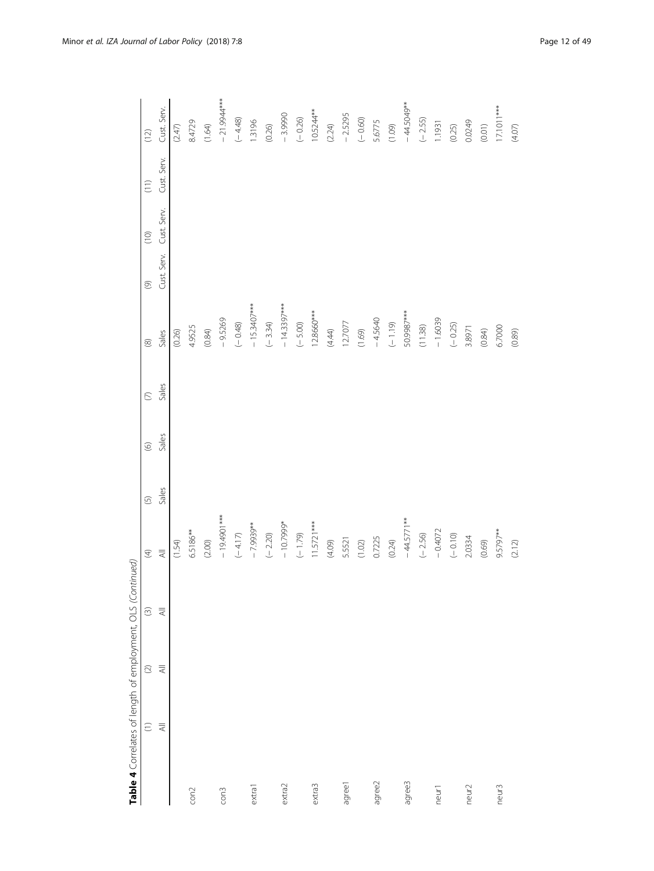|                   |                    |          | Table 4 Correlates of length of employment, OLS (Continued) |               |         |                |                     |               |                |             |                                                     |               |
|-------------------|--------------------|----------|-------------------------------------------------------------|---------------|---------|----------------|---------------------|---------------|----------------|-------------|-----------------------------------------------------|---------------|
|                   | $\widehat{\equiv}$ | $\odot$  | $\widehat{\odot}$                                           | $\bigoplus$   | $\odot$ | $\circledcirc$ | $\circlearrowright$ | $\circledR$   | $\circledcirc$ | (10)        | $\left( \begin{matrix} 1 \\ 1 \end{matrix} \right)$ | $(1\,2)$      |
|                   | $\equiv$           | $\equiv$ | $\overline{\preccurlyeq}$                                   | $\equiv$      | Sales   | Sales          | Sales               | Sales         | Cust. Serv.    | Cust. Serv. | Cust. Serv.                                         | Cust. Serv.   |
|                   |                    |          |                                                             | (1.54)        |         |                |                     | (0.26)        |                |             |                                                     | (2.47)        |
| $\frac{2}{\pi}$   |                    |          |                                                             | 6.5186**      |         |                |                     | 4.9525        |                |             |                                                     | 8.4729        |
|                   |                    |          |                                                             | $(2.00)$      |         |                |                     | (0.84)        |                |             |                                                     | (1.64)        |
| con <sub>3</sub>  |                    |          |                                                             | $-19.4901***$ |         |                |                     | $-9.5269$     |                |             |                                                     | $-21.9944***$ |
|                   |                    |          |                                                             | $(-4.17)$     |         |                |                     | $(-0.48)$     |                |             |                                                     | $(-4.48)$     |
| extra1            |                    |          |                                                             | $-7.9939***$  |         |                |                     | $-15.3407***$ |                |             |                                                     | 1.3196        |
|                   |                    |          |                                                             | $(-2.20)$     |         |                |                     | $(-3.34)$     |                |             |                                                     | (0.26)        |
| extra2            |                    |          |                                                             | $-10.7999*$   |         |                |                     | $-14.3397***$ |                |             |                                                     | $-3.9990$     |
|                   |                    |          |                                                             | $(-1.79)$     |         |                |                     | $(-5.00)$     |                |             |                                                     | $(-0.26)$     |
| extra3            |                    |          |                                                             | $11.5721***$  |         |                |                     | $12.8660***$  |                |             |                                                     | 10.5244**     |
|                   |                    |          |                                                             | (4.09)        |         |                |                     | (4.44)        |                |             |                                                     | (2.24)        |
| agree1            |                    |          |                                                             | 5.5521        |         |                |                     | 12.7077       |                |             |                                                     | $-2.5295$     |
|                   |                    |          |                                                             | (1.02)        |         |                |                     | (1.69)        |                |             |                                                     | $(-0.60)$     |
| agree2            |                    |          |                                                             | 0.7225        |         |                |                     | $-4.5640$     |                |             |                                                     | 5.6775        |
|                   |                    |          |                                                             | (0.24)        |         |                |                     | $(-1.19)$     |                |             |                                                     | (1.09)        |
| agree3            |                    |          |                                                             | $-44.5771***$ |         |                |                     | 50.9987***    |                |             |                                                     | $-44.5049**$  |
|                   |                    |          |                                                             | $(-2.56)$     |         |                |                     | (11.38)       |                |             |                                                     | $(-2.55)$     |
| neur1             |                    |          |                                                             | $-0.4072$     |         |                |                     | $-1.6039$     |                |             |                                                     | 1.1931        |
|                   |                    |          |                                                             | $(-0.10)$     |         |                |                     | $(-0.25)$     |                |             |                                                     | (0.25)        |
| neur <sub>2</sub> |                    |          |                                                             | 2.0334        |         |                |                     | 3.8971        |                |             |                                                     | 0.0249        |
|                   |                    |          |                                                             | (0.69)        |         |                |                     | $(0.84)$      |                |             |                                                     | (0.01)        |
| neur <sub>3</sub> |                    |          |                                                             | 9.5797**      |         |                |                     | 6.7000        |                |             |                                                     | $17.1011***$  |
|                   |                    |          |                                                             | (2.12)        |         |                |                     | (0.89)        |                |             |                                                     | (4.07)        |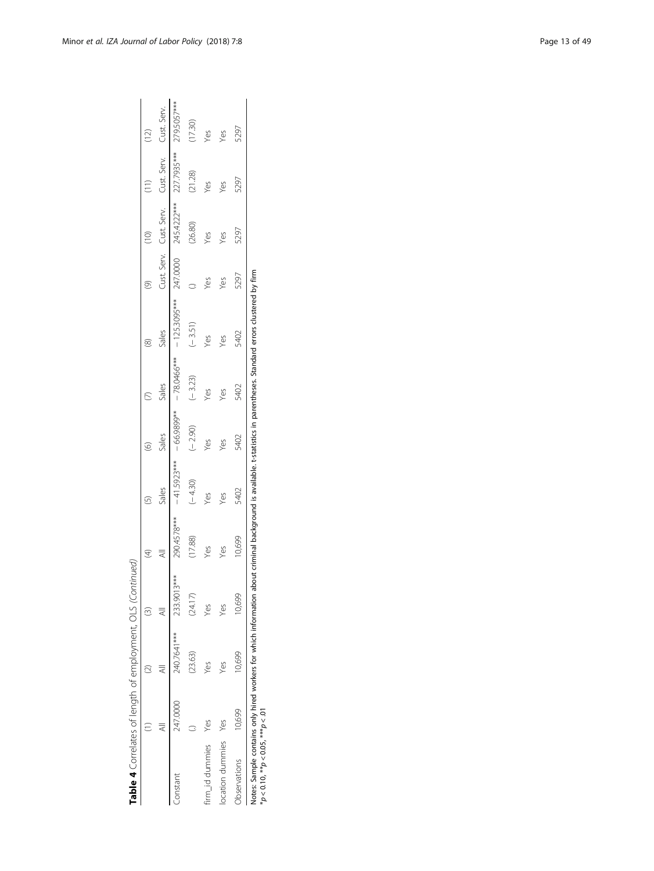|                                                                                                                                                                                                             |          |             | וניו יעכשו  |            |               |              |               |                |          |                                     |             |             |
|-------------------------------------------------------------------------------------------------------------------------------------------------------------------------------------------------------------|----------|-------------|-------------|------------|---------------|--------------|---------------|----------------|----------|-------------------------------------|-------------|-------------|
|                                                                                                                                                                                                             |          |             |             |            | ⊙             |              |               | ⊚              |          |                                     |             | (12)        |
|                                                                                                                                                                                                             |          |             |             |            | Sales         | Sales        | Sales         | Sales          |          | Cust. Serv. Cust. Serv. Cust. Serv. |             | Cust. Serv. |
| Constant                                                                                                                                                                                                    | 247.0000 | 240.7641*** | 233.9013*** | ***878.457 | $-41.5923***$ | $-66.989$ ** | $-78.0466***$ | $-125.3095***$ | 247.0000 | 245.4222***                         | 227.7935*** | 279.5057*** |
|                                                                                                                                                                                                             |          | (23.63)     | (24.17)     | 17.88)     | $(-4.30)$     | $(-2.90)$    | $(-3.23)$     | $(-3.51)$      |          | (26.80)                             | (21.28)     | 17.30)      |
| firm_id dummies Yes                                                                                                                                                                                         |          | Yes         | (es         | Ýes        | Yes           | Yes          | Ýes           | Yes            | (es      | Yes                                 | Yes         | Yes         |
| location dummies Yes                                                                                                                                                                                        |          | Yes         | Yes         | Yes        | Yes           | Yes          | Yes           | Yes            | Yes      | Yes                                 | Yes         | Yes         |
| Observations 10,699                                                                                                                                                                                         |          | 10,699      | 10,699      | 10,699     | 5402          | 5402         | 5402          | 5402           | 5297     | 5297                                | 5297        | 5297        |
| Notes: Sample contains only hired workers for which information about criminal background is available. t-statistics in parentheses. Standard errors clustered by firm<br>$*p < 0.10, **p < 0.05, **p < 01$ |          |             |             |            |               |              |               |                |          |                                     |             |             |

Table 4 Correlates of length of employment, OLS (Continued) Table 4 Correlates of length of employment, OLS (Continued)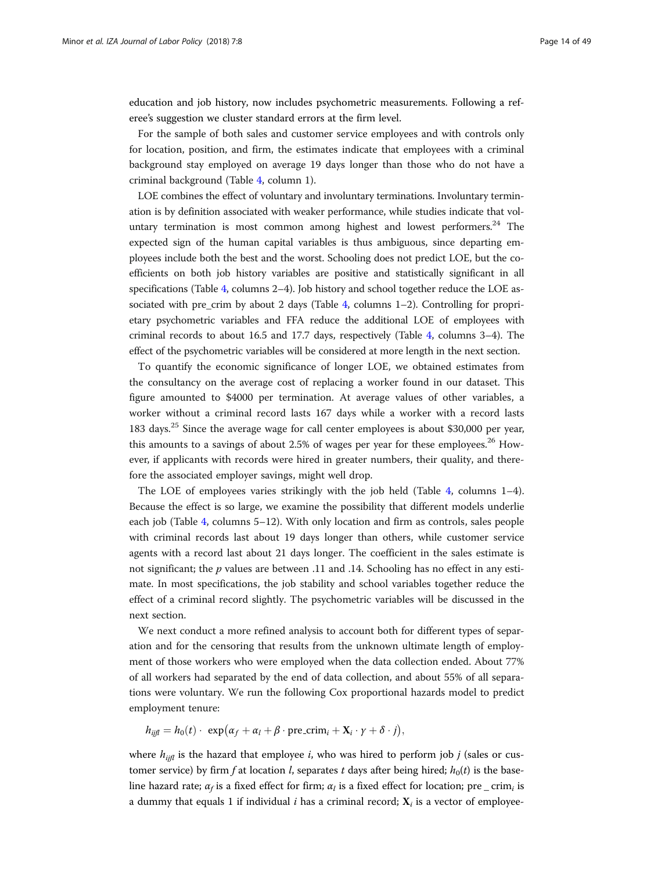education and job history, now includes psychometric measurements. Following a referee's suggestion we cluster standard errors at the firm level.

For the sample of both sales and customer service employees and with controls only for location, position, and firm, the estimates indicate that employees with a criminal background stay employed on average 19 days longer than those who do not have a criminal background (Table [4,](#page-10-0) column 1).

LOE combines the effect of voluntary and involuntary terminations. Involuntary termination is by definition associated with weaker performance, while studies indicate that voluntary termination is most common among highest and lowest performers.<sup>24</sup> The expected sign of the human capital variables is thus ambiguous, since departing employees include both the best and the worst. Schooling does not predict LOE, but the coefficients on both job history variables are positive and statistically significant in all specifications (Table [4](#page-10-0), columns 2–4). Job history and school together reduce the LOE as-sociated with pre crim by about 2 days (Table [4,](#page-10-0) columns  $1-2$ ). Controlling for proprietary psychometric variables and FFA reduce the additional LOE of employees with criminal records to about 16.5 and 17.7 days, respectively (Table [4](#page-10-0), columns 3–4). The effect of the psychometric variables will be considered at more length in the next section.

To quantify the economic significance of longer LOE, we obtained estimates from the consultancy on the average cost of replacing a worker found in our dataset. This figure amounted to \$4000 per termination. At average values of other variables, a worker without a criminal record lasts 167 days while a worker with a record lasts 183 days.<sup>25</sup> Since the average wage for call center employees is about \$30,000 per year, this amounts to a savings of about 2.5% of wages per year for these employees.<sup>26</sup> However, if applicants with records were hired in greater numbers, their quality, and therefore the associated employer savings, might well drop.

The LOE of employees varies strikingly with the job held (Table [4,](#page-10-0) columns 1–4). Because the effect is so large, we examine the possibility that different models underlie each job (Table [4](#page-10-0), columns 5–12). With only location and firm as controls, sales people with criminal records last about 19 days longer than others, while customer service agents with a record last about 21 days longer. The coefficient in the sales estimate is not significant; the  $p$  values are between .11 and .14. Schooling has no effect in any estimate. In most specifications, the job stability and school variables together reduce the effect of a criminal record slightly. The psychometric variables will be discussed in the next section.

We next conduct a more refined analysis to account both for different types of separation and for the censoring that results from the unknown ultimate length of employment of those workers who were employed when the data collection ended. About 77% of all workers had separated by the end of data collection, and about 55% of all separations were voluntary. We run the following Cox proportional hazards model to predict employment tenure:

$$
h_{ij\beta} = h_0(t) \cdot \exp(\alpha_f + \alpha_l + \beta \cdot \text{pre\_crim}_i + \mathbf{X}_i \cdot \gamma + \delta \cdot j),
$$

where  $h_{i\hat{i}}$  is the hazard that employee i, who was hired to perform job j (sales or customer service) by firm f at location l, separates t days after being hired;  $h_0(t)$  is the baseline hazard rate;  $\alpha_f$  is a fixed effect for firm;  $\alpha_l$  is a fixed effect for location; pre crim<sub>i</sub> is a dummy that equals 1 if individual i has a criminal record;  $X_i$  is a vector of employee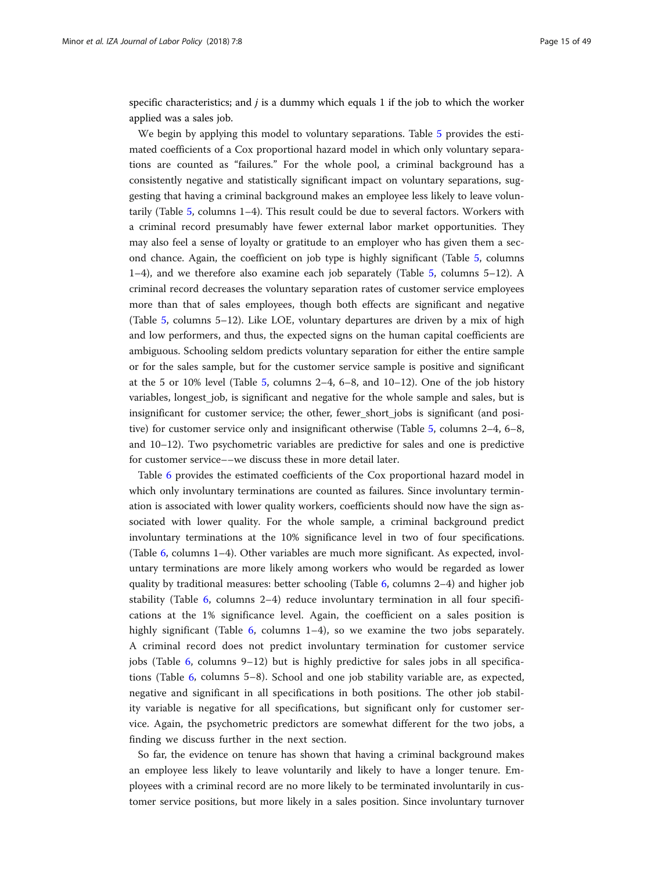specific characteristics; and  $j$  is a dummy which equals 1 if the job to which the worker applied was a sales job.

We begin by applying this model to voluntary separations. Table [5](#page-15-0) provides the estimated coefficients of a Cox proportional hazard model in which only voluntary separations are counted as "failures." For the whole pool, a criminal background has a consistently negative and statistically significant impact on voluntary separations, suggesting that having a criminal background makes an employee less likely to leave voluntarily (Table [5,](#page-15-0) columns 1–4). This result could be due to several factors. Workers with a criminal record presumably have fewer external labor market opportunities. They may also feel a sense of loyalty or gratitude to an employer who has given them a second chance. Again, the coefficient on job type is highly significant (Table [5,](#page-15-0) columns 1–4), and we therefore also examine each job separately (Table [5](#page-15-0), columns 5–12). A criminal record decreases the voluntary separation rates of customer service employees more than that of sales employees, though both effects are significant and negative (Table [5,](#page-15-0) columns 5–12). Like LOE, voluntary departures are driven by a mix of high and low performers, and thus, the expected signs on the human capital coefficients are ambiguous. Schooling seldom predicts voluntary separation for either the entire sample or for the sales sample, but for the customer service sample is positive and significant at the [5](#page-15-0) or 10% level (Table 5, columns  $2-4$ , 6-8, and  $10-12$ ). One of the job history variables, longest job, is significant and negative for the whole sample and sales, but is insignificant for customer service; the other, fewer\_short\_jobs is significant (and positive) for customer service only and insignificant otherwise (Table [5,](#page-15-0) columns 2–4, 6–8, and 10–12). Two psychometric variables are predictive for sales and one is predictive for customer service––we discuss these in more detail later.

Table [6](#page-18-0) provides the estimated coefficients of the Cox proportional hazard model in which only involuntary terminations are counted as failures. Since involuntary termination is associated with lower quality workers, coefficients should now have the sign associated with lower quality. For the whole sample, a criminal background predict involuntary terminations at the 10% significance level in two of four specifications. (Table [6](#page-18-0), columns 1–4). Other variables are much more significant. As expected, involuntary terminations are more likely among workers who would be regarded as lower quality by traditional measures: better schooling (Table [6](#page-18-0), columns 2–4) and higher job stability (Table [6](#page-18-0), columns 2–4) reduce involuntary termination in all four specifications at the 1% significance level. Again, the coefficient on a sales position is highly significant (Table [6](#page-18-0), columns  $1-4$ ), so we examine the two jobs separately. A criminal record does not predict involuntary termination for customer service jobs (Table [6,](#page-18-0) columns 9–12) but is highly predictive for sales jobs in all specifications (Table [6,](#page-18-0) columns 5–8). School and one job stability variable are, as expected, negative and significant in all specifications in both positions. The other job stability variable is negative for all specifications, but significant only for customer service. Again, the psychometric predictors are somewhat different for the two jobs, a finding we discuss further in the next section.

So far, the evidence on tenure has shown that having a criminal background makes an employee less likely to leave voluntarily and likely to have a longer tenure. Employees with a criminal record are no more likely to be terminated involuntarily in customer service positions, but more likely in a sales position. Since involuntary turnover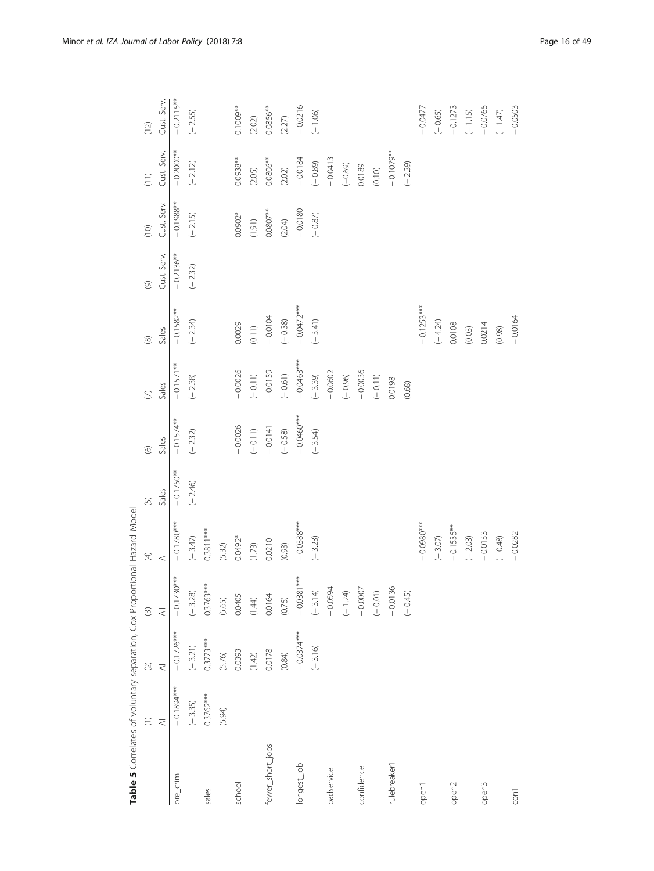<span id="page-15-0"></span>

| Table 5 Correlates of voluntary separation, Cox Proportional Hazard Model |               |              |                           |                           |                    |                |              |              |                |             |             |              |
|---------------------------------------------------------------------------|---------------|--------------|---------------------------|---------------------------|--------------------|----------------|--------------|--------------|----------------|-------------|-------------|--------------|
|                                                                           | $\widehat{=}$ | $\odot$      | $\odot$                   | $\bigoplus$               | $\widehat{\Theta}$ | $\circledcirc$ | $\odot$      | $\circledR$  | $\circledcirc$ | (10)        | (11)        | (12)         |
|                                                                           | ₹             | $\equiv$     | $\overline{\overline{z}}$ | $\overline{\overline{z}}$ | Sales              | Sales          | Sales        | Sales        | Cust. Serv.    | Cust. Serv. | Cust. Serv. | Cust. Serv.  |
| pre_crim                                                                  | $-0.1894***$  | $-0.1726***$ | $-0.1730***$              | $-0.1780***$              | $-0.1750**$        | $-0.1574***$   | $-0.1571**$  | $-0.1582***$ | $-0.2136**$    | $-0.1988**$ | $-0.2000**$ | $-0.2115***$ |
|                                                                           | $(-3.35)$     | $(-3.21)$    | $(-3.28)$                 | $(-3.47)$                 | $(-2.46)$          | $(-2.32)$      | $(-2.38)$    | $(-2.34)$    | $(-2.32)$      | $(-2.15)$   | $(-2.12)$   | $(-2.55)$    |
| sales                                                                     | $0.3762***$   | $0.3773***$  | $0.3763***$               | $0.3811***$               |                    |                |              |              |                |             |             |              |
|                                                                           | (5.94)        | (5.76)       | (5.65)                    | (5.32)                    |                    |                |              |              |                |             |             |              |
| school                                                                    |               | 0.0393       | 0.0405                    | $0.0492*$                 |                    | $-0.0026$      | $-0.0026$    | 0.0029       |                | $0.0902*$   | $0.0938**$  | $0.1009***$  |
|                                                                           |               | (1.42)       | (1.44)                    | (1.73)                    |                    | $(-0.11)$      | $(-0.11)$    | (0.11)       |                | (1.91)      | (2.05)      | (2.02)       |
| fewer_short_jobs                                                          |               | 0.0178       | 0.0164                    | 0.0210                    |                    | $-0.0141$      | $-0.0159$    | $-0.0104$    |                | $0.0807***$ | $0.0806***$ | $0.0856***$  |
|                                                                           |               | (0.84)       | (0.75)                    | (0.93)                    |                    | $(-0.58)$      | $(-0.61)$    | $(-0.38)$    |                | (2.04)      | (2.02)      | $(2.27)$     |
| longest_job                                                               |               | $-0.0374***$ | $-0.0381***$              | $-0.0388***$              |                    | $-0.0460***$   | $-0.0463***$ | $-0.0472***$ |                | $-0.0180$   | $-0.0184$   | $-0.0216$    |
|                                                                           |               | $(-3.16)$    | $(-3.14)$                 | $(-3.23)$                 |                    | $(-3.54)$      | $(-3.39)$    | $(-3.41)$    |                | $(-0.87)$   | $(-0.89)$   | $(-1.06)$    |
| badservice                                                                |               |              | $-0.0594$                 |                           |                    |                | $-0.0602$    |              |                |             | $-0.0413$   |              |
|                                                                           |               |              | $(-1.24)$                 |                           |                    |                | $(-0.96)$    |              |                |             | $(-0.69)$   |              |
| confidence                                                                |               |              | $-0.0007$                 |                           |                    |                | $-0.0036$    |              |                |             | 0.0189      |              |
|                                                                           |               |              | $(-0.01)$                 |                           |                    |                | $(-0.11)$    |              |                |             | (0.10)      |              |
| rulebreaker1                                                              |               |              | $-0.0136$                 |                           |                    |                | 0.0198       |              |                |             | $-0.1079**$ |              |
|                                                                           |               |              | $(-0.45)$                 |                           |                    |                | (0.68)       |              |                |             | $(-2.39)$   |              |
| open1                                                                     |               |              |                           | $-0.0980***$              |                    |                |              | $-0.1253***$ |                |             |             | $-0.0477$    |
|                                                                           |               |              |                           | $(-3.07)$                 |                    |                |              | $(-4.24)$    |                |             |             | $(-0.65)$    |
| open2                                                                     |               |              |                           | $-0.1535***$              |                    |                |              | 0.0108       |                |             |             | $-0.1273$    |
|                                                                           |               |              |                           | $(-2.03)$                 |                    |                |              | (0.03)       |                |             |             | $(-1.15)$    |
| open <sub>3</sub>                                                         |               |              |                           | $-0.0133$                 |                    |                |              | 0.0214       |                |             |             | $-0.0765$    |
|                                                                           |               |              |                           | $(-0.48)$                 |                    |                |              | (0.98)       |                |             |             | $(-1.47)$    |
| $\overline{1}$                                                            |               |              |                           | $-0.0282$                 |                    |                |              | $-0.0164$    |                |             |             | $-0.0503$    |
|                                                                           |               |              |                           |                           |                    |                |              |              |                |             |             |              |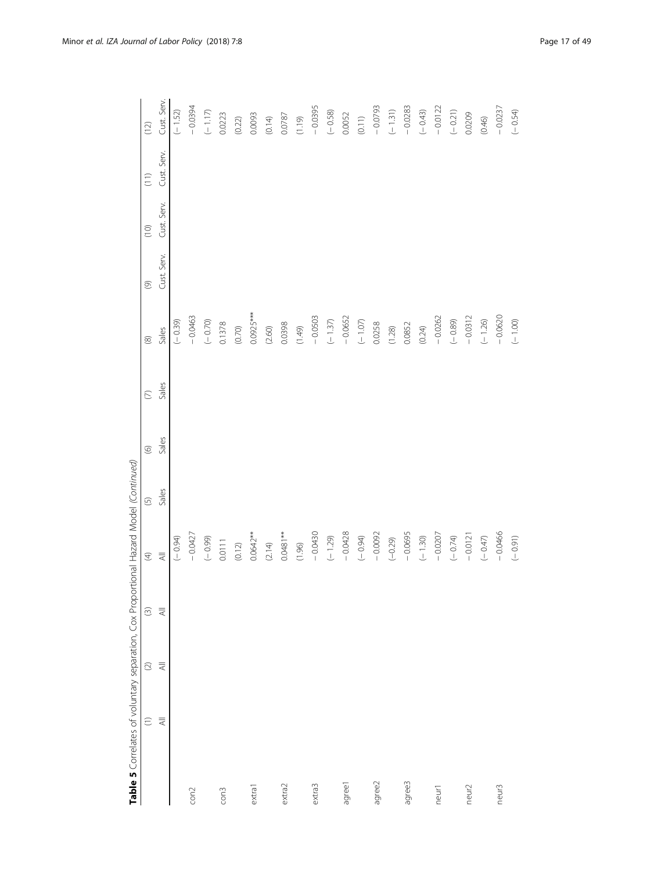| Table 5 Correlates of voluntary separation, Cox Proportional Hazard Model (Continued) |                           |          |                           |                           |                |                |         |             |                |                                              |                    |             |
|---------------------------------------------------------------------------------------|---------------------------|----------|---------------------------|---------------------------|----------------|----------------|---------|-------------|----------------|----------------------------------------------|--------------------|-------------|
|                                                                                       | $\widehat{\equiv}$        | $\odot$  | $\odot$                   | $\bigoplus$               | $\overline{6}$ | $\circledcirc$ | $\circ$ | $\circledR$ | $\circledcirc$ | $\begin{array}{c} (10) \\ (-10) \end{array}$ | $\left( 1 \right)$ | $(12)$      |
|                                                                                       | $\overline{\preccurlyeq}$ | $\equiv$ | $\overline{\overline{z}}$ | $\overline{\preccurlyeq}$ | Sales          | Sales          | Sales   | Sales       | Cust. Serv.    | Cust. Serv.                                  | Cust. Serv.        | Cust. Serv. |
|                                                                                       |                           |          |                           | $(-0.94)$                 |                |                |         | $(-0.39)$   |                |                                              |                    | $(-1.52)$   |
| $\frac{2}{\pi}$                                                                       |                           |          |                           | $-0.0427$                 |                |                |         | $-0.0463$   |                |                                              |                    | $-0.0394$   |
|                                                                                       |                           |          |                           | $(-0.99)$                 |                |                |         | $(- 0.70)$  |                |                                              |                    | $(-1.17)$   |
| $\frac{3}{2}$                                                                         |                           |          |                           | 0.0111                    |                |                |         | 0.1378      |                |                                              |                    | 0.0223      |
|                                                                                       |                           |          |                           | (0.12)                    |                |                |         | $(0.70)$    |                |                                              |                    | (0.22)      |
| extra1                                                                                |                           |          |                           | $0.0642***$               |                |                |         | $0.0925***$ |                |                                              |                    | 0.0093      |
|                                                                                       |                           |          |                           | (2.14)                    |                |                |         | (2.60)      |                |                                              |                    | (0.14)      |
| extra2                                                                                |                           |          |                           | $0.0481**$                |                |                |         | 0.0398      |                |                                              |                    | 0.0787      |
|                                                                                       |                           |          |                           | (1.96)                    |                |                |         | (1.49)      |                |                                              |                    | (1.19)      |
| extra3                                                                                |                           |          |                           | $-0.0430$                 |                |                |         | $-0.0503$   |                |                                              |                    | $-0.0395$   |
|                                                                                       |                           |          |                           | $(-1.29)$                 |                |                |         | $(-1.37)$   |                |                                              |                    | $(-0.58)$   |
| agree1                                                                                |                           |          |                           | $-0.0428$                 |                |                |         | $-0.0652$   |                |                                              |                    | 0.0052      |
|                                                                                       |                           |          |                           | $(-0.94)$                 |                |                |         | $(-1.07)$   |                |                                              |                    | (0.11)      |
| agree2                                                                                |                           |          |                           | $-0.0092$                 |                |                |         | 0.0258      |                |                                              |                    | $-0.0793$   |
|                                                                                       |                           |          |                           | $(-0.29)$                 |                |                |         | (1.28)      |                |                                              |                    | $(-1.31)$   |
| agree3                                                                                |                           |          |                           | $-0.0695$                 |                |                |         | 0.0852      |                |                                              |                    | $-0.0283$   |
|                                                                                       |                           |          |                           | $(-1.30)$                 |                |                |         | (0.24)      |                |                                              |                    | $(-0.43)$   |
| neur1                                                                                 |                           |          |                           | $-0.0207$                 |                |                |         | $-0.0262$   |                |                                              |                    | $-0.0122$   |
|                                                                                       |                           |          |                           | $(-0.74)$                 |                |                |         | $(-0.89)$   |                |                                              |                    | $(-0.21)$   |
| neur <sub>2</sub>                                                                     |                           |          |                           | $-0.0121$                 |                |                |         | $-0.0312$   |                |                                              |                    | 0.0209      |
|                                                                                       |                           |          |                           | $(-0.47)$                 |                |                |         | $(-1.26)$   |                |                                              |                    | (0.46)      |
| neur <sub>3</sub>                                                                     |                           |          |                           | $-0.0466$                 |                |                |         | $-0.0620$   |                |                                              |                    | $-0.0237$   |
|                                                                                       |                           |          |                           | $(-0.91)$                 |                |                |         | $(-1.00)$   |                |                                              |                    | $(-0.54)$   |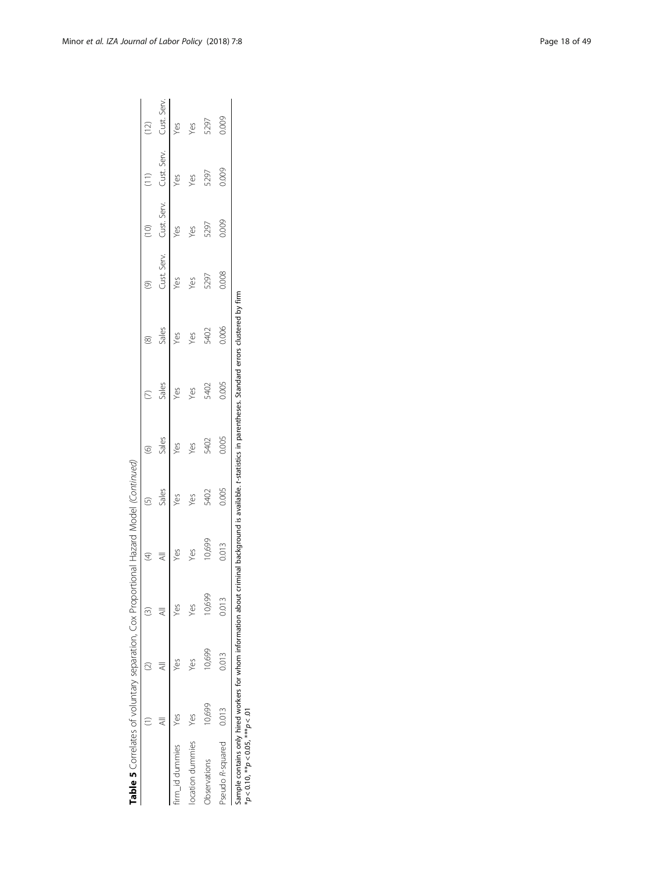|                                                                                                                                                                                                    |        |       |       | CONSULTING THE DISTRICT OF THE DISTRICT OF THE DISTRICT OF THE DISTRICT OF THE DISTRICT OF THE DISTRICT OF THE OPTION OF THE UPPER COMPUTER. |       |                |       |       |                            |       |             |             |
|----------------------------------------------------------------------------------------------------------------------------------------------------------------------------------------------------|--------|-------|-------|----------------------------------------------------------------------------------------------------------------------------------------------|-------|----------------|-------|-------|----------------------------|-------|-------------|-------------|
|                                                                                                                                                                                                    |        |       |       |                                                                                                                                              | ⊙َ    | $\circledcirc$ |       | @     |                            | e)    |             |             |
|                                                                                                                                                                                                    |        |       |       |                                                                                                                                              | Sales | Sales          | Sales | Sales | Cust. Serv.<br>Cust. Serv. |       | Cust. Serv. | Cust. Serv. |
| firm_id dummies Yes                                                                                                                                                                                |        | Ě     | Ýes   | Yes                                                                                                                                          | Yes   | yes            | Ýes   | yes   | yes                        | Yes   | yes         | Yes         |
| ocation dummies                                                                                                                                                                                    | Yes    | ÝêS   | Yes   | Yes                                                                                                                                          | Yes   | Yes            | Yes   | Yes   | Yes                        | Yes   | Yes         | Yes         |
| <b>Observations</b>                                                                                                                                                                                | 10,699 | 0,699 | 0,699 | 10,699                                                                                                                                       | 5402  | 5402           | 5402  | 5402  | 5297                       | 5297  | 5297        | 5297        |
| Pseudo R-squared 0.013                                                                                                                                                                             |        | 0.013 | 0.013 | 0.013                                                                                                                                        | 0.005 | 0.005          | 0.005 | 0.006 | 0.008                      | 0.009 | 0.009       | 0.009       |
| Sample contains only hired workers for whom information about criminal background is available. Estatistics in parentheses. Standard errors clustered by firm<br>$*p < 0.10, **p < 0.05, **p < 01$ |        |       |       |                                                                                                                                              |       |                |       |       |                            |       |             |             |

Table 5 Correlates of voluntary separation, Cox Proportional Hazard Model (Continued) Table 5 Correlates of voluntary separation, Cox Proportional Hazard Model (Continued)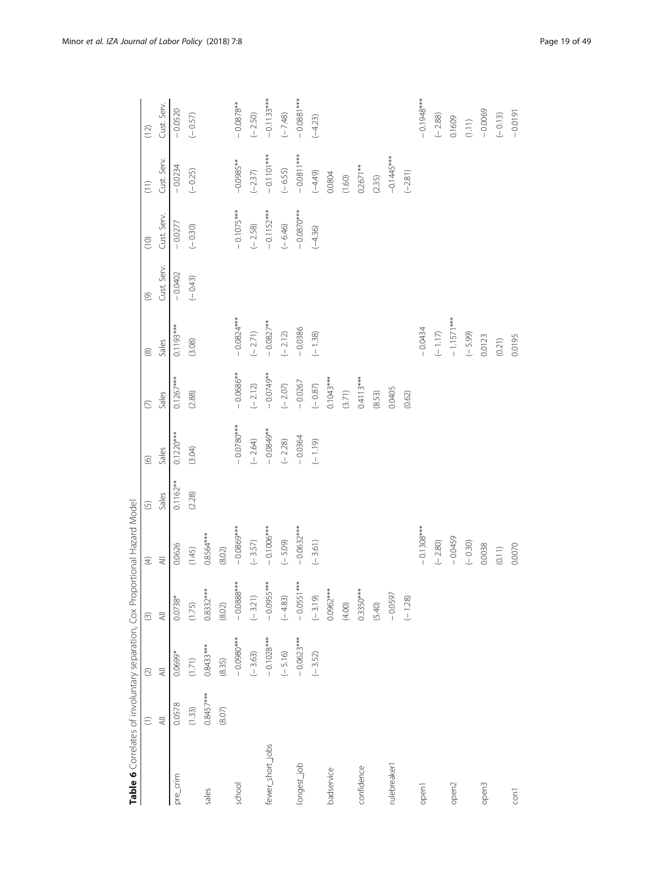<span id="page-18-0"></span>

| Table 6 Correlates of involuntary separation, Cox Proportional Hazard Model |                      |                           |                           |                           |             |                |                     |                |                |              |                                        |              |
|-----------------------------------------------------------------------------|----------------------|---------------------------|---------------------------|---------------------------|-------------|----------------|---------------------|----------------|----------------|--------------|----------------------------------------|--------------|
|                                                                             | $\widehat{\epsilon}$ | $\odot$                   | $\widehat{\odot}$         | $\bigoplus$               | $\odot$     | $\circledcirc$ | $\circlearrowright$ | $\circledcirc$ | $\circledcirc$ | $\odot$      | $\begin{pmatrix} 1 \\ 0 \end{pmatrix}$ | (12)         |
|                                                                             | $\equiv$             | $\overline{\overline{z}}$ | $\overline{\preccurlyeq}$ | $\overline{\preccurlyeq}$ | Sales       | Sales          | Salles              | Sales          | Cust. Serv.    | Cust. Serv.  | Cust. Serv.                            | Cust. Serv.  |
| pre_crim                                                                    | 0.0578               | 0.0699*                   | $0.0738*$                 | 0.0626                    | $0.1162***$ | $0.1220***$    | $0.1267***$         | $0.1193***$    | $-0.0402$      | $-0.0277$    | $-0.0234$                              | $-0.0520$    |
|                                                                             | (1.33)               | (1.71)                    | (1.75)                    | (1.45)                    | (2.28)      | (3.04)         | $(2.88)$            | (3.08)         | $(-0.43)$      | $(-0.30)$    | $(-0.25)$                              | $(-0.57)$    |
| sales                                                                       | $0.8457***$          | $0.8433***$               | $0.8332***$               | $0.8564***$               |             |                |                     |                |                |              |                                        |              |
|                                                                             | $(8.07)$             | (8.35)                    | $(8.02)$                  | $(8.02)$                  |             |                |                     |                |                |              |                                        |              |
| school                                                                      |                      | $-0.0980***$              | $-0.0888***$              | $-0.0869***$              |             | $-0.0780***$   | $-0.0686**$         | $-0.0824***$   |                | $-0.1075***$ | $-0.0985**$                            | $-0.0878**$  |
|                                                                             |                      | $(-3.63)$                 | $(-3.21)$                 | $(-3.57)$                 |             | $(-2.64)$      | $(-2.12)$           | $(-2.71)$      |                | $(-2.58)$    | $(-2.37)$                              | $(-2.50)$    |
| fewer_short_jobs                                                            |                      | $-0.1028***$              | $-0.0955***$              | $-0.1006***$              |             | $-0.0849**$    | $-0.0749**$         | $-0.0827**$    |                | $-0.1152***$ | $-0.1101***$                           | $-0.1133***$ |
|                                                                             |                      | $(-5.16)$                 | $(-4.83)$                 | $(-5.09)$                 |             | $(-2.28)$      | $(-2.07)$           | $(-2.12)$      |                | $(-6.46)$    | $(-6.55)$                              | $(-7.48)$    |
| longest_job                                                                 |                      | $-0.0623***$              | $-0.0551***$              | $-0.0632***$              |             | $-0.0364$      | $-0.0267$           | $-0.0386$      |                | $-0.0870***$ | $-0.0811***$                           | $-0.0881***$ |
|                                                                             |                      | $(-3.52)$                 | $(-3.19)$                 | $(-3.61)$                 |             | $(-1.19)$      | $(-0.87)$           | $(-1.38)$      |                | $(-4.36)$    | $(-4.49)$                              | $(-4.23)$    |
| badservice                                                                  |                      |                           | $0.0962***$               |                           |             |                | $0.1043***$         |                |                |              | 0.0804                                 |              |
|                                                                             |                      |                           | (4.00)                    |                           |             |                | (3.71)              |                |                |              | (1.60)                                 |              |
| confidence                                                                  |                      |                           | $0.3350***$               |                           |             |                | $0.4113***$         |                |                |              | $0.2671**$                             |              |
|                                                                             |                      |                           | (5.40)                    |                           |             |                | (8.53)              |                |                |              | (2.35)                                 |              |
| rulebreaker1                                                                |                      |                           | $-0.0597$                 |                           |             |                | 0.0405              |                |                |              | $-0.1445***$                           |              |
|                                                                             |                      |                           | $(-1.28)$                 |                           |             |                | (0.62)              |                |                |              | $(-2.81)$                              |              |
| open1                                                                       |                      |                           |                           | $-0.1308***$              |             |                |                     | $-0.0434$      |                |              |                                        | $-0.1948***$ |
|                                                                             |                      |                           |                           | $(-2.80)$                 |             |                |                     | $(-1.17)$      |                |              |                                        | $(-2.88)$    |
| open2                                                                       |                      |                           |                           | $-0.0459$                 |             |                |                     | $-1.1571***$   |                |              |                                        | 0.1609       |
|                                                                             |                      |                           |                           | $(-0.30)$                 |             |                |                     | $(-5.99)$      |                |              |                                        | (1.11)       |
| open3                                                                       |                      |                           |                           | 0.0038                    |             |                |                     | 0.0123         |                |              |                                        | $-0.0069$    |
|                                                                             |                      |                           |                           | (0.11)                    |             |                |                     | (0.21)         |                |              |                                        | $(-0.13)$    |
| $\overline{c}$                                                              |                      |                           |                           | 0.0070                    |             |                |                     | 0.0195         |                |              |                                        | $-0.0191$    |
|                                                                             |                      |                           |                           |                           |             |                |                     |                |                |              |                                        |              |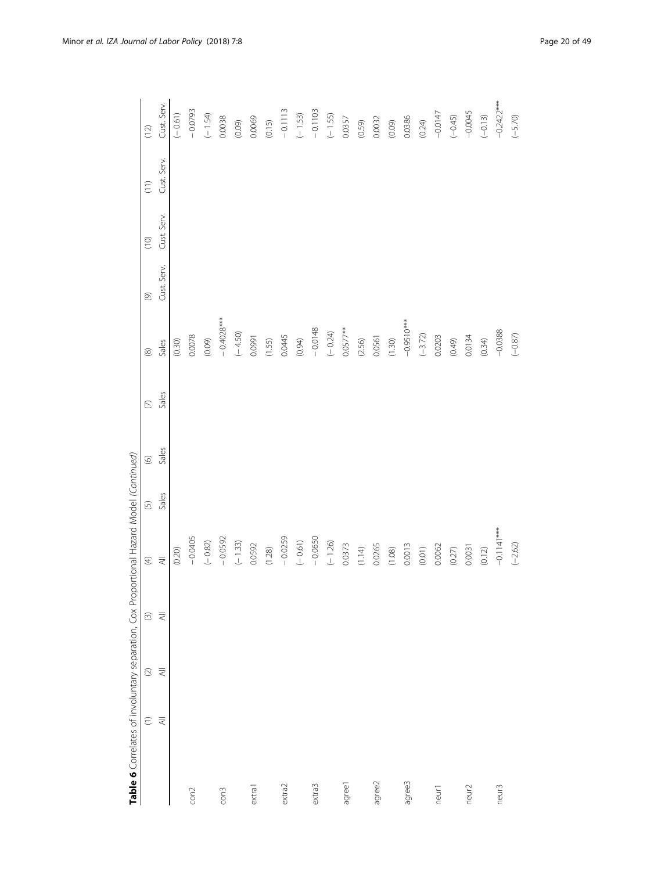| Table 6 Correlates of involuntary separation, Cox Proportional Hazard Model (Continued) |                    |                           |                           |                      |         |                |                     |              |                |                                                |                    |              |
|-----------------------------------------------------------------------------------------|--------------------|---------------------------|---------------------------|----------------------|---------|----------------|---------------------|--------------|----------------|------------------------------------------------|--------------------|--------------|
|                                                                                         | $\widehat{\equiv}$ | $\odot$                   | $\odot$                   | $\bigoplus$          | $\odot$ | $\circledcirc$ | $\circlearrowright$ | $\circledR$  | $\circledcirc$ | $\begin{pmatrix} 1 & 0 \\ 0 & 1 \end{pmatrix}$ | $\left( 1 \right)$ | $(12)$       |
|                                                                                         | $\equiv$           | $\overline{\preccurlyeq}$ | $\overline{\preccurlyeq}$ | $\overline{\approx}$ | Sales   | Sales          | Sales               | Sales        | Cust. Serv.    | Cust. Serv.                                    | Cust. Serv.        | Cust. Serv.  |
|                                                                                         |                    |                           |                           | (0.20)               |         |                |                     | (0.30)       |                |                                                |                    | $(-0.61)$    |
| $\text{cm}2$                                                                            |                    |                           |                           | $-0.0405$            |         |                |                     | 0.0078       |                |                                                |                    | $-0.0793$    |
|                                                                                         |                    |                           |                           | $(-0.82)$            |         |                |                     | (60.0)       |                |                                                |                    | $(-1.54)$    |
| con <sub>3</sub>                                                                        |                    |                           |                           | $-0.0592$            |         |                |                     | $-0.4028***$ |                |                                                |                    | 0.0038       |
|                                                                                         |                    |                           |                           | $(-1.33)$            |         |                |                     | $(-4.50)$    |                |                                                |                    | (60.0)       |
| extra1                                                                                  |                    |                           |                           | 0.0592               |         |                |                     | 0.0991       |                |                                                |                    | 0.0069       |
|                                                                                         |                    |                           |                           | (1.28)               |         |                |                     | (1.55)       |                |                                                |                    | (0.15)       |
| extra2                                                                                  |                    |                           |                           | $-0.0259$            |         |                |                     | 0.0445       |                |                                                |                    | $-0.1113$    |
|                                                                                         |                    |                           |                           | $(-0.61)$            |         |                |                     | (600)        |                |                                                |                    | $(-1.53)$    |
| extra3                                                                                  |                    |                           |                           | $-0.0650$            |         |                |                     | $-0.0148$    |                |                                                |                    | $-0.1103$    |
|                                                                                         |                    |                           |                           | $(-1.26)$            |         |                |                     | $(-0.24)$    |                |                                                |                    | $(-1.55)$    |
| agree1                                                                                  |                    |                           |                           | 0.0373               |         |                |                     | $0.0577**$   |                |                                                |                    | 0.0357       |
|                                                                                         |                    |                           |                           | (1.14)               |         |                |                     | (2.56)       |                |                                                |                    | (0.59)       |
| agree2                                                                                  |                    |                           |                           | 0.0265               |         |                |                     | 0.0561       |                |                                                |                    | 0.0032       |
|                                                                                         |                    |                           |                           | (1.08)               |         |                |                     | (1.30)       |                |                                                |                    | (60.0)       |
| agree3                                                                                  |                    |                           |                           | 0.0013               |         |                |                     | $-0.9510***$ |                |                                                |                    | 0.0386       |
|                                                                                         |                    |                           |                           | (0.01)               |         |                |                     | $(-3.72)$    |                |                                                |                    | (0.24)       |
| neur1                                                                                   |                    |                           |                           | 0.0062               |         |                |                     | 0.0203       |                |                                                |                    | $-0.0147$    |
|                                                                                         |                    |                           |                           | (0.27)               |         |                |                     | (64.0)       |                |                                                |                    | $(-0.45)$    |
| neur <sub>2</sub>                                                                       |                    |                           |                           | 0.0031               |         |                |                     | 0.0134       |                |                                                |                    | $-0.0045$    |
|                                                                                         |                    |                           |                           | $(0.12)$             |         |                |                     | (0.34)       |                |                                                |                    | $(-0.13)$    |
| neur <sub>3</sub>                                                                       |                    |                           |                           | $-0.1141***$         |         |                |                     | $-0.0388$    |                |                                                |                    | $-0.2422***$ |
|                                                                                         |                    |                           |                           | $(-2.62)$            |         |                |                     | $(-0.87)$    |                |                                                |                    | $(-5.70)$    |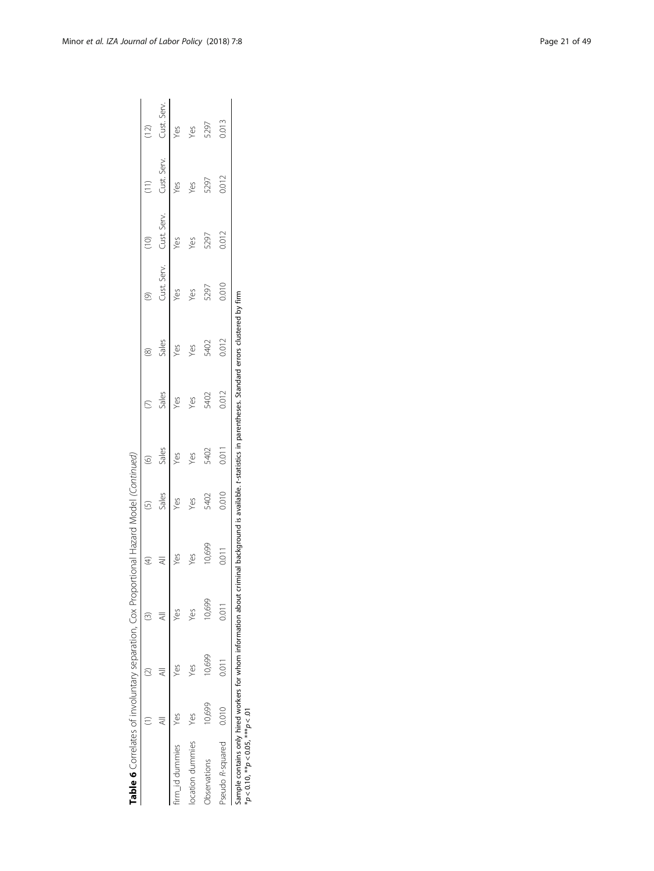| Table 6 Correlates of involuntary separation, Cox Proportional Hazard Model (Continued)                  |        |       |         |                                                                                                |       |                |       |       |                |             |                 |             |
|----------------------------------------------------------------------------------------------------------|--------|-------|---------|------------------------------------------------------------------------------------------------|-------|----------------|-------|-------|----------------|-------------|-----------------|-------------|
|                                                                                                          |        |       |         | E                                                                                              | ⊙     |                |       | ⊚     | $\circledcirc$ |             | $\widehat{\Xi}$ | (12)        |
|                                                                                                          |        |       |         |                                                                                                | Sales | Sales          | Sales | Sales | Cust. Serv.    | Cust. Serv. | Cust. Serv.     | Cust. Serv. |
| firm_id dummies                                                                                          | Yes    | Yes   | уе<br>Х | Yes                                                                                            | Yes   | Yes            | yes   | Yes   | Yes            | Yes         | Yes             | Yes         |
| location dummies                                                                                         | Yes    | Yes   | Yes     | Yes                                                                                            | Yes   | Yes            | Yes   | Yes   | Yes            | Yes         | Yes             | Yes         |
| <b>Jbservations</b>                                                                                      | 10,699 | 0.699 | 0,699   | 0,699                                                                                          | 5402  | 5402           | 5402  | 5402  | 5297           | 5297        | 5297            | 5297        |
| Pseudo R-squared 0.010                                                                                   |        | 0.011 | 0.011   | $-0.01$                                                                                        | 0.010 | $\overline{0}$ | 0.012 | 0.012 | 0.010          | 0.012       | 0.012           | 0.013       |
| Sample contains only hired workers for whom information about cri<br>$*p < 0.10, **p < 0.05, ***p < .01$ |        |       |         | iminal background is available. t-statistics in parentheses. Standard errors clustered by firm |       |                |       |       |                |             |                 |             |

| ļ                                           |
|---------------------------------------------|
|                                             |
|                                             |
| J                                           |
|                                             |
|                                             |
|                                             |
|                                             |
|                                             |
| ļ                                           |
|                                             |
| Ì                                           |
|                                             |
|                                             |
|                                             |
|                                             |
|                                             |
|                                             |
|                                             |
|                                             |
|                                             |
|                                             |
|                                             |
| J                                           |
|                                             |
| l                                           |
|                                             |
|                                             |
|                                             |
| $\frac{1}{2}$<br>I                          |
|                                             |
|                                             |
|                                             |
|                                             |
|                                             |
|                                             |
|                                             |
|                                             |
| j                                           |
|                                             |
|                                             |
|                                             |
|                                             |
|                                             |
|                                             |
|                                             |
|                                             |
|                                             |
|                                             |
|                                             |
|                                             |
|                                             |
|                                             |
|                                             |
|                                             |
|                                             |
| j<br>,                                      |
|                                             |
|                                             |
|                                             |
|                                             |
|                                             |
| ١                                           |
| $\begin{bmatrix} 0 \\ 0 \\ 0 \end{bmatrix}$ |
| $\frac{1}{2}$                               |
|                                             |
| l                                           |
|                                             |
|                                             |
| )<br>1010<br>1010<br>Ē                      |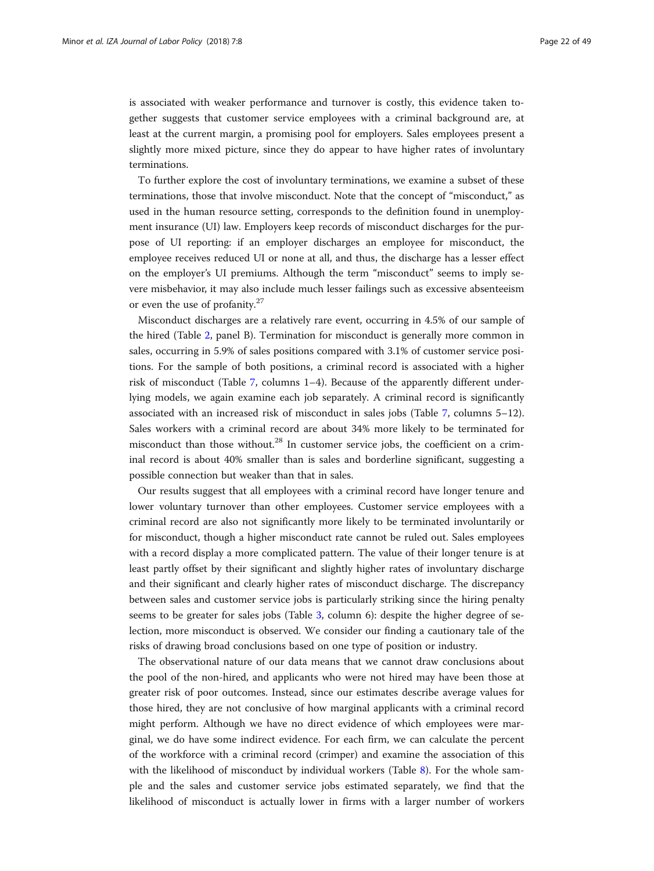is associated with weaker performance and turnover is costly, this evidence taken together suggests that customer service employees with a criminal background are, at least at the current margin, a promising pool for employers. Sales employees present a slightly more mixed picture, since they do appear to have higher rates of involuntary terminations.

To further explore the cost of involuntary terminations, we examine a subset of these terminations, those that involve misconduct. Note that the concept of "misconduct," as used in the human resource setting, corresponds to the definition found in unemployment insurance (UI) law. Employers keep records of misconduct discharges for the purpose of UI reporting: if an employer discharges an employee for misconduct, the employee receives reduced UI or none at all, and thus, the discharge has a lesser effect on the employer's UI premiums. Although the term "misconduct" seems to imply severe misbehavior, it may also include much lesser failings such as excessive absenteeism or even the use of profanity.<sup>27</sup>

Misconduct discharges are a relatively rare event, occurring in 4.5% of our sample of the hired (Table [2](#page-7-0), panel B). Termination for misconduct is generally more common in sales, occurring in 5.9% of sales positions compared with 3.1% of customer service positions. For the sample of both positions, a criminal record is associated with a higher risk of misconduct (Table [7,](#page-22-0) columns 1–4). Because of the apparently different underlying models, we again examine each job separately. A criminal record is significantly associated with an increased risk of misconduct in sales jobs (Table [7,](#page-22-0) columns 5–12). Sales workers with a criminal record are about 34% more likely to be terminated for misconduct than those without. $^{28}$  In customer service jobs, the coefficient on a criminal record is about 40% smaller than is sales and borderline significant, suggesting a possible connection but weaker than that in sales.

Our results suggest that all employees with a criminal record have longer tenure and lower voluntary turnover than other employees. Customer service employees with a criminal record are also not significantly more likely to be terminated involuntarily or for misconduct, though a higher misconduct rate cannot be ruled out. Sales employees with a record display a more complicated pattern. The value of their longer tenure is at least partly offset by their significant and slightly higher rates of involuntary discharge and their significant and clearly higher rates of misconduct discharge. The discrepancy between sales and customer service jobs is particularly striking since the hiring penalty seems to be greater for sales jobs (Table [3,](#page-8-0) column 6): despite the higher degree of selection, more misconduct is observed. We consider our finding a cautionary tale of the risks of drawing broad conclusions based on one type of position or industry.

The observational nature of our data means that we cannot draw conclusions about the pool of the non-hired, and applicants who were not hired may have been those at greater risk of poor outcomes. Instead, since our estimates describe average values for those hired, they are not conclusive of how marginal applicants with a criminal record might perform. Although we have no direct evidence of which employees were marginal, we do have some indirect evidence. For each firm, we can calculate the percent of the workforce with a criminal record (crimper) and examine the association of this with the likelihood of misconduct by individual workers (Table [8\)](#page-25-0). For the whole sample and the sales and customer service jobs estimated separately, we find that the likelihood of misconduct is actually lower in firms with a larger number of workers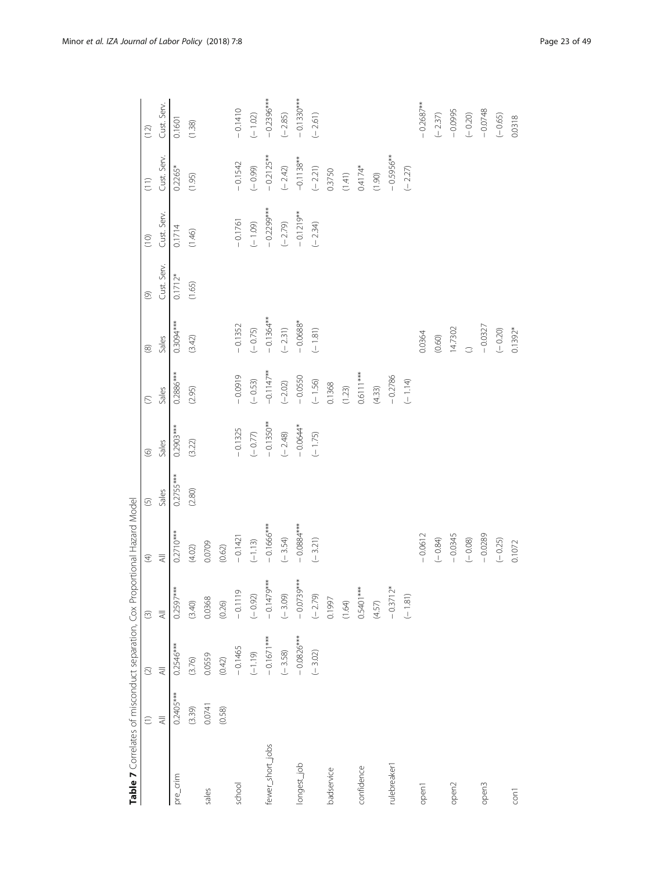<span id="page-22-0"></span>

| Table 7 Correlates of misconduct separation, Cox Proportional Hazard Model | $\widehat{=}$             | $\odot$                   | $\odot$      | $\bigoplus$  | $\odot$     | $\circledcirc$ | $\circlearrowright$ | $\circledR$ | $\circledcirc$ | (10)               | (11)         | $(12)$       |
|----------------------------------------------------------------------------|---------------------------|---------------------------|--------------|--------------|-------------|----------------|---------------------|-------------|----------------|--------------------|--------------|--------------|
|                                                                            | $\overline{\overline{A}}$ | $\overline{\overline{A}}$ | $\equiv$     | $\equiv$     | Sales       | Sales          | Sales               | Sales       | Cust. Serv.    | Cust. Serv.        | Cust. Serv.  | Cust. Serv.  |
| pre_crim                                                                   | $0.2405***$               | $0.2546***$               | $0.2597***$  | $0.2710***$  | $0.2755***$ | $0.2903***$    | $0.2886***$         | $0.3094***$ | $0.1712*$      | $\frac{1}{0.1714}$ | $0.2265*$    | 0.1601       |
|                                                                            | (3.39)                    | (3.76)                    | $(3.40)$     | (4.02)       | (2.80)      | (3.22)         | (2.95)              | (3.42)      | (1.65)         | (1.46)             | (1.95)       | (1.38)       |
| sales                                                                      | 0.0741                    | 0.0559                    | 0.0368       | 0.0709       |             |                |                     |             |                |                    |              |              |
|                                                                            | (0.58)                    | (0.42)                    | (0.26)       | (0.62)       |             |                |                     |             |                |                    |              |              |
| school                                                                     |                           | $-0.1465$                 | $-0.1119$    | $-0.1421$    |             | $-0.1325$      | $-0.0919$           | $-0.1352$   |                | $-0.1761$          | $-0.1542$    | $-0.1410$    |
|                                                                            |                           | $(-1.19)$                 | $(-0.92)$    | $(-1.13)$    |             | $(-0.77)$      | $(-0.53)$           | $(-0.75)$   |                | $(-1.09)$          | $(-0.99)$    | $(-1.02)$    |
| fewer_short_jobs                                                           |                           | $-0.1671***$              | $-0.1479***$ | $-0.1666***$ |             | $-0.1350***$   | $-0.1147**$         | $-0.1364**$ |                | $-0.2299***$       | $-0.2125***$ | $-0.2396***$ |
|                                                                            |                           | $(-3.58)$                 | $(-3.09)$    | $(-3.54)$    |             | $(-2.48)$      | $(-2.02)$           | $(-2.31)$   |                | $(-2.79)$          | $(-2.42)$    | $(-2.85)$    |
| longest_job                                                                |                           | $-0.0826***$              | $-0.0739***$ | $-0.0884***$ |             | $-0.0644*$     | $-0.0550$           | $-0.0688*$  |                | $-0.1219**$        | $-0.1138**$  | $-0.1330***$ |
|                                                                            |                           | $(-3.02)$                 | $(-2.79)$    | $(-3.21)$    |             | $(-1.75)$      | $(-1.56)$           | $(-1.81)$   |                | $(-2.34)$          | $(-2.21)$    | $(-2.61)$    |
| badservice                                                                 |                           |                           | 0.1997       |              |             |                | 0.1368              |             |                |                    | 03750        |              |
|                                                                            |                           |                           | (1.64)       |              |             |                | (1.23)              |             |                |                    | (1.41)       |              |
| confidence                                                                 |                           |                           | $0.5401***$  |              |             |                | $0.6111***$         |             |                |                    | $0.4174*$    |              |
|                                                                            |                           |                           | (4.57)       |              |             |                | (4.33)              |             |                |                    | (0.90)       |              |
| rulebreaker1                                                               |                           |                           | $-0.3712*$   |              |             |                | $-0.2786$           |             |                |                    | $-0.5956***$ |              |
|                                                                            |                           |                           | $(-1.81)$    |              |             |                | $(-1.14)$           |             |                |                    | $(-2.27)$    |              |
| open1                                                                      |                           |                           |              | $-0.0612$    |             |                |                     | 0.0364      |                |                    |              | $-0.2687***$ |
|                                                                            |                           |                           |              | $(-0.84)$    |             |                |                     | (0.60)      |                |                    |              | $(-2.37)$    |
| open2                                                                      |                           |                           |              | $-0.0345$    |             |                |                     | 14.7302     |                |                    |              | $-0.0995$    |
|                                                                            |                           |                           |              | $(-0.08)$    |             |                |                     | $\bigcirc$  |                |                    |              | $(-0.20)$    |
| open3                                                                      |                           |                           |              | $-0.0289$    |             |                |                     | $-0.0327$   |                |                    |              | $-0.0748$    |
|                                                                            |                           |                           |              | $(-0.25)$    |             |                |                     | $(-0.20)$   |                |                    |              | $(-0.65)$    |
| $\overline{c}$                                                             |                           |                           |              | 0.1072       |             |                |                     | $0.1392*$   |                |                    |              | 0.0318       |
|                                                                            |                           |                           |              |              |             |                |                     |             |                |                    |              |              |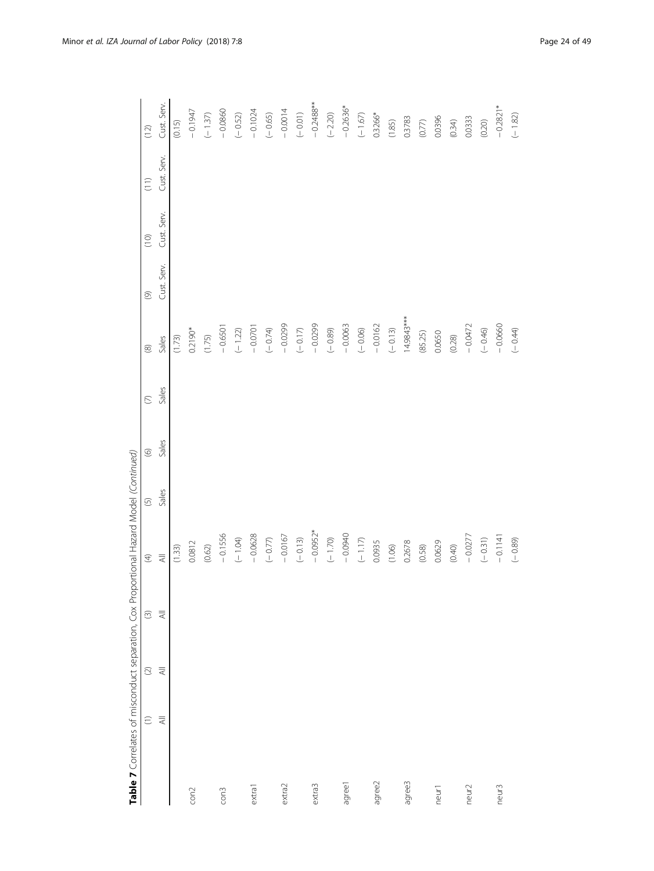| Table 7 Correlates of misconduct separation, Cox Proportional Hazard Model (Continued) |                      |                           |                      |             |         |         |         |             |                |                                                |                                        |              |
|----------------------------------------------------------------------------------------|----------------------|---------------------------|----------------------|-------------|---------|---------|---------|-------------|----------------|------------------------------------------------|----------------------------------------|--------------|
|                                                                                        | $\widehat{z}$        | $\widehat{\odot}$         | $\widehat{\odot}$    | $\bigoplus$ | $\odot$ | $\odot$ | $\odot$ | $\circledR$ | $\circledcirc$ | $\begin{pmatrix} 1 & 0 \\ 0 & 1 \end{pmatrix}$ | $\begin{pmatrix} 1 \\ 0 \end{pmatrix}$ | $(12)$       |
|                                                                                        | $\overline{\approx}$ | $\overline{\preccurlyeq}$ | $\overline{\approx}$ | $\equiv$    | Sales   | Sales   | Sales   | Sales       | Cust. Serv.    | Cust. Serv.                                    | Cust. Serv.                            | Cust. Serv.  |
|                                                                                        |                      |                           |                      | (1.33)      |         |         |         | (1.73)      |                |                                                |                                        | (0.15)       |
| $\frac{2}{\pi}$                                                                        |                      |                           |                      | 0.0812      |         |         |         | $0.2190*$   |                |                                                |                                        | $-0.1947$    |
|                                                                                        |                      |                           |                      | $(0.62)$    |         |         |         | (1.75)      |                |                                                |                                        | $(-1.37)$    |
| con <sub>3</sub>                                                                       |                      |                           |                      | $-0.1556$   |         |         |         | $-0.6501$   |                |                                                |                                        | $-0.0860$    |
|                                                                                        |                      |                           |                      | $(-1.04)$   |         |         |         | $(-1.22)$   |                |                                                |                                        | $(-0.52)$    |
| extra1                                                                                 |                      |                           |                      | $-0.0628$   |         |         |         | $-0.0701$   |                |                                                |                                        | $-0.1024$    |
|                                                                                        |                      |                           |                      | $(-0.77)$   |         |         |         | $(-0.74)$   |                |                                                |                                        | $(-0.65)$    |
| extra2                                                                                 |                      |                           |                      | $-0.0167$   |         |         |         | $-0.0299$   |                |                                                |                                        | $-0.0014$    |
|                                                                                        |                      |                           |                      | $(-0.13)$   |         |         |         | $(-0.17)$   |                |                                                |                                        | $(-0.01)$    |
| extra3                                                                                 |                      |                           |                      | $-0.0952*$  |         |         |         | $-0.0299$   |                |                                                |                                        | $-0.2488***$ |
|                                                                                        |                      |                           |                      | $(-1.70)$   |         |         |         | $(-0.89)$   |                |                                                |                                        | $(-2.20)$    |
| agree1                                                                                 |                      |                           |                      | $-0.0940$   |         |         |         | $-0.0063$   |                |                                                |                                        | $-0.2636*$   |
|                                                                                        |                      |                           |                      | $(-1.17)$   |         |         |         | $(-0.06)$   |                |                                                |                                        | $(-167)$     |
| agree2                                                                                 |                      |                           |                      | 0.0935      |         |         |         | $-0.0162$   |                |                                                |                                        | 0.3266*      |
|                                                                                        |                      |                           |                      | (1.06)      |         |         |         | $(-0.13)$   |                |                                                |                                        | (1.85)       |
| agree3                                                                                 |                      |                           |                      | 0.2678      |         |         |         | 14.9843***  |                |                                                |                                        | 0.3783       |
|                                                                                        |                      |                           |                      | (0.58)      |         |         |         | (85.25)     |                |                                                |                                        | $(0.77)$     |
| neur1                                                                                  |                      |                           |                      | 0.0629      |         |         |         | 0.0650      |                |                                                |                                        | 0.0396       |
|                                                                                        |                      |                           |                      | (0.40)      |         |         |         | (0.28)      |                |                                                |                                        | (0.34)       |
| neur <sub>2</sub>                                                                      |                      |                           |                      | $-0.0277$   |         |         |         | $-0.0472$   |                |                                                |                                        | 0.0333       |
|                                                                                        |                      |                           |                      | $(-0.31)$   |         |         |         | $(-0.46)$   |                |                                                |                                        | (0.20)       |
| neur <sub>3</sub>                                                                      |                      |                           |                      | $-0.1141$   |         |         |         | $-0.0660$   |                |                                                |                                        | $-0.2821*$   |
|                                                                                        |                      |                           |                      | $(-0.89)$   |         |         |         | $(-0.44)$   |                |                                                |                                        | $(-1.82)$    |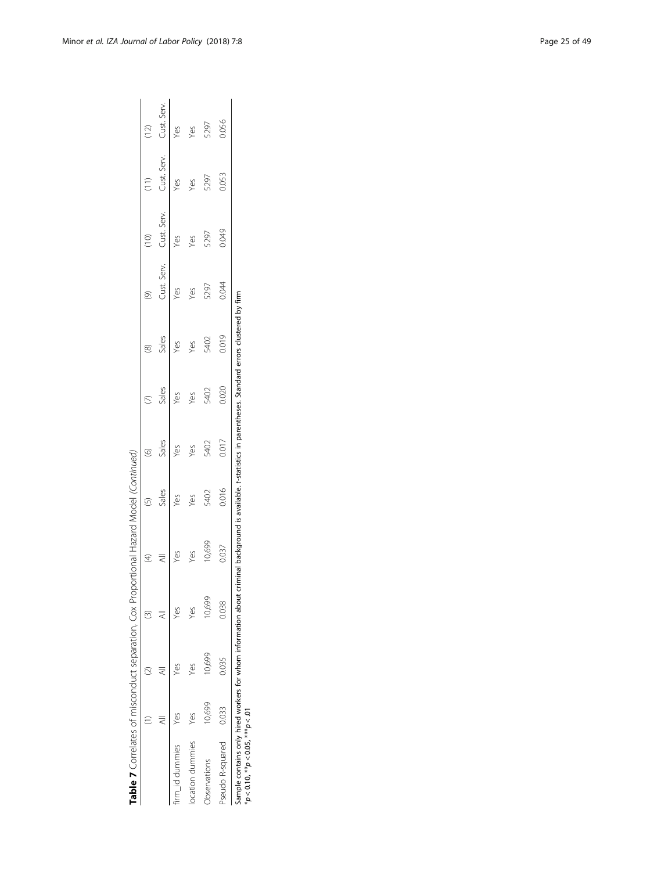|                                                                                                                  |       |       |       |                                                                                                | ⊙     | $\circledcirc$ |       |       |             |             |             | (12)        |
|------------------------------------------------------------------------------------------------------------------|-------|-------|-------|------------------------------------------------------------------------------------------------|-------|----------------|-------|-------|-------------|-------------|-------------|-------------|
|                                                                                                                  |       |       |       |                                                                                                | Sales | Sales          | Sales | Sales | Cust. Serv. | Cust. Serv. | Cust. Serv. | Cust. Serv. |
| firm_id dummies                                                                                                  |       | ès    |       | Yes                                                                                            | Yes   | Yes            | Yes   | Yes   | Yes         | Yes         | Yes         | yes         |
| location dummies                                                                                                 | Yes   | Yes   | Yes   | Yes                                                                                            | Yes   | Yes            | Yes   | Yes   | Yes         | Yes         | Yes         | Yes         |
| <b>Jbservations</b>                                                                                              | 0,699 | 0,699 | 0,699 | 0,699                                                                                          | 5402  | 5402           | 5402  | 5402  | 5297        | 5297        | 5297        | 5297        |
| Pseudo R-squared 0.033                                                                                           |       | 0.035 | 0.038 | 0.037                                                                                          | 0.016 | 0.017          | 0.020 | 0.019 | 0.044       | 0.049       | 0.053       | 0.056       |
| Sample contains only hired workers for whom information about cri<br>* $p < 0.10$ , ** $p < 0.05$ , *** $p < 01$ |       |       |       | iminal background is available. t-statistics in parentheses. Standard errors clustered by firm |       |                |       |       |             |             |             |             |

| י                        |
|--------------------------|
|                          |
|                          |
|                          |
|                          |
|                          |
|                          |
|                          |
| ١<br>j                   |
|                          |
|                          |
|                          |
| J                        |
|                          |
|                          |
|                          |
|                          |
|                          |
|                          |
|                          |
| ī                        |
| i                        |
|                          |
| l                        |
| Ó                        |
|                          |
|                          |
|                          |
|                          |
| ¢<br>ì                   |
|                          |
|                          |
| $\overline{\phantom{a}}$ |
|                          |
| i                        |
|                          |
|                          |
|                          |
|                          |
|                          |
|                          |
| I                        |
|                          |
|                          |
| j                        |
|                          |
| ۱                        |
|                          |
|                          |
|                          |
|                          |
| $\frac{1}{2}$            |
|                          |
|                          |
|                          |
|                          |
|                          |
|                          |
|                          |
| j                        |
|                          |
|                          |
|                          |
| ۱                        |
|                          |
|                          |
|                          |
|                          |
|                          |
|                          |
| i                        |
|                          |
| ׇ֬֘֡                     |
|                          |
|                          |
|                          |
| .<br>.<br>.              |
|                          |
|                          |
|                          |
|                          |
| $\sim$<br>I              |
|                          |
|                          |
| $\overline{1}$           |
|                          |
|                          |
|                          |
|                          |
|                          |
| j<br>١                   |
|                          |
| ľ                        |
| ١                        |
|                          |
|                          |
|                          |
|                          |
|                          |
| ĺ<br>.<br>"              |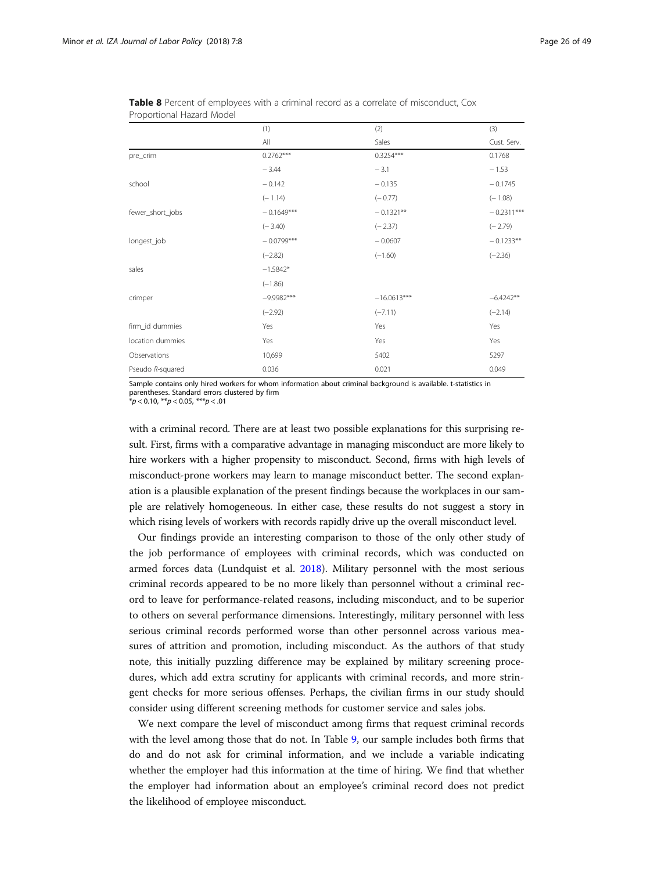|                  | (1)          | (2)           | (3)          |
|------------------|--------------|---------------|--------------|
|                  | All          | Sales         | Cust. Serv.  |
| pre_crim         | $0.2762***$  | $0.3254***$   | 0.1768       |
|                  | $-3.44$      | $-3.1$        | $-1.53$      |
| school           | $-0.142$     | $-0.135$      | $-0.1745$    |
|                  | $(-1.14)$    | $(-0.77)$     | $(-1.08)$    |
| fewer_short_jobs | $-0.1649***$ | $-0.1321**$   | $-0.2311***$ |
|                  | $(-3.40)$    | $(-2.37)$     | $(-2.79)$    |
| longest_job      | $-0.0799***$ | $-0.0607$     | $-0.1233**$  |
|                  | $(-2.82)$    | $(-1.60)$     | $(-2.36)$    |
| sales            | $-1.5842*$   |               |              |
|                  | $(-1.86)$    |               |              |
| crimper          | $-9.9982***$ | $-16.0613***$ | $-6.4242**$  |
|                  | $(-2.92)$    | $(-7.11)$     | $(-2.14)$    |
| firm_id dummies  | Yes          | Yes           | Yes          |
| location dummies | Yes          | Yes           | Yes          |
| Observations     | 10,699       | 5402          | 5297         |
| Pseudo R-squared | 0.036        | 0.021         | 0.049        |

<span id="page-25-0"></span>Table 8 Percent of employees with a criminal record as a correlate of misconduct, Cox Proportional Hazard Model

Sample contains only hired workers for whom information about criminal background is available. t-statistics in parentheses. Standard errors clustered by firm

 $*<sub>p</sub> < 0.10, **<sub>p</sub> < 0.05, ***<sub>p</sub> < 0.01$ 

with a criminal record. There are at least two possible explanations for this surprising result. First, firms with a comparative advantage in managing misconduct are more likely to hire workers with a higher propensity to misconduct. Second, firms with high levels of misconduct-prone workers may learn to manage misconduct better. The second explanation is a plausible explanation of the present findings because the workplaces in our sample are relatively homogeneous. In either case, these results do not suggest a story in which rising levels of workers with records rapidly drive up the overall misconduct level.

Our findings provide an interesting comparison to those of the only other study of the job performance of employees with criminal records, which was conducted on armed forces data (Lundquist et al. [2018](#page-48-0)). Military personnel with the most serious criminal records appeared to be no more likely than personnel without a criminal record to leave for performance-related reasons, including misconduct, and to be superior to others on several performance dimensions. Interestingly, military personnel with less serious criminal records performed worse than other personnel across various measures of attrition and promotion, including misconduct. As the authors of that study note, this initially puzzling difference may be explained by military screening procedures, which add extra scrutiny for applicants with criminal records, and more stringent checks for more serious offenses. Perhaps, the civilian firms in our study should consider using different screening methods for customer service and sales jobs.

We next compare the level of misconduct among firms that request criminal records with the level among those that do not. In Table [9](#page-26-0), our sample includes both firms that do and do not ask for criminal information, and we include a variable indicating whether the employer had this information at the time of hiring. We find that whether the employer had information about an employee's criminal record does not predict the likelihood of employee misconduct.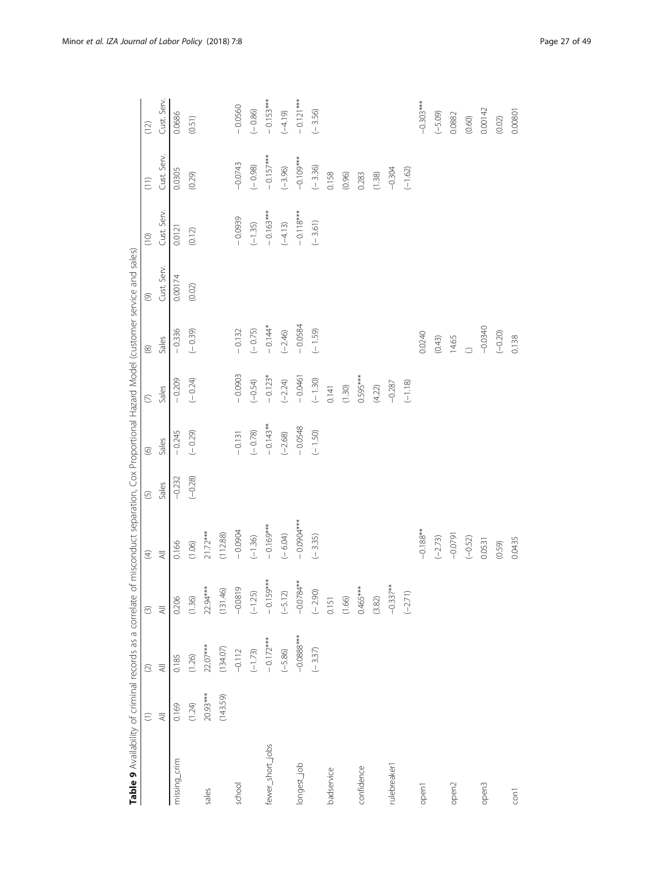<span id="page-26-0"></span>

| Table 9 Availability of criminal records as a correlate of misconduct separation, Cox Proportional Hazard Model (customer service and sales) |                    |                   |                   |                         |                |                   |            |                |                |             |             |             |
|----------------------------------------------------------------------------------------------------------------------------------------------|--------------------|-------------------|-------------------|-------------------------|----------------|-------------------|------------|----------------|----------------|-------------|-------------|-------------|
|                                                                                                                                              | $\widehat{\equiv}$ | $\widehat{\odot}$ | $\widehat{\odot}$ | $\widehat{\mathcal{L}}$ | $\overline{6}$ | $\widehat{\odot}$ | $\circ$    | $\circledcirc$ | $\circledcirc$ | (10)        | (11)        | $(12)$      |
|                                                                                                                                              | $\equiv$           | $\equiv$          | $\equiv$          | $\equiv$                | Sales          | Sales             | Sales      | Sales          | Cust. Serv.    | Cust. Serv. | Cust. Serv. | Cust. Serv. |
| missing_crim                                                                                                                                 | 0.169              | 0.185             | 0.206             | 0.166                   | $-0.232$       | $-0.245$          | $-0.209$   | $-0.336$       | 0.00174        | 0.0121      | 0.0305      | 0.0686      |
|                                                                                                                                              | (1.24)             | (1.26)            | (1.36)            | (1.06)                  | $(-0.28)$      | $(-0.29)$         | $(-0.24)$  | $(-0.39)$      | $(0.02)$       | (0.12)      | (62.0)      | (0.51)      |
| sales                                                                                                                                        | $20.93***$         | $22.07***$        | 22.94***          | $21.72***$              |                |                   |            |                |                |             |             |             |
|                                                                                                                                              | (143.59)           | (134.07)          | (131.46)          | (112.88)                |                |                   |            |                |                |             |             |             |
| school                                                                                                                                       |                    | $-0.112$          | $-0.0819$         | $-0.0904$               |                | $-0.131$          | $-0.0903$  | $-0.132$       |                | $-0.0939$   | $-0.0743$   | $-0.0560$   |
|                                                                                                                                              |                    | $(-1.73)$         | $(-1.25)$         | $(-1.36)$               |                | $(-\,0.78)$       | $(-0.54)$  | $(-0.75)$      |                | $(-1.35)$   | $(-0.98)$   | $(-0.86)$   |
| fewer_short_jobs                                                                                                                             |                    | $-0.172***$       | $-0.159***$       | $-0.169***$             |                | $-0.143**$        | $-0.123*$  | $-0.144*$      |                | $-0.163***$ | $-0.157***$ | $-0.153***$ |
|                                                                                                                                              |                    | $(-5.86)$         | $(-5.12)$         | $(-6.04)$               |                | $(-2.68)$         | $(-2.24)$  | $(-2.46)$      |                | $(-4.13)$   | $(-3.96)$   | $(-4.19)$   |
| longest_job                                                                                                                                  |                    | $-0.0888***$      | $-0.0784**$       | $-0.0904***$            |                | $-0.0548$         | $-0.0461$  | $-0.0584$      |                | $-0.118***$ | $-0.109***$ | $-0.121***$ |
|                                                                                                                                              |                    | $(-3.37)$         | $(-2.90)$         | $(-3.35)$               |                | $(-1.50)$         | $(-1.30)$  | $(-1.59)$      |                | $(-3.61)$   | $(-3.36)$   | $(-3.56)$   |
| badservice                                                                                                                                   |                    |                   | 0.151             |                         |                |                   | 0.141      |                |                |             | 0.158       |             |
|                                                                                                                                              |                    |                   | (1.66)            |                         |                |                   | (1.30)     |                |                |             | (0.96)      |             |
| confidence                                                                                                                                   |                    |                   | $0.465***$        |                         |                |                   | $0.595***$ |                |                |             | 0.283       |             |
|                                                                                                                                              |                    |                   | (3.82)            |                         |                |                   | (4.22)     |                |                |             | (1.38)      |             |
| rulebreaker1                                                                                                                                 |                    |                   | $-0.337**$        |                         |                |                   | $-0.287$   |                |                |             | $-0.304$    |             |
|                                                                                                                                              |                    |                   | $(-2.71)$         |                         |                |                   | $(-1.18)$  |                |                |             | $(-1.62)$   |             |
| open1                                                                                                                                        |                    |                   |                   | $-0.188**$              |                |                   |            | 0.0240         |                |             |             | $-0.303***$ |
|                                                                                                                                              |                    |                   |                   | $(-2.73)$               |                |                   |            | (0.43)         |                |             |             | $(-5.09)$   |
| open2                                                                                                                                        |                    |                   |                   | $-0.0791$               |                |                   |            | 14.65          |                |             |             | 0.0882      |
|                                                                                                                                              |                    |                   |                   | $(-0.52)$               |                |                   |            | $\circ$        |                |             |             | (0.60)      |
| open3                                                                                                                                        |                    |                   |                   | 0.0531                  |                |                   |            | $-0.0340$      |                |             |             | 0.00142     |
|                                                                                                                                              |                    |                   |                   | (0.59)                  |                |                   |            | $(-0.20)$      |                |             |             | $(0.02)$    |
| $\overline{c}$                                                                                                                               |                    |                   |                   | 0.0435                  |                |                   |            | 0.138          |                |             |             | 0.00801     |
|                                                                                                                                              |                    |                   |                   |                         |                |                   |            |                |                |             |             |             |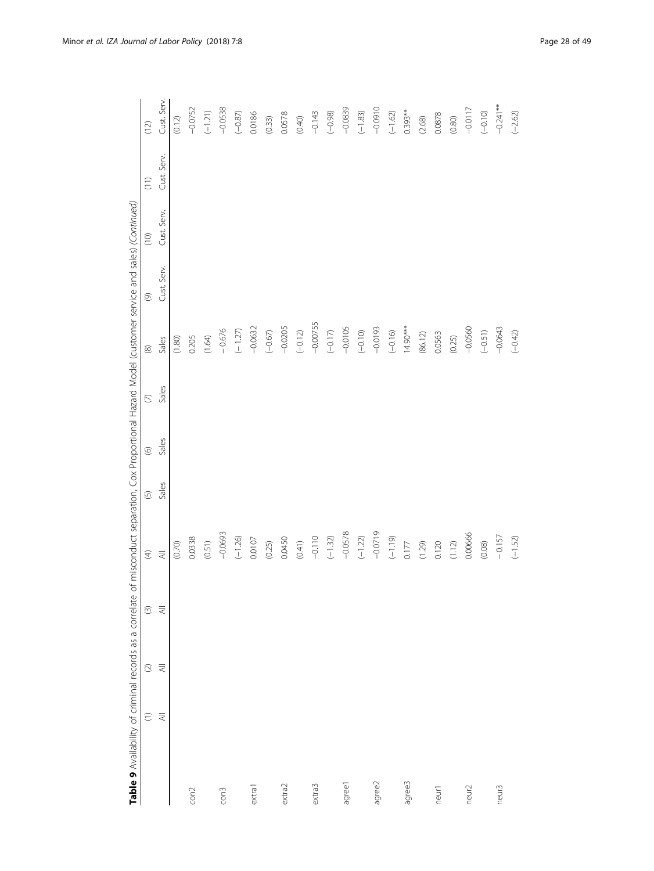| Table 9 Availability of criminal records as a correlate |                 |                   |                   | of misconduct separation, Cox Proportional Hazard Model (customer service and sales) (Continued) |                   |                   |                     |             |                |                                                     |                   |             |
|---------------------------------------------------------|-----------------|-------------------|-------------------|--------------------------------------------------------------------------------------------------|-------------------|-------------------|---------------------|-------------|----------------|-----------------------------------------------------|-------------------|-------------|
|                                                         | $\widehat{\in}$ | $\widehat{\odot}$ | $\widehat{\odot}$ | $\widehat{\mathfrak{X}}$                                                                         | $\widehat{\odot}$ | $\widehat{\odot}$ | $\circlearrowright$ | $\circledR$ | $\circledcirc$ | $\begin{array}{c} \n\odot \\ \n\odot \n\end{array}$ | $\left(11\right)$ | (12)        |
|                                                         | $\equiv$        | $\equiv$          | $\equiv$          | $\overline{\overline{\mathcal{A}}}$                                                              | Sales             | Sales             | Sales               | Sales       | Cust. Serv.    | Cust. Serv.                                         | Cust. Serv.       | Cust. Serv. |
|                                                         |                 |                   |                   | $(0.70)$                                                                                         |                   |                   |                     | (1.80)      |                |                                                     |                   | (0.12)      |
| $\frac{2}{\pi}$                                         |                 |                   |                   | 0.0338                                                                                           |                   |                   |                     | 0.205       |                |                                                     |                   | $-0.0752$   |
|                                                         |                 |                   |                   | (0.51)                                                                                           |                   |                   |                     | (1.64)      |                |                                                     |                   | $(-1.21)$   |
| $\cos^2$                                                |                 |                   |                   | $-0.0693$                                                                                        |                   |                   |                     | $-0.676$    |                |                                                     |                   | $-0.0538$   |
|                                                         |                 |                   |                   | $(-1.26)$                                                                                        |                   |                   |                     | $(-1.27)$   |                |                                                     |                   | $(-0.87)$   |
| extra1                                                  |                 |                   |                   | 0.0107                                                                                           |                   |                   |                     | $-0.0632$   |                |                                                     |                   | 0.0186      |
|                                                         |                 |                   |                   | (0.25)                                                                                           |                   |                   |                     | $(-0.67)$   |                |                                                     |                   | (0.33)      |
| extra2                                                  |                 |                   |                   | 0.0450                                                                                           |                   |                   |                     | $-0.0205$   |                |                                                     |                   | 0.0578      |
|                                                         |                 |                   |                   | (0.41)                                                                                           |                   |                   |                     | $(-0.12)$   |                |                                                     |                   | (0.40)      |
| extra3                                                  |                 |                   |                   | $-0.110$                                                                                         |                   |                   |                     | $-0.00755$  |                |                                                     |                   | $-0.143$    |
|                                                         |                 |                   |                   | $(-1.32)$                                                                                        |                   |                   |                     | $(-0.17)$   |                |                                                     |                   | $(-0.98)$   |
| agree1                                                  |                 |                   |                   | $-0.0578$                                                                                        |                   |                   |                     | $-0.0105$   |                |                                                     |                   | $-0.0839$   |
|                                                         |                 |                   |                   | $(-1.22)$                                                                                        |                   |                   |                     | $(-0.10)$   |                |                                                     |                   | $(-1.83)$   |
| agree2                                                  |                 |                   |                   | $-0.0719$                                                                                        |                   |                   |                     | $-0.0193$   |                |                                                     |                   | $-0.0910$   |
|                                                         |                 |                   |                   | $(-1.19)$                                                                                        |                   |                   |                     | $(-0.16)$   |                |                                                     |                   | $(-1.62)$   |
| agree3                                                  |                 |                   |                   | 0.177                                                                                            |                   |                   |                     | $14.90***$  |                |                                                     |                   | $0.393**$   |
|                                                         |                 |                   |                   | (1.29)                                                                                           |                   |                   |                     | (86.12)     |                |                                                     |                   | (2.68)      |
| neur1                                                   |                 |                   |                   | 0.120                                                                                            |                   |                   |                     | 0.0563      |                |                                                     |                   | 0.0878      |
|                                                         |                 |                   |                   | (1.12)                                                                                           |                   |                   |                     | (0.25)      |                |                                                     |                   | (0.80)      |
| neur <sub>2</sub>                                       |                 |                   |                   | 0.00666                                                                                          |                   |                   |                     | $-0.0560$   |                |                                                     |                   | $-0.0117$   |
|                                                         |                 |                   |                   | $(0.08)$                                                                                         |                   |                   |                     | $(-0.51)$   |                |                                                     |                   | $(-0.10)$   |
| neur <sub>3</sub>                                       |                 |                   |                   | $-0.157$                                                                                         |                   |                   |                     | $-0.0643$   |                |                                                     |                   | $-0.241**$  |
|                                                         |                 |                   |                   | $(-1.52)$                                                                                        |                   |                   |                     | $(-0.42)$   |                |                                                     |                   | $(-2.62)$   |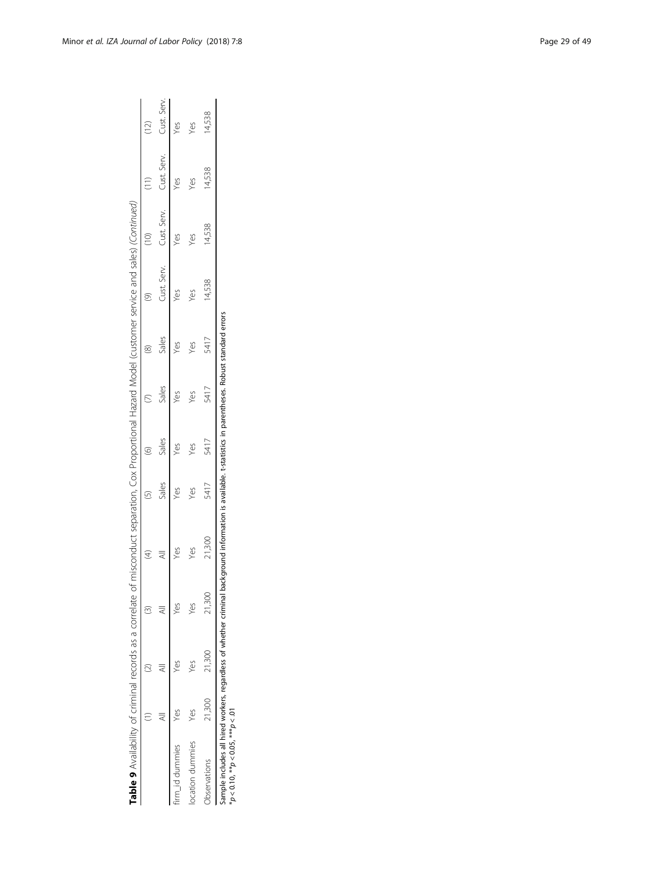|                                                                                                                                                                                                             |        |        |        |        | įŋ    | Š     |       | ⊚     | ⊚           |             |             |             |
|-------------------------------------------------------------------------------------------------------------------------------------------------------------------------------------------------------------|--------|--------|--------|--------|-------|-------|-------|-------|-------------|-------------|-------------|-------------|
|                                                                                                                                                                                                             |        |        |        |        | Sales | Sales | Sales | Sales | Cust. Serv. | Cust. Serv. | Cust. Serv. | Cust. Serv. |
| im <sub>1</sub> id dummies                                                                                                                                                                                  | Yes    |        |        | γeς    | yes   | Yes   | Yes   | Yes   | yes         | γes         | š           | es)         |
| ocation dummies                                                                                                                                                                                             | Yes    | Yes    | Yes    | Yes    | Yes   | Yes   | Yes   | Yes   | és          | Č           | Yes         | Č           |
| bservations                                                                                                                                                                                                 | 21,300 | 21,300 | 21,300 | 21,300 | 5417  | 5417  | 5417  | 5417  | 14,538      | 14,538      | 14,538      | 14,538      |
| Sample includes all hired workers, regardless of whether criminal background information is available. t-statistics in parentheses. Robust standard errors<br>$*_{p}$ < 0.10, $*_{p}$ < 0.05, $*_{p}$ < 0.1 |        |        |        |        |       |       |       |       |             |             |             |             |

| ī                                                                                |
|----------------------------------------------------------------------------------|
| 5<br>i<br>١<br>j                                                                 |
| ï<br>Ś                                                                           |
| ¢<br>¢                                                                           |
| I<br>j                                                                           |
| l<br>Ï<br>j                                                                      |
| i<br>֖֖֖֖֖֖֖֖֖֖֖֧ׅ֖֖֖֧֚֚֚֚֚֚֚֚֚֚֚֚֚֚֚֚֚֚֚֚֚֚֚֚֚֚֚֚֚֬֝֓֞֡֡֬֓֡֬֓֞֬֞֝<br>j          |
| 7<br>ׅ֚֡֝֬֝                                                                      |
| ۲.<br>م<br>l<br>1                                                                |
| ļ<br>$\frac{1}{2}$                                                               |
| ---<br>i                                                                         |
| l<br>Ó<br>l                                                                      |
| Ò                                                                                |
| )<br>7<br>7                                                                      |
| ֧֖֖֖֖֖֖֖֖֖֖֖֖֖֖֖֧֪֪֪ׅ֚֚֚֚֚֚֚֚֚֚֚֚֚֚֚֚֚֚֚֚֚֚֬֝֬֝֓֓֬֓֬֓֞֓֬֝֓֬<br>j                 |
| İ<br>j<br>J                                                                      |
| $\frac{1}{3}$<br>5<br>ź<br>i                                                     |
| 5                                                                                |
| 1<br>1<br>í<br>j                                                                 |
| d<br>j<br>Ī                                                                      |
| í<br>i                                                                           |
| d<br>١                                                                           |
| ١                                                                                |
| ١<br>١                                                                           |
| ١                                                                                |
| ļ<br>ć<br>ミリー                                                                    |
| I                                                                                |
| ¢<br>١                                                                           |
| i<br>Ï                                                                           |
| 5<br>)<br>¢                                                                      |
| ã<br>J                                                                           |
| ï<br>֚֬֕                                                                         |
| ì<br>֖֖֖֖֧ׅ֧֪֧֚֚֚֚֚֚֚֚֚֚֚֚֚֚֚֚֚֚֚֚֚֚֚֚֚֚֚֚֬֝֝֝֝֓֞֡֝֓֞                            |
| ١<br>j<br>j<br>ï                                                                 |
| Į                                                                                |
| ֖֖֖֖֖֖֖֧ׅ֪֪ׅ֖֧֧֪֪֪֪֪֪֪֪֪֪֪֪֪֪֪֪֪֪֪֪֪֪֪֪֪֪֪֪֪֪֪֚֚֚֚֚֚֚֚֚֚֚֚֚֚֚֚֚֚֚֚֚֚֚֚֚֚֚֬֝֝֓֞֝֬ |
| $\overline{a}$<br>J<br>I<br>$\ddot{ }$                                           |
| ī                                                                                |
| iver<br>NYYQ.<br>ׇ֚֬֡                                                            |
| í                                                                                |
| م<br>،<br>í<br>¢                                                                 |
| í                                                                                |
| ن<br>Sopt                                                                        |
|                                                                                  |
| d                                                                                |
|                                                                                  |
| l                                                                                |
|                                                                                  |
|                                                                                  |
|                                                                                  |
|                                                                                  |
|                                                                                  |
|                                                                                  |
|                                                                                  |
|                                                                                  |
| ļ                                                                                |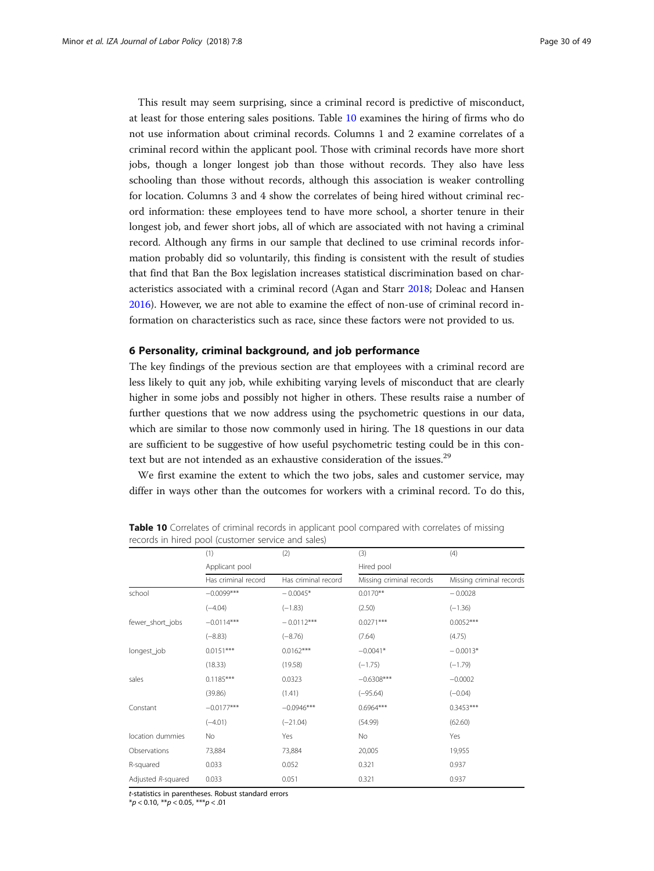<span id="page-29-0"></span>This result may seem surprising, since a criminal record is predictive of misconduct, at least for those entering sales positions. Table 10 examines the hiring of firms who do not use information about criminal records. Columns 1 and 2 examine correlates of a criminal record within the applicant pool. Those with criminal records have more short jobs, though a longer longest job than those without records. They also have less schooling than those without records, although this association is weaker controlling for location. Columns 3 and 4 show the correlates of being hired without criminal record information: these employees tend to have more school, a shorter tenure in their longest job, and fewer short jobs, all of which are associated with not having a criminal record. Although any firms in our sample that declined to use criminal records information probably did so voluntarily, this finding is consistent with the result of studies that find that Ban the Box legislation increases statistical discrimination based on characteristics associated with a criminal record (Agan and Starr [2018](#page-47-0); Doleac and Hansen [2016](#page-48-0)). However, we are not able to examine the effect of non-use of criminal record information on characteristics such as race, since these factors were not provided to us.

# 6 Personality, criminal background, and job performance

The key findings of the previous section are that employees with a criminal record are less likely to quit any job, while exhibiting varying levels of misconduct that are clearly higher in some jobs and possibly not higher in others. These results raise a number of further questions that we now address using the psychometric questions in our data, which are similar to those now commonly used in hiring. The 18 questions in our data are sufficient to be suggestive of how useful psychometric testing could be in this context but are not intended as an exhaustive consideration of the issues.<sup>29</sup>

We first examine the extent to which the two jobs, sales and customer service, may differ in ways other than the outcomes for workers with a criminal record. To do this,

|                    | (1)                 | (2)                 | (3)                      | (4)                      |
|--------------------|---------------------|---------------------|--------------------------|--------------------------|
|                    | Applicant pool      |                     | Hired pool               |                          |
|                    | Has criminal record | Has criminal record | Missing criminal records | Missing criminal records |
| school             | $-0.0099***$        | $-0.0045*$          | $0.0170**$               | $-0.0028$                |
|                    | $(-4.04)$           | $(-1.83)$           | (2.50)                   | $(-1.36)$                |
| fewer_short_jobs   | $-0.0114***$        | $-0.0112***$        | $0.0271***$              | $0.0052***$              |
|                    | $(-8.83)$           | $(-8.76)$           | (7.64)                   | (4.75)                   |
| longest_job        | $0.0151***$         | $0.0162***$         | $-0.0041*$               | $-0.0013*$               |
|                    | (18.33)             | (19.58)             | $(-1.75)$                | $(-1.79)$                |
| sales              | $0.1185***$         | 0.0323              | $-0.6308***$             | $-0.0002$                |
|                    | (39.86)             | (1.41)              | $(-95.64)$               | $(-0.04)$                |
| Constant           | $-0.0177***$        | $-0.0946***$        | $0.6964***$              | $0.3453***$              |
|                    | $(-4.01)$           | $(-21.04)$          | (54.99)                  | (62.60)                  |
| location dummies   | No                  | Yes                 | No                       | Yes                      |
| Observations       | 73,884              | 73,884              | 20,005                   | 19,955                   |
| R-squared          | 0.033               | 0.052               | 0.321                    | 0.937                    |
| Adjusted R-squared | 0.033               | 0.051               | 0.321                    | 0.937                    |

**Table 10** Correlates of criminal records in applicant pool compared with correlates of missing records in hired pool (customer service and sales)

t-statistics in parentheses. Robust standard errors

 $*p < 0.10, **p < 0.05, **p < .01$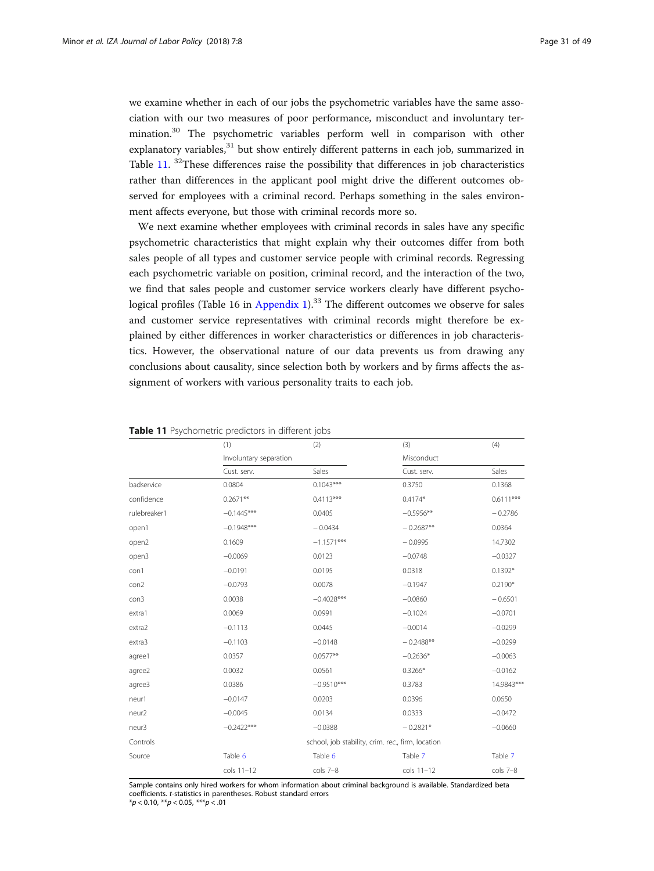<span id="page-30-0"></span>we examine whether in each of our jobs the psychometric variables have the same association with our two measures of poor performance, misconduct and involuntary termination.<sup>30</sup> The psychometric variables perform well in comparison with other explanatory variables,<sup>31</sup> but show entirely different patterns in each job, summarized in Table 11. <sup>32</sup>These differences raise the possibility that differences in job characteristics rather than differences in the applicant pool might drive the different outcomes observed for employees with a criminal record. Perhaps something in the sales environment affects everyone, but those with criminal records more so.

We next examine whether employees with criminal records in sales have any specific psychometric characteristics that might explain why their outcomes differ from both sales people of all types and customer service people with criminal records. Regressing each psychometric variable on position, criminal record, and the interaction of the two, we find that sales people and customer service workers clearly have different psycho-logical profiles (Table 16 in [Appendix 1](#page-38-0)).<sup>33</sup> The different outcomes we observe for sales and customer service representatives with criminal records might therefore be explained by either differences in worker characteristics or differences in job characteristics. However, the observational nature of our data prevents us from drawing any conclusions about causality, since selection both by workers and by firms affects the assignment of workers with various personality traits to each job.

|                   | (1)                    | (2)           | (3)                                               | (4)           |
|-------------------|------------------------|---------------|---------------------------------------------------|---------------|
|                   | Involuntary separation |               | Misconduct                                        |               |
|                   | Cust. serv.            | Sales         | Cust. serv.                                       | Sales         |
| badservice        | 0.0804                 | $0.1043***$   | 0.3750                                            | 0.1368        |
| confidence        | $0.2671**$             | $0.4113***$   | $0.4174*$                                         | $0.6111***$   |
| rulebreaker1      | $-0.1445***$           | 0.0405        | $-0.5956**$                                       | $-0.2786$     |
| open1             | $-0.1948***$           | $-0.0434$     | $-0.2687**$                                       | 0.0364        |
| open2             | 0.1609                 | $-1.1571***$  | $-0.0995$                                         | 14.7302       |
| open3             | $-0.0069$              | 0.0123        | $-0.0748$                                         | $-0.0327$     |
| con1              | $-0.0191$              | 0.0195        | 0.0318                                            | $0.1392*$     |
| con2              | $-0.0793$              | 0.0078        | $-0.1947$                                         | $0.2190*$     |
| con3              | 0.0038                 | $-0.4028***$  | $-0.0860$                                         | $-0.6501$     |
| extra1            | 0.0069                 | 0.0991        | $-0.1024$                                         | $-0.0701$     |
| extra2            | $-0.1113$              | 0.0445        | $-0.0014$                                         | $-0.0299$     |
| extra3            | $-0.1103$              | $-0.0148$     | $-0.2488**$                                       | $-0.0299$     |
| agree1            | 0.0357                 | $0.0577**$    | $-0.2636*$                                        | $-0.0063$     |
| agree2            | 0.0032                 | 0.0561        | $0.3266*$                                         | $-0.0162$     |
| agree3            | 0.0386                 | $-0.9510***$  | 0.3783                                            | 14.9843***    |
| neur1             | $-0.0147$              | 0.0203        | 0.0396                                            | 0.0650        |
| neur <sub>2</sub> | $-0.0045$              | 0.0134        | 0.0333                                            | $-0.0472$     |
| neur3             | $-0.2422***$           | $-0.0388$     | $-0.2821*$                                        | $-0.0660$     |
| Controls          |                        |               | school, job stability, crim. rec., firm, location |               |
| Source            | Table 6                | Table 6       | Table 7                                           | Table 7       |
|                   | cols 11-12             | $\cosh 7 - 8$ | cols 11-12                                        | $\cosh 7 - 8$ |

|  | Table 11 Psychometric predictors in different jobs |  |  |  |  |
|--|----------------------------------------------------|--|--|--|--|
|--|----------------------------------------------------|--|--|--|--|

Sample contains only hired workers for whom information about criminal background is available. Standardized beta coefficients. t-statistics in parentheses. Robust standard errors

 $*p < 0.10, **p < 0.05, **p < .01$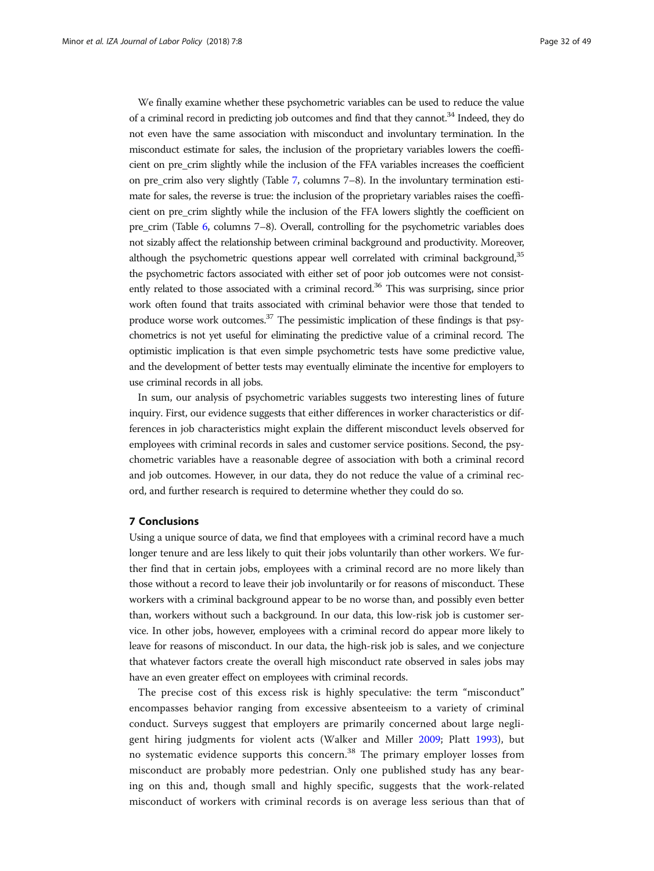We finally examine whether these psychometric variables can be used to reduce the value of a criminal record in predicting job outcomes and find that they cannot.<sup>34</sup> Indeed, they do not even have the same association with misconduct and involuntary termination. In the misconduct estimate for sales, the inclusion of the proprietary variables lowers the coefficient on pre\_crim slightly while the inclusion of the FFA variables increases the coefficient on pre crim also very slightly (Table [7,](#page-22-0) columns 7–8). In the involuntary termination estimate for sales, the reverse is true: the inclusion of the proprietary variables raises the coefficient on pre\_crim slightly while the inclusion of the FFA lowers slightly the coefficient on pre\_crim (Table [6](#page-18-0), columns 7–8). Overall, controlling for the psychometric variables does not sizably affect the relationship between criminal background and productivity. Moreover, although the psychometric questions appear well correlated with criminal background, $35$ the psychometric factors associated with either set of poor job outcomes were not consistently related to those associated with a criminal record.<sup>36</sup> This was surprising, since prior work often found that traits associated with criminal behavior were those that tended to produce worse work outcomes. $37$  The pessimistic implication of these findings is that psychometrics is not yet useful for eliminating the predictive value of a criminal record. The optimistic implication is that even simple psychometric tests have some predictive value, and the development of better tests may eventually eliminate the incentive for employers to use criminal records in all jobs.

In sum, our analysis of psychometric variables suggests two interesting lines of future inquiry. First, our evidence suggests that either differences in worker characteristics or differences in job characteristics might explain the different misconduct levels observed for employees with criminal records in sales and customer service positions. Second, the psychometric variables have a reasonable degree of association with both a criminal record and job outcomes. However, in our data, they do not reduce the value of a criminal record, and further research is required to determine whether they could do so.

# 7 Conclusions

Using a unique source of data, we find that employees with a criminal record have a much longer tenure and are less likely to quit their jobs voluntarily than other workers. We further find that in certain jobs, employees with a criminal record are no more likely than those without a record to leave their job involuntarily or for reasons of misconduct. These workers with a criminal background appear to be no worse than, and possibly even better than, workers without such a background. In our data, this low-risk job is customer service. In other jobs, however, employees with a criminal record do appear more likely to leave for reasons of misconduct. In our data, the high-risk job is sales, and we conjecture that whatever factors create the overall high misconduct rate observed in sales jobs may have an even greater effect on employees with criminal records.

The precise cost of this excess risk is highly speculative: the term "misconduct" encompasses behavior ranging from excessive absenteeism to a variety of criminal conduct. Surveys suggest that employers are primarily concerned about large negligent hiring judgments for violent acts (Walker and Miller [2009](#page-48-0); Platt [1993](#page-48-0)), but no systematic evidence supports this concern.<sup>38</sup> The primary employer losses from misconduct are probably more pedestrian. Only one published study has any bearing on this and, though small and highly specific, suggests that the work-related misconduct of workers with criminal records is on average less serious than that of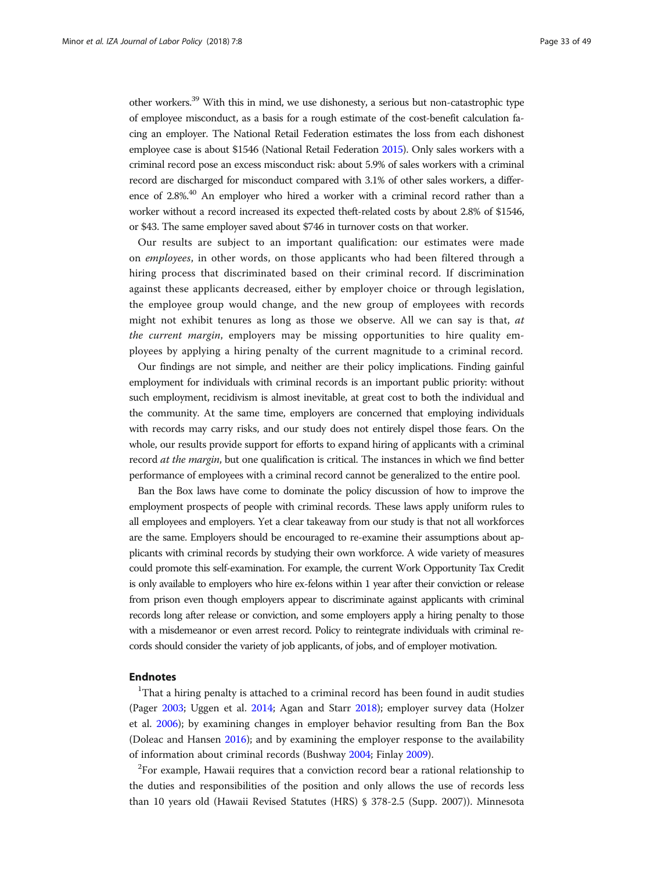other workers.39 With this in mind, we use dishonesty, a serious but non-catastrophic type of employee misconduct, as a basis for a rough estimate of the cost-benefit calculation facing an employer. The National Retail Federation estimates the loss from each dishonest employee case is about \$1546 (National Retail Federation [2015](#page-48-0)). Only sales workers with a criminal record pose an excess misconduct risk: about 5.9% of sales workers with a criminal record are discharged for misconduct compared with 3.1% of other sales workers, a difference of 2.8%.40 An employer who hired a worker with a criminal record rather than a worker without a record increased its expected theft-related costs by about 2.8% of \$1546, or \$43. The same employer saved about \$746 in turnover costs on that worker.

Our results are subject to an important qualification: our estimates were made on employees, in other words, on those applicants who had been filtered through a hiring process that discriminated based on their criminal record. If discrimination against these applicants decreased, either by employer choice or through legislation, the employee group would change, and the new group of employees with records might not exhibit tenures as long as those we observe. All we can say is that, at the current margin, employers may be missing opportunities to hire quality employees by applying a hiring penalty of the current magnitude to a criminal record.

Our findings are not simple, and neither are their policy implications. Finding gainful employment for individuals with criminal records is an important public priority: without such employment, recidivism is almost inevitable, at great cost to both the individual and the community. At the same time, employers are concerned that employing individuals with records may carry risks, and our study does not entirely dispel those fears. On the whole, our results provide support for efforts to expand hiring of applicants with a criminal record at the margin, but one qualification is critical. The instances in which we find better performance of employees with a criminal record cannot be generalized to the entire pool.

Ban the Box laws have come to dominate the policy discussion of how to improve the employment prospects of people with criminal records. These laws apply uniform rules to all employees and employers. Yet a clear takeaway from our study is that not all workforces are the same. Employers should be encouraged to re-examine their assumptions about applicants with criminal records by studying their own workforce. A wide variety of measures could promote this self-examination. For example, the current Work Opportunity Tax Credit is only available to employers who hire ex-felons within 1 year after their conviction or release from prison even though employers appear to discriminate against applicants with criminal records long after release or conviction, and some employers apply a hiring penalty to those with a misdemeanor or even arrest record. Policy to reintegrate individuals with criminal records should consider the variety of job applicants, of jobs, and of employer motivation.

# Endnotes

<sup>1</sup>That a hiring penalty is attached to a criminal record has been found in audit studies (Pager [2003](#page-48-0); Uggen et al. [2014;](#page-48-0) Agan and Starr [2018](#page-47-0)); employer survey data (Holzer et al. [2006](#page-48-0)); by examining changes in employer behavior resulting from Ban the Box (Doleac and Hansen [2016\)](#page-48-0); and by examining the employer response to the availability of information about criminal records (Bushway [2004;](#page-47-0) Finlay [2009\)](#page-48-0).

 $2$ For example, Hawaii requires that a conviction record bear a rational relationship to the duties and responsibilities of the position and only allows the use of records less than 10 years old (Hawaii Revised Statutes (HRS) § 378-2.5 (Supp. 2007)). Minnesota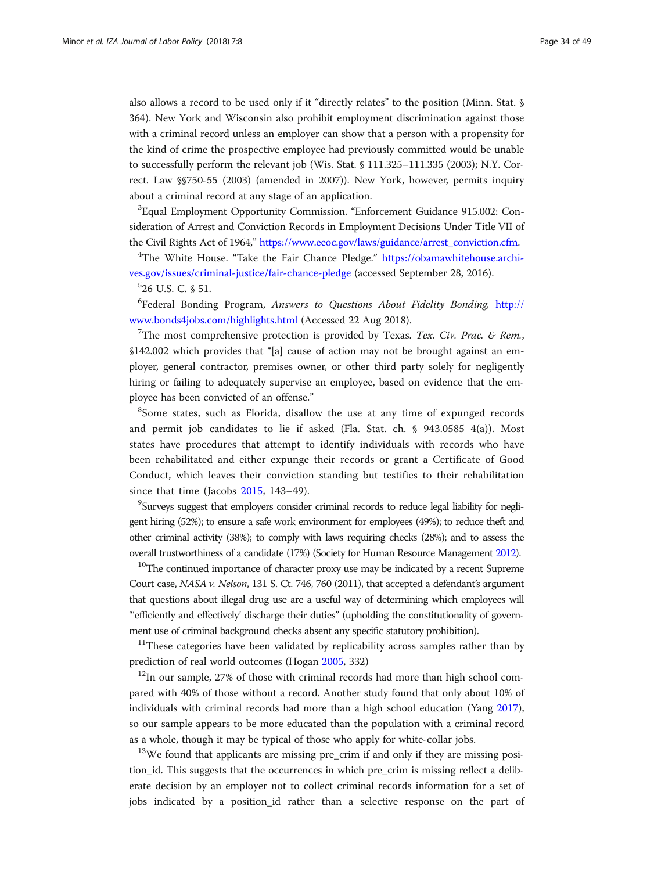also allows a record to be used only if it "directly relates" to the position (Minn. Stat. § 364). New York and Wisconsin also prohibit employment discrimination against those with a criminal record unless an employer can show that a person with a propensity for the kind of crime the prospective employee had previously committed would be unable to successfully perform the relevant job (Wis. Stat. § 111.325–111.335 (2003); N.Y. Correct. Law §§750-55 (2003) (amended in 2007)). New York, however, permits inquiry about a criminal record at any stage of an application.

<sup>3</sup>Equal Employment Opportunity Commission. "Enforcement Guidance 915.002: Consideration of Arrest and Conviction Records in Employment Decisions Under Title VII of the Civil Rights Act of 1964," [https://www.eeoc.gov/laws/guidance/arrest\\_conviction.cfm.](https://www.eeoc.gov/laws/guidance/arrest_conviction.cfm)

<sup>4</sup>The White House. "Take the Fair Chance Pledge." [https://obamawhitehouse.archi](https://obamawhitehouse.archives.gov/issues/criminal-justice/fair-chance-pledge)[ves.gov/issues/criminal-justice/fair-chance-pledge](https://obamawhitehouse.archives.gov/issues/criminal-justice/fair-chance-pledge) (accessed September 28, 2016).

 $526$  U.S. C. § 51.

<sup>6</sup>Federal Bonding Program, Answers to Questions About Fidelity Bonding, [http://](http://www.bonds4jobs.com/highlights.html) [www.bonds4jobs.com/highlights.html](http://www.bonds4jobs.com/highlights.html) (Accessed 22 Aug 2018).

<sup>7</sup>The most comprehensive protection is provided by Texas. Tex. Civ. Prac. & Rem., §142.002 which provides that "[a] cause of action may not be brought against an employer, general contractor, premises owner, or other third party solely for negligently hiring or failing to adequately supervise an employee, based on evidence that the employee has been convicted of an offense."

<sup>8</sup>Some states, such as Florida, disallow the use at any time of expunged records and permit job candidates to lie if asked (Fla. Stat. ch.  $\frac{6}{5}$  943.0585 4(a)). Most states have procedures that attempt to identify individuals with records who have been rehabilitated and either expunge their records or grant a Certificate of Good Conduct, which leaves their conviction standing but testifies to their rehabilitation since that time (Jacobs [2015](#page-48-0), 143–49).

<sup>9</sup>Surveys suggest that employers consider criminal records to reduce legal liability for negligent hiring (52%); to ensure a safe work environment for employees (49%); to reduce theft and other criminal activity (38%); to comply with laws requiring checks (28%); and to assess the overall trustworthiness of a candidate (17%) (Society for Human Resource Management [2012\)](#page-48-0).

<sup>10</sup>The continued importance of character proxy use may be indicated by a recent Supreme Court case, NASA v. Nelson, 131 S. Ct. 746, 760 (2011), that accepted a defendant's argument that questions about illegal drug use are a useful way of determining which employees will "'efficiently and effectively' discharge their duties" (upholding the constitutionality of government use of criminal background checks absent any specific statutory prohibition).

 $11$ These categories have been validated by replicability across samples rather than by prediction of real world outcomes (Hogan [2005,](#page-48-0) 332)

 $12$ In our sample, 27% of those with criminal records had more than high school compared with 40% of those without a record. Another study found that only about 10% of individuals with criminal records had more than a high school education (Yang [2017](#page-48-0)), so our sample appears to be more educated than the population with a criminal record as a whole, though it may be typical of those who apply for white-collar jobs.

<sup>13</sup>We found that applicants are missing pre\_crim if and only if they are missing position\_id. This suggests that the occurrences in which pre\_crim is missing reflect a deliberate decision by an employer not to collect criminal records information for a set of jobs indicated by a position\_id rather than a selective response on the part of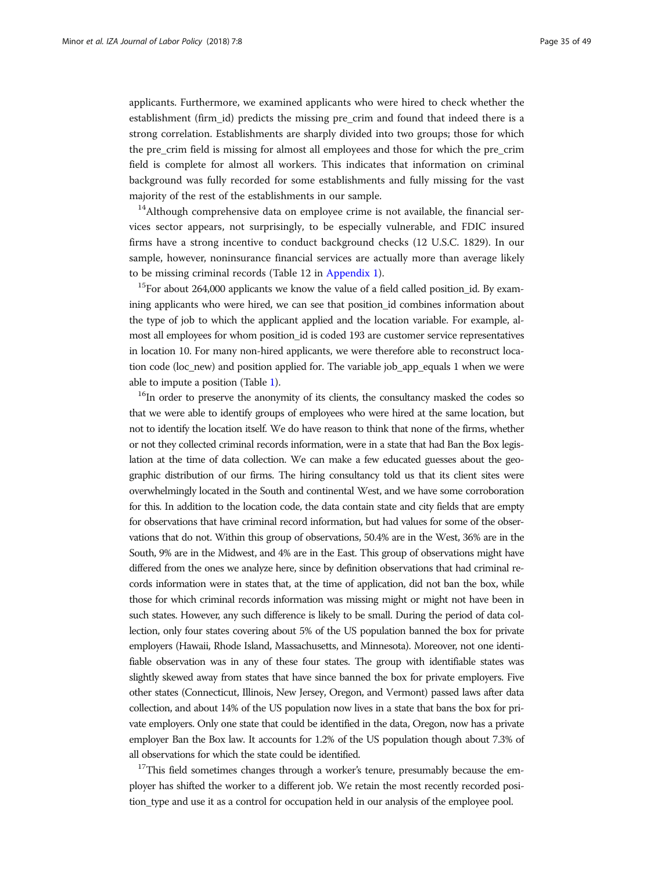applicants. Furthermore, we examined applicants who were hired to check whether the establishment (firm\_id) predicts the missing pre\_crim and found that indeed there is a strong correlation. Establishments are sharply divided into two groups; those for which the pre\_crim field is missing for almost all employees and those for which the pre\_crim field is complete for almost all workers. This indicates that information on criminal background was fully recorded for some establishments and fully missing for the vast majority of the rest of the establishments in our sample.

<sup>14</sup> Although comprehensive data on employee crime is not available, the financial services sector appears, not surprisingly, to be especially vulnerable, and FDIC insured firms have a strong incentive to conduct background checks (12 U.S.C. 1829). In our sample, however, noninsurance financial services are actually more than average likely to be missing criminal records (Table 12 in [Appendix 1\)](#page-38-0).

 $15$ For about 264,000 applicants we know the value of a field called position\_id. By examining applicants who were hired, we can see that position id combines information about the type of job to which the applicant applied and the location variable. For example, almost all employees for whom position\_id is coded 193 are customer service representatives in location 10. For many non-hired applicants, we were therefore able to reconstruct location code (loc\_new) and position applied for. The variable job\_app\_equals 1 when we were able to impute a position (Table [1](#page-5-0)).

<sup>16</sup>In order to preserve the anonymity of its clients, the consultancy masked the codes so that we were able to identify groups of employees who were hired at the same location, but not to identify the location itself. We do have reason to think that none of the firms, whether or not they collected criminal records information, were in a state that had Ban the Box legislation at the time of data collection. We can make a few educated guesses about the geographic distribution of our firms. The hiring consultancy told us that its client sites were overwhelmingly located in the South and continental West, and we have some corroboration for this. In addition to the location code, the data contain state and city fields that are empty for observations that have criminal record information, but had values for some of the observations that do not. Within this group of observations, 50.4% are in the West, 36% are in the South, 9% are in the Midwest, and 4% are in the East. This group of observations might have differed from the ones we analyze here, since by definition observations that had criminal records information were in states that, at the time of application, did not ban the box, while those for which criminal records information was missing might or might not have been in such states. However, any such difference is likely to be small. During the period of data collection, only four states covering about 5% of the US population banned the box for private employers (Hawaii, Rhode Island, Massachusetts, and Minnesota). Moreover, not one identifiable observation was in any of these four states. The group with identifiable states was slightly skewed away from states that have since banned the box for private employers. Five other states (Connecticut, Illinois, New Jersey, Oregon, and Vermont) passed laws after data collection, and about 14% of the US population now lives in a state that bans the box for private employers. Only one state that could be identified in the data, Oregon, now has a private employer Ban the Box law. It accounts for 1.2% of the US population though about 7.3% of all observations for which the state could be identified.

 $17$ This field sometimes changes through a worker's tenure, presumably because the employer has shifted the worker to a different job. We retain the most recently recorded position\_type and use it as a control for occupation held in our analysis of the employee pool.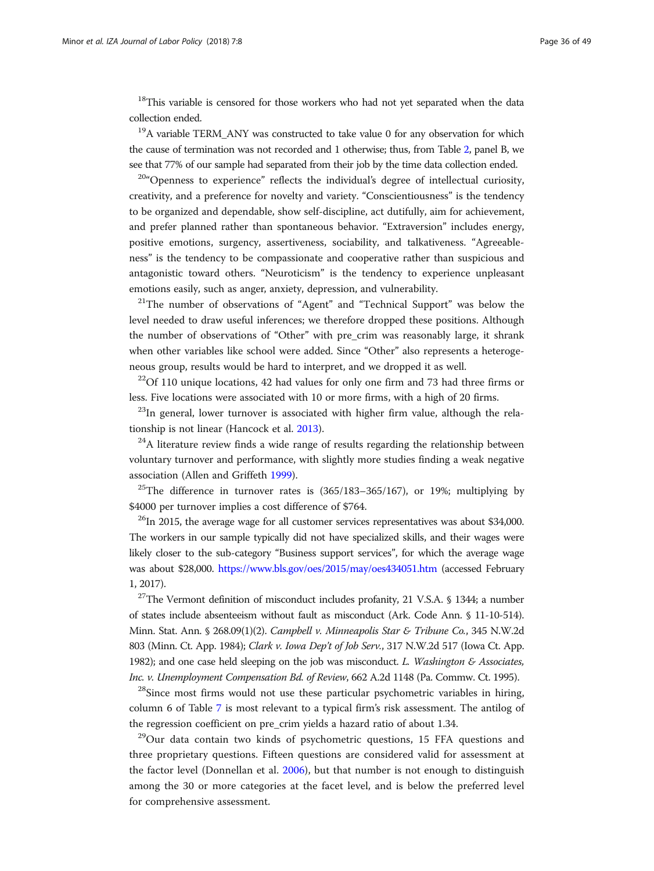<sup>18</sup>This variable is censored for those workers who had not yet separated when the data collection ended.

<sup>19</sup>A variable TERM\_ANY was constructed to take value 0 for any observation for which the cause of termination was not recorded and 1 otherwise; thus, from Table [2](#page-7-0), panel B, we see that 77% of our sample had separated from their job by the time data collection ended.

<sup>20</sup>"Openness to experience" reflects the individual's degree of intellectual curiosity, creativity, and a preference for novelty and variety. "Conscientiousness" is the tendency to be organized and dependable, show self-discipline, act dutifully, aim for achievement, and prefer planned rather than spontaneous behavior. "Extraversion" includes energy, positive emotions, surgency, assertiveness, sociability, and talkativeness. "Agreeableness" is the tendency to be compassionate and cooperative rather than suspicious and antagonistic toward others. "Neuroticism" is the tendency to experience unpleasant emotions easily, such as anger, anxiety, depression, and vulnerability.

 $21$ <sup>21</sup>The number of observations of "Agent" and "Technical Support" was below the level needed to draw useful inferences; we therefore dropped these positions. Although the number of observations of "Other" with pre\_crim was reasonably large, it shrank when other variables like school were added. Since "Other" also represents a heterogeneous group, results would be hard to interpret, and we dropped it as well.

 $22$ Of 110 unique locations, 42 had values for only one firm and 73 had three firms or less. Five locations were associated with 10 or more firms, with a high of 20 firms.

 $^{23}$ In general, lower turnover is associated with higher firm value, although the relationship is not linear (Hancock et al. [2013](#page-48-0)).

 $^{24}$ A literature review finds a wide range of results regarding the relationship between voluntary turnover and performance, with slightly more studies finding a weak negative association (Allen and Griffeth [1999](#page-47-0)).

<sup>25</sup>The difference in turnover rates is  $(365/183-365/167)$ , or 19%; multiplying by \$4000 per turnover implies a cost difference of \$764.

 $^{26}$ In 2015, the average wage for all customer services representatives was about \$34,000. The workers in our sample typically did not have specialized skills, and their wages were likely closer to the sub-category "Business support services", for which the average wage was about \$28,000. <https://www.bls.gov/oes/2015/may/oes434051.htm> (accessed February 1, 2017).

 $27$ The Vermont definition of misconduct includes profanity, 21 V.S.A. § 1344; a number of states include absenteeism without fault as misconduct (Ark. Code Ann. § 11-10-514). Minn. Stat. Ann. § 268.09(1)(2). Campbell v. Minneapolis Star & Tribune Co., 345 N.W.2d 803 (Minn. Ct. App. 1984); Clark v. Iowa Dep't of Job Serv., 317 N.W.2d 517 (Iowa Ct. App. 1982); and one case held sleeping on the job was misconduct. L. Washington  $\mathcal E$  Associates, Inc. v. Unemployment Compensation Bd. of Review, 662 A.2d 1148 (Pa. Commw. Ct. 1995).

 $28$ Since most firms would not use these particular psychometric variables in hiring, column 6 of Table [7](#page-22-0) is most relevant to a typical firm's risk assessment. The antilog of the regression coefficient on pre\_crim yields a hazard ratio of about 1.34.

<sup>29</sup>Our data contain two kinds of psychometric questions, 15 FFA questions and three proprietary questions. Fifteen questions are considered valid for assessment at the factor level (Donnellan et al. [2006\)](#page-48-0), but that number is not enough to distinguish among the 30 or more categories at the facet level, and is below the preferred level for comprehensive assessment.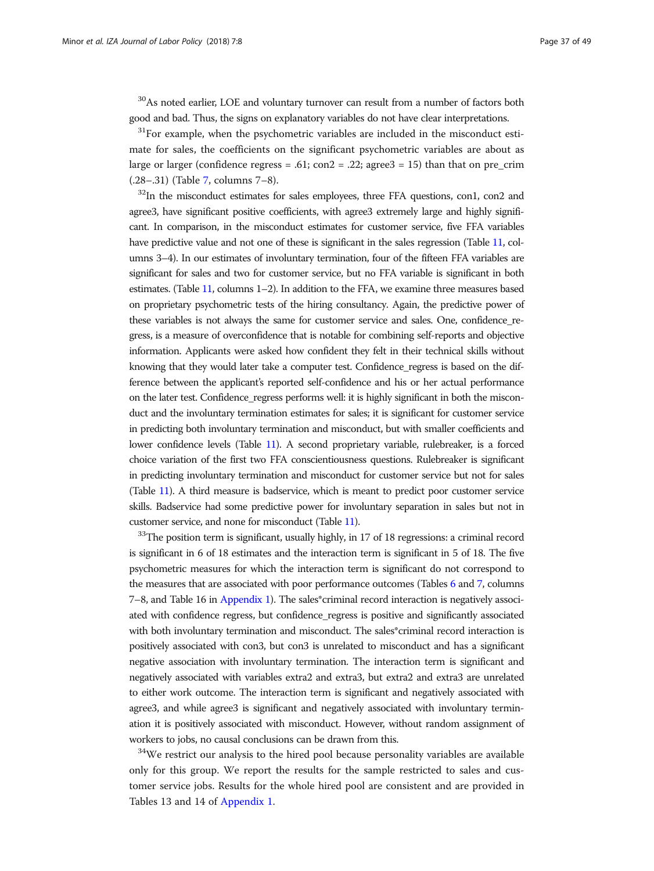$30\text{As}$  noted earlier, LOE and voluntary turnover can result from a number of factors both good and bad. Thus, the signs on explanatory variables do not have clear interpretations.

 $31$ For example, when the psychometric variables are included in the misconduct estimate for sales, the coefficients on the significant psychometric variables are about as large or larger (confidence regress = .61;  $\text{con2} = .22$ ; agree $3 = 15$ ) than that on pre-crim (.28–.31) (Table [7,](#page-22-0) columns 7–8).

 $32$ In the misconduct estimates for sales employees, three FFA questions, con1, con2 and agree3, have significant positive coefficients, with agree3 extremely large and highly significant. In comparison, in the misconduct estimates for customer service, five FFA variables have predictive value and not one of these is significant in the sales regression (Table [11](#page-30-0), columns 3–4). In our estimates of involuntary termination, four of the fifteen FFA variables are significant for sales and two for customer service, but no FFA variable is significant in both estimates. (Table [11](#page-30-0), columns 1–2). In addition to the FFA, we examine three measures based on proprietary psychometric tests of the hiring consultancy. Again, the predictive power of these variables is not always the same for customer service and sales. One, confidence\_regress, is a measure of overconfidence that is notable for combining self-reports and objective information. Applicants were asked how confident they felt in their technical skills without knowing that they would later take a computer test. Confidence\_regress is based on the difference between the applicant's reported self-confidence and his or her actual performance on the later test. Confidence regress performs well: it is highly significant in both the misconduct and the involuntary termination estimates for sales; it is significant for customer service in predicting both involuntary termination and misconduct, but with smaller coefficients and lower confidence levels (Table [11\)](#page-30-0). A second proprietary variable, rulebreaker, is a forced choice variation of the first two FFA conscientiousness questions. Rulebreaker is significant in predicting involuntary termination and misconduct for customer service but not for sales (Table [11](#page-30-0)). A third measure is badservice, which is meant to predict poor customer service skills. Badservice had some predictive power for involuntary separation in sales but not in customer service, and none for misconduct (Table [11](#page-30-0)).

 $33$ The position term is significant, usually highly, in 17 of 18 regressions: a criminal record is significant in 6 of 18 estimates and the interaction term is significant in 5 of 18. The five psychometric measures for which the interaction term is significant do not correspond to the measures that are associated with poor performance outcomes (Tables [6](#page-18-0) and [7](#page-22-0), columns 7–8, and Table 16 in [Appendix 1](#page-38-0)). The sales\*criminal record interaction is negatively associated with confidence regress, but confidence regress is positive and significantly associated with both involuntary termination and misconduct. The sales\*criminal record interaction is positively associated with con3, but con3 is unrelated to misconduct and has a significant negative association with involuntary termination. The interaction term is significant and negatively associated with variables extra2 and extra3, but extra2 and extra3 are unrelated to either work outcome. The interaction term is significant and negatively associated with agree3, and while agree3 is significant and negatively associated with involuntary termination it is positively associated with misconduct. However, without random assignment of workers to jobs, no causal conclusions can be drawn from this.

<sup>34</sup>We restrict our analysis to the hired pool because personality variables are available only for this group. We report the results for the sample restricted to sales and customer service jobs. Results for the whole hired pool are consistent and are provided in Tables 13 and 14 of [Appendix 1](#page-38-0).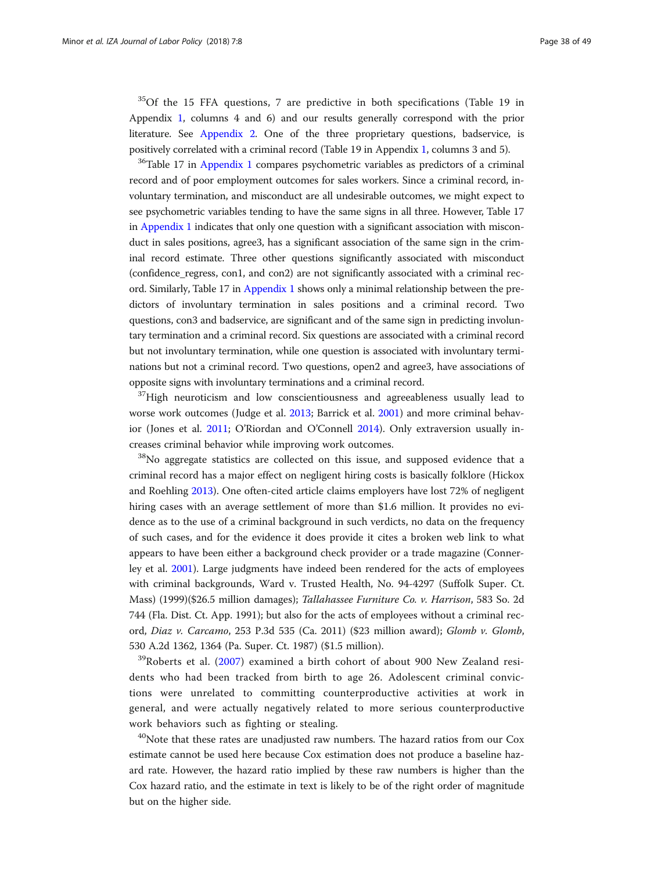<sup>35</sup>Of the 15 FFA questions, 7 are predictive in both specifications (Table 19 in Appendix [1,](#page-38-0) columns 4 and 6) and our results generally correspond with the prior literature. See [Appendix 2](#page-46-0). One of the three proprietary questions, badservice, is positively correlated with a criminal record (Table 19 in Appendix [1,](#page-38-0) columns 3 and 5).

<sup>36</sup>Table 17 in [Appendix 1](#page-38-0) compares psychometric variables as predictors of a criminal record and of poor employment outcomes for sales workers. Since a criminal record, involuntary termination, and misconduct are all undesirable outcomes, we might expect to see psychometric variables tending to have the same signs in all three. However, Table 17 in [Appendix 1](#page-38-0) indicates that only one question with a significant association with misconduct in sales positions, agree3, has a significant association of the same sign in the criminal record estimate. Three other questions significantly associated with misconduct (confidence\_regress, con1, and con2) are not significantly associated with a criminal record. Similarly, Table 17 in [Appendix 1](#page-38-0) shows only a minimal relationship between the predictors of involuntary termination in sales positions and a criminal record. Two questions, con3 and badservice, are significant and of the same sign in predicting involuntary termination and a criminal record. Six questions are associated with a criminal record but not involuntary termination, while one question is associated with involuntary terminations but not a criminal record. Two questions, open2 and agree3, have associations of opposite signs with involuntary terminations and a criminal record.

<sup>37</sup>High neuroticism and low conscientiousness and agreeableness usually lead to worse work outcomes (Judge et al. [2013](#page-48-0); Barrick et al. [2001](#page-47-0)) and more criminal behavior (Jones et al. [2011;](#page-48-0) O'Riordan and O'Connell [2014](#page-48-0)). Only extraversion usually increases criminal behavior while improving work outcomes.

<sup>38</sup>No aggregate statistics are collected on this issue, and supposed evidence that a criminal record has a major effect on negligent hiring costs is basically folklore (Hickox and Roehling [2013](#page-48-0)). One often-cited article claims employers have lost 72% of negligent hiring cases with an average settlement of more than \$1.6 million. It provides no evidence as to the use of a criminal background in such verdicts, no data on the frequency of such cases, and for the evidence it does provide it cites a broken web link to what appears to have been either a background check provider or a trade magazine (Connerley et al. [2001\)](#page-48-0). Large judgments have indeed been rendered for the acts of employees with criminal backgrounds, Ward v. Trusted Health, No. 94-4297 (Suffolk Super. Ct. Mass) (1999)(\$26.5 million damages); Tallahassee Furniture Co. v. Harrison, 583 So. 2d 744 (Fla. Dist. Ct. App. 1991); but also for the acts of employees without a criminal record, Diaz v. Carcamo, 253 P.3d 535 (Ca. 2011) (\$23 million award); Glomb v. Glomb, 530 A.2d 1362, 1364 (Pa. Super. Ct. 1987) (\$1.5 million).

<sup>39</sup>Roberts et al. ([2007](#page-48-0)) examined a birth cohort of about 900 New Zealand residents who had been tracked from birth to age 26. Adolescent criminal convictions were unrelated to committing counterproductive activities at work in general, and were actually negatively related to more serious counterproductive work behaviors such as fighting or stealing.

<sup>40</sup>Note that these rates are unadjusted raw numbers. The hazard ratios from our Cox estimate cannot be used here because Cox estimation does not produce a baseline hazard rate. However, the hazard ratio implied by these raw numbers is higher than the Cox hazard ratio, and the estimate in text is likely to be of the right order of magnitude but on the higher side.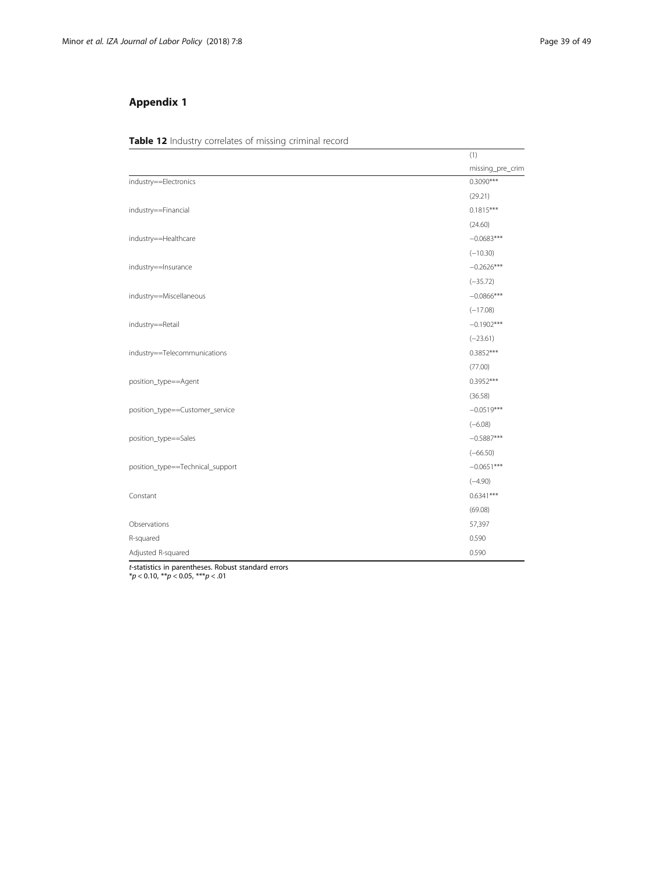# <span id="page-38-0"></span>Table 12 Industry correlates of missing criminal record

|                                  | (1)              |
|----------------------------------|------------------|
|                                  | missing_pre_crim |
| industry==Electronics            | $0.3090***$      |
|                                  | (29.21)          |
| industry==Financial              | $0.1815***$      |
|                                  | (24.60)          |
| industry==Healthcare             | $-0.0683***$     |
|                                  | $(-10.30)$       |
| industry==Insurance              | $-0.2626***$     |
|                                  | $(-35.72)$       |
| industry==Miscellaneous          | $-0.0866$ ***    |
|                                  | $(-17.08)$       |
| industry==Retail                 | $-0.1902***$     |
|                                  | $(-23.61)$       |
| industry==Telecommunications     | $0.3852***$      |
|                                  | (77.00)          |
| position_type==Agent             | $0.3952***$      |
|                                  | (36.58)          |
| position_type==Customer_service  | $-0.0519***$     |
|                                  | $(-6.08)$        |
| position_type==Sales             | $-0.5887***$     |
|                                  | $(-66.50)$       |
| position_type==Technical_support | $-0.0651***$     |
|                                  | $(-4.90)$        |
| Constant                         | $0.6341***$      |
|                                  | (69.08)          |
| Observations                     | 57,397           |
| R-squared                        | 0.590            |
| Adjusted R-squared               | 0.590            |

*t*-statistics in parentheses. Robust standard errors  $\n* p < 0.10$ ,  $\n* p < 0.05$ ,  $\n* p < 0.1$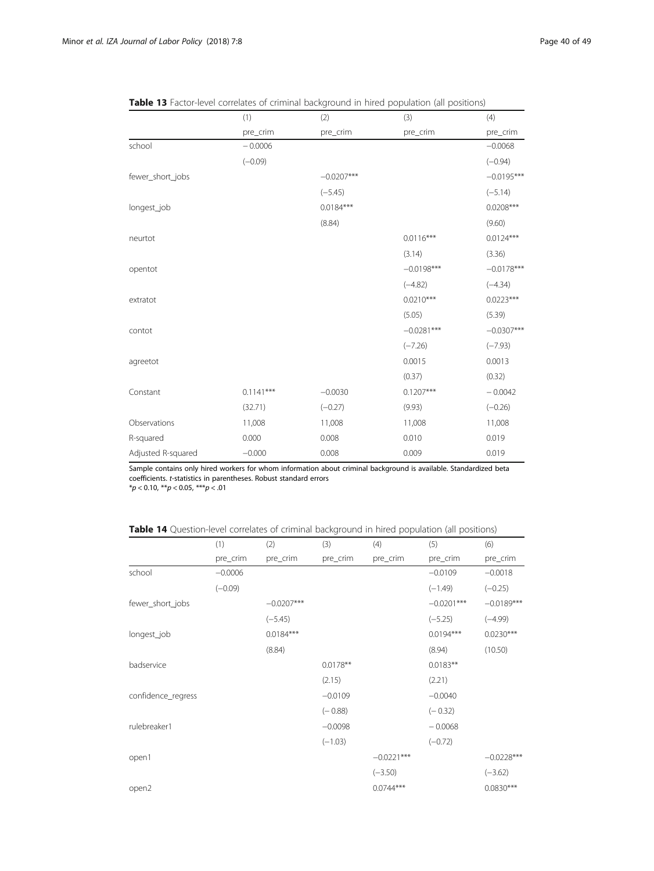|                    | (1)         | (2)          | (3)          | (4)          |
|--------------------|-------------|--------------|--------------|--------------|
|                    | pre_crim    | pre_crim     | pre_crim     | pre_crim     |
| school             | $-0.0006$   |              |              | $-0.0068$    |
|                    | $(-0.09)$   |              |              | $(-0.94)$    |
| fewer_short_jobs   |             | $-0.0207***$ |              | $-0.0195***$ |
|                    |             | $(-5.45)$    |              | $(-5.14)$    |
| longest_job        |             | $0.0184***$  |              | $0.0208***$  |
|                    |             | (8.84)       |              | (9.60)       |
| neurtot            |             |              | $0.0116***$  | $0.0124***$  |
|                    |             |              | (3.14)       | (3.36)       |
| opentot            |             |              | $-0.0198***$ | $-0.0178***$ |
|                    |             |              | $(-4.82)$    | $(-4.34)$    |
| extratot           |             |              | $0.0210***$  | $0.0223***$  |
|                    |             |              | (5.05)       | (5.39)       |
| contot             |             |              | $-0.0281***$ | $-0.0307***$ |
|                    |             |              | $(-7.26)$    | $(-7.93)$    |
| agreetot           |             |              | 0.0015       | 0.0013       |
|                    |             |              | (0.37)       | (0.32)       |
| Constant           | $0.1141***$ | $-0.0030$    | $0.1207***$  | $-0.0042$    |
|                    | (32.71)     | $(-0.27)$    | (9.93)       | $(-0.26)$    |
| Observations       | 11,008      | 11,008       | 11,008       | 11,008       |
| R-squared          | 0.000       | 0.008        | 0.010        | 0.019        |
| Adjusted R-squared | $-0.000$    | 0.008        | 0.009        | 0.019        |

|  |  |  |  |  |  | Table 13 Factor-level correlates of criminal background in hired population (all positions) |  |  |  |  |  |
|--|--|--|--|--|--|---------------------------------------------------------------------------------------------|--|--|--|--|--|
|--|--|--|--|--|--|---------------------------------------------------------------------------------------------|--|--|--|--|--|

Sample contains only hired workers for whom information about criminal background is available. Standardized beta coefficients. t-statistics in parentheses. Robust standard errors

 $**p* < 0.10, ***p* < 0.05, ***p* < 0.01$ 

Table 14 Question-level correlates of criminal background in hired population (all positions)

|                    | (1)       | (2)          | (3)        | (4)          | (5)          | (6)          |
|--------------------|-----------|--------------|------------|--------------|--------------|--------------|
|                    | pre_crim  | pre_crim     | pre_crim   | pre_crim     | pre_crim     | pre_crim     |
| school             | $-0.0006$ |              |            |              | $-0.0109$    | $-0.0018$    |
|                    | $(-0.09)$ |              |            |              | $(-1.49)$    | $(-0.25)$    |
| fewer_short_jobs   |           | $-0.0207***$ |            |              | $-0.0201***$ | $-0.0189***$ |
|                    |           | $(-5.45)$    |            |              | $(-5.25)$    | $(-4.99)$    |
| longest_job        |           | $0.0184***$  |            |              | $0.0194***$  | $0.0230***$  |
|                    |           | (8.84)       |            |              | (8.94)       | (10.50)      |
| badservice         |           |              | $0.0178**$ |              | $0.0183**$   |              |
|                    |           |              | (2.15)     |              | (2.21)       |              |
| confidence_regress |           |              | $-0.0109$  |              | $-0.0040$    |              |
|                    |           |              | $(-0.88)$  |              | $(-0.32)$    |              |
| rulebreaker1       |           |              | $-0.0098$  |              | $-0.0068$    |              |
|                    |           |              | $(-1.03)$  |              | $(-0.72)$    |              |
| open1              |           |              |            | $-0.0221***$ |              | $-0.0228***$ |
|                    |           |              |            | $(-3.50)$    |              | $(-3.62)$    |
| open2              |           |              |            | $0.0744***$  |              | $0.0830***$  |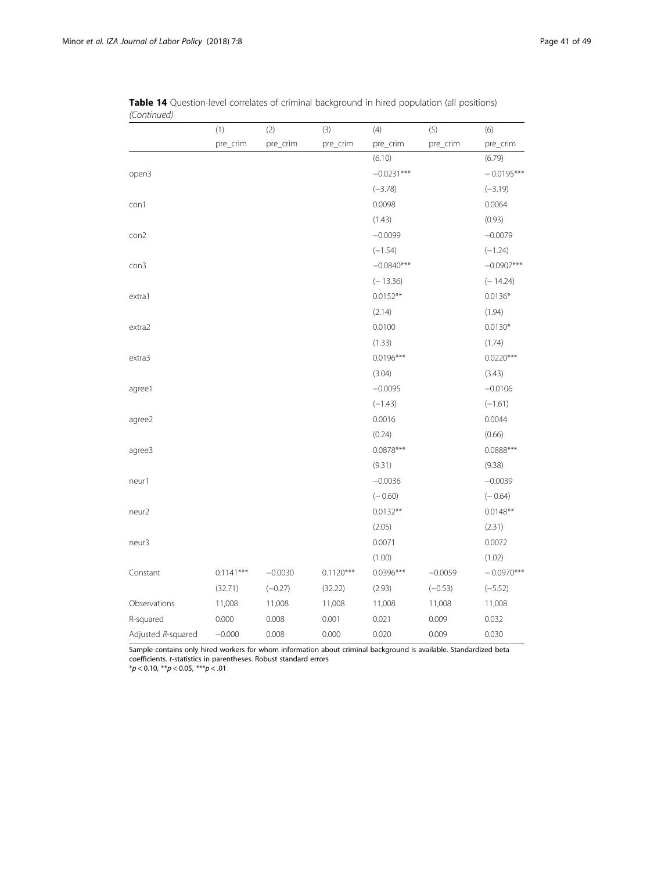|                    | (1)         | (2)       | (3)         | (4)          | (5)       | (6)          |
|--------------------|-------------|-----------|-------------|--------------|-----------|--------------|
|                    | pre_crim    | pre_crim  | pre_crim    | pre_crim     | pre_crim  | pre_crim     |
|                    |             |           |             | (6.10)       |           | (6.79)       |
| open3              |             |           |             | $-0.0231***$ |           | $-0.0195***$ |
|                    |             |           |             | $(-3.78)$    |           | $(-3.19)$    |
| con1               |             |           |             | 0.0098       |           | 0.0064       |
|                    |             |           |             | (1.43)       |           | (0.93)       |
| con2               |             |           |             | $-0.0099$    |           | $-0.0079$    |
|                    |             |           |             | $(-1.54)$    |           | $(-1.24)$    |
| con3               |             |           |             | $-0.0840***$ |           | $-0.0907***$ |
|                    |             |           |             | $(-13.36)$   |           | $(-14.24)$   |
| extra1             |             |           |             | $0.0152**$   |           | $0.0136*$    |
|                    |             |           |             | (2.14)       |           | (1.94)       |
| extra2             |             |           |             | 0.0100       |           | $0.0130*$    |
|                    |             |           |             | (1.33)       |           | (1.74)       |
| extra3             |             |           |             | $0.0196***$  |           | $0.0220***$  |
|                    |             |           |             | (3.04)       |           | (3.43)       |
| agree1             |             |           |             | $-0.0095$    |           | $-0.0106$    |
|                    |             |           |             | $(-1.43)$    |           | $(-1.61)$    |
| agree2             |             |           |             | 0.0016       |           | 0.0044       |
|                    |             |           |             | (0.24)       |           | (0.66)       |
| agree3             |             |           |             | $0.0878***$  |           | 0.0888***    |
|                    |             |           |             | (9.31)       |           | (9.38)       |
| neur1              |             |           |             | $-0.0036$    |           | $-0.0039$    |
|                    |             |           |             | $(-0.60)$    |           | $(-0.64)$    |
| neur <sub>2</sub>  |             |           |             | $0.0132**$   |           | $0.0148**$   |
|                    |             |           |             | (2.05)       |           | (2.31)       |
| neur3              |             |           |             | 0.0071       |           | 0.0072       |
|                    |             |           |             | (1.00)       |           | (1.02)       |
| Constant           | $0.1141***$ | $-0.0030$ | $0.1120***$ | $0.0396***$  | $-0.0059$ | $-0.0970***$ |
|                    | (32.71)     | $(-0.27)$ | (32.22)     | (2.93)       | $(-0.53)$ | $(-5.52)$    |
| Observations       | 11,008      | 11,008    | 11,008      | 11,008       | 11,008    | 11,008       |
| R-squared          | 0.000       | 0.008     | 0.001       | 0.021        | 0.009     | 0.032        |
| Adjusted R-squared | $-0.000$    | 0.008     | 0.000       | 0.020        | 0.009     | 0.030        |

Table 14 Question-level correlates of criminal background in hired population (all positions) (Continued)

Sample contains only hired workers for whom information about criminal background is available. Standardized beta coefficients. t-statistics in parentheses. Robust standard errors

 $**p* < 0.10, ***p* < 0.05, ***p* < 0.01$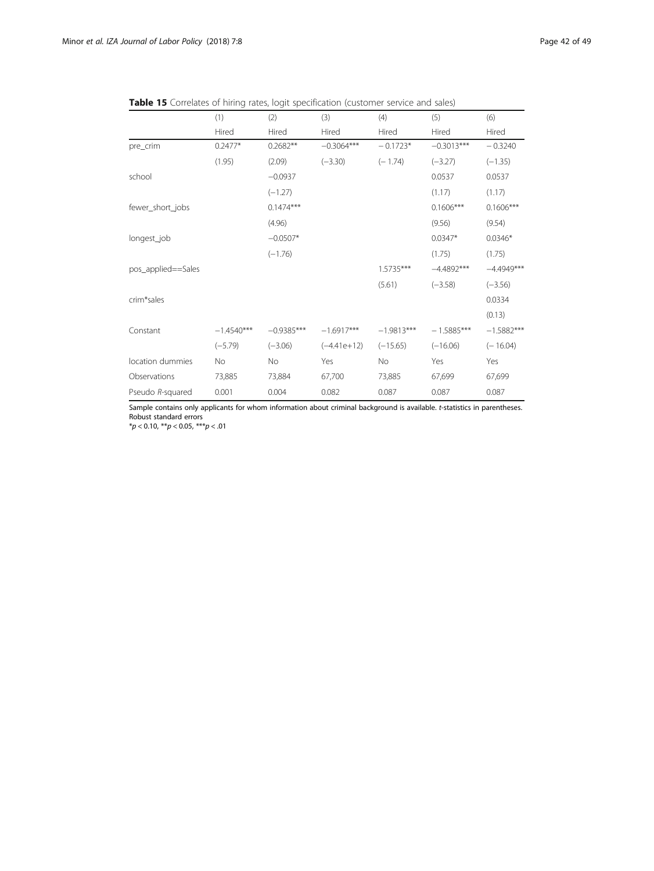|                    | (1)          | (2)          | (3)           | (4)          | (5)          | (6)          |
|--------------------|--------------|--------------|---------------|--------------|--------------|--------------|
|                    | Hired        | Hired        | Hired         | Hired        | Hired        | Hired        |
| pre_crim           | $0.2477*$    | $0.2682**$   | $-0.3064***$  | $-0.1723*$   | $-0.3013***$ | $-0.3240$    |
|                    | (1.95)       | (2.09)       | $(-3.30)$     | $(-1.74)$    | $(-3.27)$    | $(-1.35)$    |
| school             |              | $-0.0937$    |               |              | 0.0537       | 0.0537       |
|                    |              | $(-1.27)$    |               |              | (1.17)       | (1.17)       |
| fewer_short_jobs   |              | $0.1474***$  |               |              | $0.1606***$  | $0.1606***$  |
|                    |              | (4.96)       |               |              | (9.56)       | (9.54)       |
| longest_job        |              | $-0.0507*$   |               |              | $0.0347*$    | $0.0346*$    |
|                    |              | $(-1.76)$    |               |              | (1.75)       | (1.75)       |
| pos_applied==Sales |              |              |               | 1.5735***    | $-4.4892***$ | $-4.4949***$ |
|                    |              |              |               | (5.61)       | $(-3.58)$    | $(-3.56)$    |
| crim*sales         |              |              |               |              |              | 0.0334       |
|                    |              |              |               |              |              | (0.13)       |
| Constant           | $-1.4540***$ | $-0.9385***$ | $-1.6917***$  | $-1.9813***$ | $-1.5885***$ | $-1.5882***$ |
|                    | $(-5.79)$    | $(-3.06)$    | $(-4.41e+12)$ | $(-15.65)$   | $(-16.06)$   | $(-16.04)$   |
| location dummies   | No           | No           | Yes           | No           | Yes          | Yes          |
| Observations       | 73,885       | 73,884       | 67,700        | 73,885       | 67,699       | 67,699       |
| Pseudo R-squared   | 0.001        | 0.004        | 0.082         | 0.087        | 0.087        | 0.087        |

Sample contains only applicants for whom information about criminal background is available. t-statistics in parentheses. Robust standard errors

 $**p* < 0.10, ***p* < 0.05, ****p* < 0.01$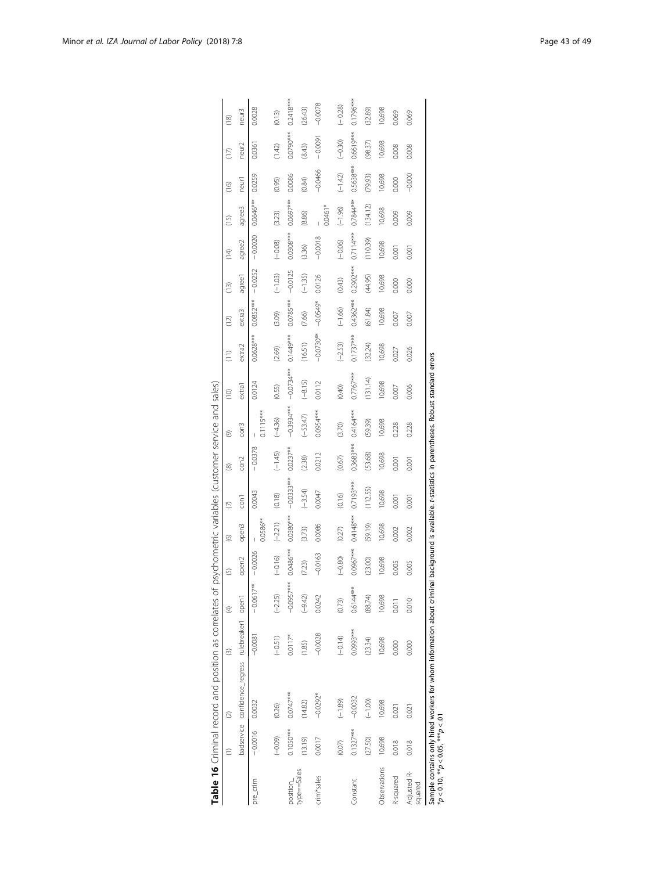|                                   |             | Table 16 Criminal record and position as correlates of              |             |                  |             |                   |                |             | psychometric variables (customer service and sales)                               |               |               |             |                |             |             |                |                   |                   |
|-----------------------------------|-------------|---------------------------------------------------------------------|-------------|------------------|-------------|-------------------|----------------|-------------|-----------------------------------------------------------------------------------|---------------|---------------|-------------|----------------|-------------|-------------|----------------|-------------------|-------------------|
|                                   | $\in$       | $\odot$                                                             | O           | E                | $\odot$     | ©                 | $\mathbf{C}$   | ම           | ම                                                                                 | $\frac{1}{2}$ | $\widehat{=}$ | (12)        | $\binom{3}{2}$ | (14)        | (15)        | $\frac{6}{10}$ | $\binom{7}{1}$    | (18)              |
|                                   |             | badservice confidence_regress rulebreaker1 open1                    |             |                  | open2       | open <sub>3</sub> | $\overline{c}$ | con2        | com <sub>3</sub>                                                                  | extra1        | extra2        | extra3      | agreel         | agree2      | agree3      | neur1          | neur <sub>2</sub> | neur <sub>3</sub> |
| pre_crim                          | $-0.0016$   | 0.0032                                                              | $-0.0081$   | $-0.0617***$     | $-0.0026$   | 0.0586**          | 0.0043         | $-0.0378$   | $0.1115***$                                                                       | 0.0124        | $0.0628***$   | $0.0852***$ | $-0.0252$      | $-0.0020$   | $0.0646***$ | 0.0259         | 0.0361            | 0.0028            |
|                                   | $(-0.09)$   | (0.26)                                                              | $(-0.51)$   | $(-2.25)$        | $(-0.16)$   | $(-2.21)$         | (0.18)         | $(-1.45)$   | $(-4.36)$                                                                         | (0.55)        | (2.69)        | (3.09)      | $(-1.03)$      | $(-0.08)$   | (3.23)      | (0.95)         | (1.42)            | (0.13)            |
| position_                         | $0.1050***$ | $0.0747***$                                                         | $0.0117*$   | ***<br>$-0.0957$ | $0.0486***$ | $0.0380***$       | $-0.0333***$   | $0.0237***$ | $-0.3934***$                                                                      | $-0.0734***$  | $0.1449***$   | $0.0785***$ | $-0.0125$      | $0.0308***$ | $0.0697***$ | 0.0086         | $0.0790***$       | $0.2418***$       |
| type==Sales                       | (13.19)     | (14.82)                                                             | (1.85)      | $(-9.42)$        | (7.23)      | (3.73)            | $(-3.54)$      | (2.38)      | $(-53.47)$                                                                        | $(-8.15)$     | (16.51)       | (7.66)      | $(-1.35)$      | (3.36)      | (8.86)      | (0.84)         | (8.43)            | (26.43)           |
| crim*sales                        | 0.0017      | $-0.0292*$                                                          | $-0.0028$   | 0.0242           | $-0.0163$   | 0.0086            | 0.0047         | 0.0212      | $0.0954***$                                                                       | 0.0112        | $-0.0730**$   | $-0.0545$   | 0.0126         | $-0.0018$   | $0.0461*$   | $-0.0466$      | $-0.0091$         | $-0.0078$         |
|                                   | (0.07)      | $(-1.89)$                                                           | $(-0.14)$   | (0.73)           | $(-0.80)$   | (0.27)            | (0.16)         | (0.67)      | (3.70)                                                                            | (0.40)        | $(-2.53)$     | $(-1.66)$   | (0.43)         | $(-0.06)$   | $(-1.96)$   | $(-1.42)$      | $(-0.30)$         | $(-0.28)$         |
| Constant                          | $0.1327***$ | $-0.0032$                                                           | $0.0993***$ | $0.6144***$      | $0.0967***$ | $0.4148***$       | $0.7193***$    | $0.3683***$ | $0.4164***$                                                                       | $0.7767***$   | $0.1737***$   | $0.4362***$ | $0.2902***$    | $0.7114***$ | $0.7844***$ | $0.5638***$    | 0.6619***         | $0.1796***$       |
|                                   | (27.50)     | $(-1.00)$                                                           | (23.34)     | (88.74)          | (23.00)     | (59.19)           | (112.55)       | (53.68)     | (59.39)                                                                           | (131.14)      | (32.24)       | (61.84)     | (44.95)        | (110.39)    | (134.12)    | (79.93)        | (98.37)           | (32.89)           |
| Observations                      | 10,698      | 10,698                                                              | 10,698      | 10,698           | 10,698      | 10,698            | 10,698         | 10,698      | 10,698                                                                            | 10,698        | 10,698        | 10,698      | 10,698         | 10,698      | 10,698      | 10,698         | 10,698            | 10,698            |
| R-squared                         | 0.018       | 0.021                                                               | 0.000       | 0.011            | 0.005       | 0.002             | 0.001          | 0.001       | 0.228                                                                             | 0.007         | 0.027         | 0.007       | 0.000          | 0.001       | 0.009       | 0.000          | 0.008             | 0.069             |
| Adjusted R-<br>squared            | 0.018       | 0.021                                                               | 0.000       | 0.010            | 0.005       | 0.002             | 0.001          | 0.001       | 0.228                                                                             | 0.006         | 0.026         | 0.007       | 0.000          | 0.001       | 0.009       | $-0.000$       | 0.008             | 0.069             |
| $*p < 0.10, **p < 0.05,***p < 01$ |             | Sample contains only hired workers for whom information about crimi |             |                  |             |                   |                |             | inal background is available. t-statistics in parentheses. Robust standard errors |               |               |             |                |             |             |                |                   |                   |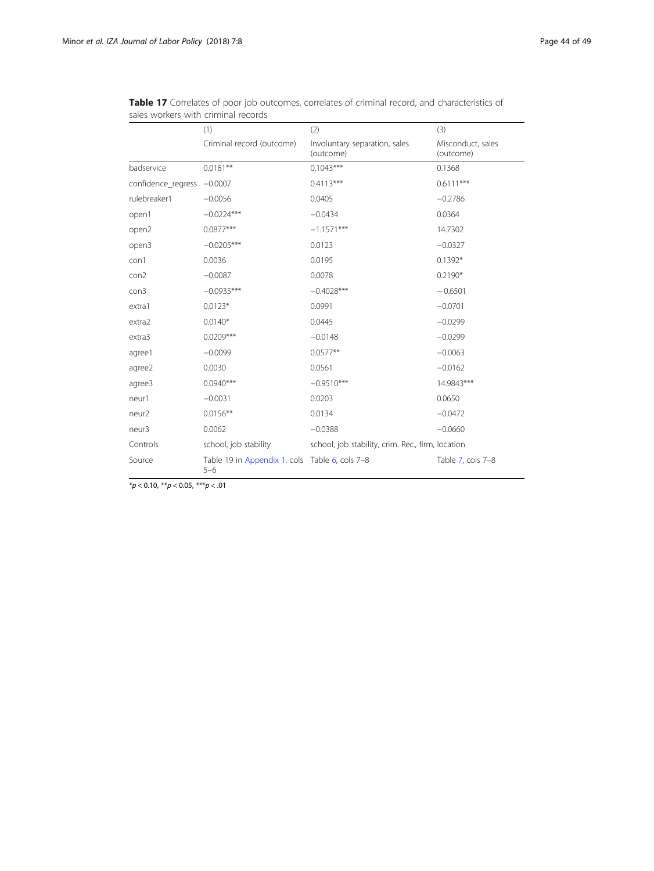| <b>DAILS WOTKLIS WILLI CHITIIIRI ILLUIUS</b> |                                                           |                                                   |                                |
|----------------------------------------------|-----------------------------------------------------------|---------------------------------------------------|--------------------------------|
|                                              | (1)                                                       | (2)                                               | (3)                            |
|                                              | Criminal record (outcome)                                 | Involuntary separation, sales<br>(outcome)        | Misconduct, sales<br>(outcome) |
| badservice                                   | $0.0181**$                                                | $0.1043***$                                       | 0.1368                         |
| confidence_regress                           | $-0.0007$                                                 | $0.4113***$                                       | $0.6111***$                    |
| rulebreaker1                                 | $-0.0056$                                                 | 0.0405                                            | $-0.2786$                      |
| open1                                        | $-0.0224***$                                              | $-0.0434$                                         | 0.0364                         |
| open2                                        | $0.0877***$                                               | $-1.1571***$                                      | 14.7302                        |
| open3                                        | $-0.0205***$                                              | 0.0123                                            | $-0.0327$                      |
| con1                                         | 0.0036                                                    | 0.0195                                            | $0.1392*$                      |
| con2                                         | $-0.0087$                                                 | 0.0078                                            | $0.2190*$                      |
| con3                                         | $-0.0935***$                                              | $-0.4028***$                                      | $-0.6501$                      |
| extra1                                       | $0.0123*$                                                 | 0.0991                                            | $-0.0701$                      |
| extra2                                       | $0.0140*$                                                 | 0.0445                                            | $-0.0299$                      |
| extra3                                       | $0.0209***$                                               | $-0.0148$                                         | $-0.0299$                      |
| agree1                                       | $-0.0099$                                                 | $0.0577**$                                        | $-0.0063$                      |
| agree2                                       | 0.0030                                                    | 0.0561                                            | $-0.0162$                      |
| agree3                                       | $0.0940***$                                               | $-0.9510***$                                      | 14.9843***                     |
| neur1                                        | $-0.0031$                                                 | 0.0203                                            | 0.0650                         |
| neur <sub>2</sub>                            | $0.0156**$                                                | 0.0134                                            | $-0.0472$                      |
| neur3                                        | 0.0062                                                    | $-0.0388$                                         | $-0.0660$                      |
| Controls                                     | school, job stability                                     | school, job stability, crim. Rec., firm, location |                                |
| Source                                       | Table 19 in Appendix 1, cols Table 6, cols 7-8<br>$5 - 6$ |                                                   | Table 7, cols 7-8              |

Table 17 Correlates of poor job outcomes, correlates of criminal record, and characteristics of sales workers with criminal records

 $\frac{1}{2} p < 0.10, \frac{1}{2} p < 0.05, \frac{1}{2} p < 0.01$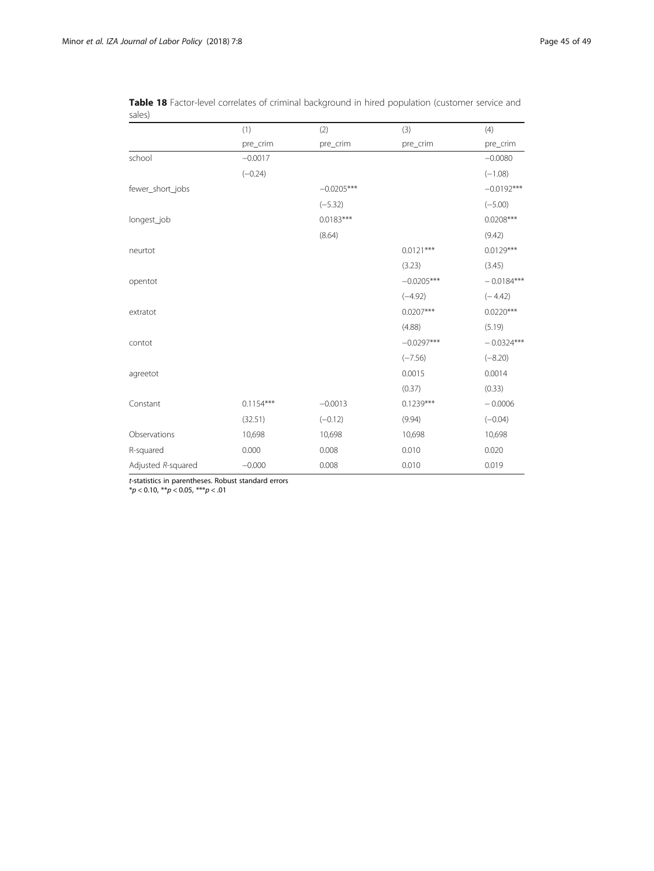|                    | (1)         | (2)          | (3)          | (4)          |
|--------------------|-------------|--------------|--------------|--------------|
|                    | pre_crim    | pre_crim     | pre_crim     | pre_crim     |
| school             | $-0.0017$   |              |              | $-0.0080$    |
|                    | $(-0.24)$   |              |              | $(-1.08)$    |
| fewer_short_jobs   |             | $-0.0205***$ |              | $-0.0192***$ |
|                    |             | $(-5.32)$    |              | $(-5.00)$    |
| longest_job        |             | $0.0183***$  |              | $0.0208***$  |
|                    |             | (8.64)       |              | (9.42)       |
| neurtot            |             |              | $0.0121***$  | $0.0129***$  |
|                    |             |              | (3.23)       | (3.45)       |
| opentot            |             |              | $-0.0205***$ | $-0.0184***$ |
|                    |             |              | $(-4.92)$    | $(-4.42)$    |
| extratot           |             |              | $0.0207***$  | $0.0220***$  |
|                    |             |              | (4.88)       | (5.19)       |
| contot             |             |              | $-0.0297***$ | $-0.0324***$ |
|                    |             |              | $(-7.56)$    | $(-8.20)$    |
| agreetot           |             |              | 0.0015       | 0.0014       |
|                    |             |              | (0.37)       | (0.33)       |
| Constant           | $0.1154***$ | $-0.0013$    | $0.1239***$  | $-0.0006$    |
|                    | (32.51)     | $(-0.12)$    | (9.94)       | $(-0.04)$    |
| Observations       | 10,698      | 10,698       | 10,698       | 10,698       |
| R-squared          | 0.000       | 0.008        | 0.010        | 0.020        |
| Adjusted R-squared | $-0.000$    | 0.008        | 0.010        | 0.019        |

|        | Table 18 Factor-level correlates of criminal background in hired population (customer service and |  |  |  |  |
|--------|---------------------------------------------------------------------------------------------------|--|--|--|--|
| sales) |                                                                                                   |  |  |  |  |

t-statistics in parentheses. Robust standard errors

 $**p* < 0.10, ***p* < 0.05, ****p* < 0.01$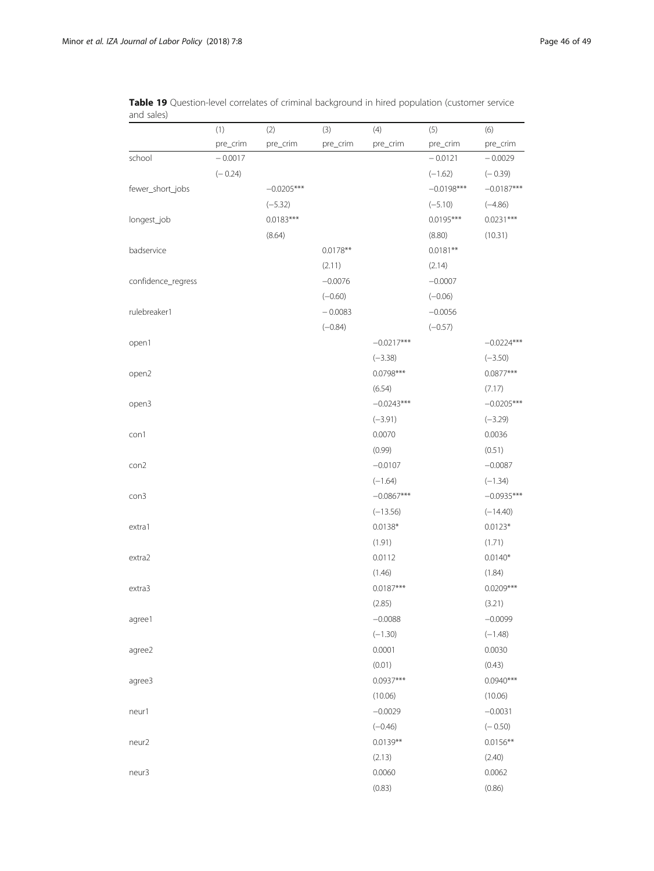|                    | (1)       | (2)          | (3)        | (4)          | (5)          | (6)          |
|--------------------|-----------|--------------|------------|--------------|--------------|--------------|
|                    | pre_crim  | pre_crim     | pre_crim   | pre_crim     | pre_crim     | pre_crim     |
| school             | $-0.0017$ |              |            |              | $-0.0121$    | $-0.0029$    |
|                    | $(-0.24)$ |              |            |              | $(-1.62)$    | $(-0.39)$    |
| fewer_short_jobs   |           | $-0.0205***$ |            |              | $-0.0198***$ | $-0.0187***$ |
|                    |           | $(-5.32)$    |            |              | $(-5.10)$    | $(-4.86)$    |
| longest_job        |           | $0.0183***$  |            |              | $0.0195***$  | $0.0231***$  |
|                    |           | (8.64)       |            |              | (8.80)       | (10.31)      |
| badservice         |           |              | $0.0178**$ |              | $0.0181***$  |              |
|                    |           |              | (2.11)     |              | (2.14)       |              |
| confidence_regress |           |              | $-0.0076$  |              | $-0.0007$    |              |
|                    |           |              | $(-0.60)$  |              | $(-0.06)$    |              |
| rulebreaker1       |           |              | $-0.0083$  |              | $-0.0056$    |              |
|                    |           |              | $(-0.84)$  |              | $(-0.57)$    |              |
| open1              |           |              |            | $-0.0217***$ |              | $-0.0224***$ |
|                    |           |              |            | $(-3.38)$    |              | $(-3.50)$    |
| open2              |           |              |            | $0.0798***$  |              | $0.0877***$  |
|                    |           |              |            | (6.54)       |              | (7.17)       |
| open3              |           |              |            | $-0.0243***$ |              | $-0.0205***$ |
|                    |           |              |            | $(-3.91)$    |              | $(-3.29)$    |
| con1               |           |              |            | 0.0070       |              | 0.0036       |
|                    |           |              |            | (0.99)       |              | (0.51)       |
| con2               |           |              |            | $-0.0107$    |              | $-0.0087$    |
|                    |           |              |            | $(-1.64)$    |              | $(-1.34)$    |
| con3               |           |              |            | $-0.0867***$ |              | $-0.0935***$ |
|                    |           |              |            | $(-13.56)$   |              | $(-14.40)$   |
| extra1             |           |              |            | $0.0138*$    |              | $0.0123*$    |
|                    |           |              |            | (1.91)       |              | (1.71)       |
| extra2             |           |              |            | 0.0112       |              | $0.0140*$    |
|                    |           |              |            | (1.46)       |              | (1.84)       |
| extra3             |           |              |            | $0.0187***$  |              | $0.0209***$  |
|                    |           |              |            | (2.85)       |              | (3.21)       |
| agree1             |           |              |            | $-0.0088$    |              | $-0.0099$    |
|                    |           |              |            | $(-1.30)$    |              | $(-1.48)$    |
| agree2             |           |              |            | 0.0001       |              | 0.0030       |
|                    |           |              |            | (0.01)       |              | (0.43)       |
| agree3             |           |              |            | $0.0937***$  |              | $0.0940***$  |
|                    |           |              |            | (10.06)      |              | (10.06)      |
| neur1              |           |              |            | $-0.0029$    |              | $-0.0031$    |
|                    |           |              |            | $(-0.46)$    |              | $(-0.50)$    |
| neur <sub>2</sub>  |           |              |            | $0.0139**$   |              | $0.0156***$  |
|                    |           |              |            | (2.13)       |              | (2.40)       |
| neur <sub>3</sub>  |           |              |            | 0.0060       |              | 0.0062       |
|                    |           |              |            | (0.83)       |              | (0.86)       |

Table 19 Question-level correlates of criminal background in hired population (customer service and sales)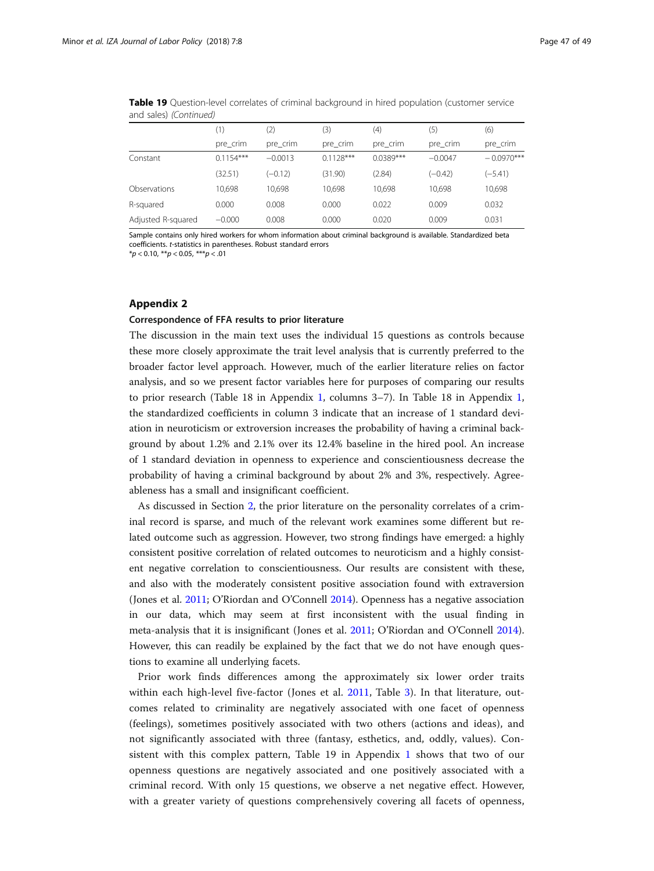|                    | $\scriptstyle{(1)}$ | (2)       | (3)         | (4)         | (5)       | (6)          |
|--------------------|---------------------|-----------|-------------|-------------|-----------|--------------|
|                    | pre crim            | pre_crim  | pre crim    | pre_crim    | pre_crim  | pre_crim     |
| Constant           | $0.1154***$         | $-0.0013$ | $0.1128***$ | $0.0389***$ | $-0.0047$ | $-0.0970***$ |
|                    | (32.51)             | $(-0.12)$ | (31.90)     | (2.84)      | $(-0.42)$ | $(-5.41)$    |
| Observations       | 10.698              | 10.698    | 10.698      | 10.698      | 10.698    | 10,698       |
| R-squared          | 0.000               | 0.008     | 0.000       | 0.022       | 0.009     | 0.032        |
| Adjusted R-squared | $-0.000$            | 0.008     | 0.000       | 0.020       | 0.009     | 0.031        |

<span id="page-46-0"></span>Table 19 Question-level correlates of criminal background in hired population (customer service and sales) (Continued)

Sample contains only hired workers for whom information about criminal background is available. Standardized beta coefficients. t-statistics in parentheses. Robust standard errors

 $*p < 0.10, **p < 0.05, **p < .01$ 

# Appendix 2

# Correspondence of FFA results to prior literature

The discussion in the main text uses the individual 15 questions as controls because these more closely approximate the trait level analysis that is currently preferred to the broader factor level approach. However, much of the earlier literature relies on factor analysis, and so we present factor variables here for purposes of comparing our results to prior research (Table 18 in Appendix [1](#page-38-0), columns 3–7). In Table 18 in Appendix [1](#page-38-0), the standardized coefficients in column 3 indicate that an increase of 1 standard deviation in neuroticism or extroversion increases the probability of having a criminal background by about 1.2% and 2.1% over its 12.4% baseline in the hired pool. An increase of 1 standard deviation in openness to experience and conscientiousness decrease the probability of having a criminal background by about 2% and 3%, respectively. Agreeableness has a small and insignificant coefficient.

As discussed in Section [2,](#page-2-0) the prior literature on the personality correlates of a criminal record is sparse, and much of the relevant work examines some different but related outcome such as aggression. However, two strong findings have emerged: a highly consistent positive correlation of related outcomes to neuroticism and a highly consistent negative correlation to conscientiousness. Our results are consistent with these, and also with the moderately consistent positive association found with extraversion (Jones et al. [2011](#page-48-0); O'Riordan and O'Connell [2014\)](#page-48-0). Openness has a negative association in our data, which may seem at first inconsistent with the usual finding in meta-analysis that it is insignificant (Jones et al. [2011;](#page-48-0) O'Riordan and O'Connell [2014](#page-48-0)). However, this can readily be explained by the fact that we do not have enough questions to examine all underlying facets.

Prior work finds differences among the approximately six lower order traits within each high-level five-factor (Jones et al. [2011,](#page-48-0) Table [3\)](#page-8-0). In that literature, outcomes related to criminality are negatively associated with one facet of openness (feelings), sometimes positively associated with two others (actions and ideas), and not significantly associated with three (fantasy, esthetics, and, oddly, values). Consistent with this complex pattern, Table 19 in Appendix [1](#page-38-0) shows that two of our openness questions are negatively associated and one positively associated with a criminal record. With only 15 questions, we observe a net negative effect. However, with a greater variety of questions comprehensively covering all facets of openness,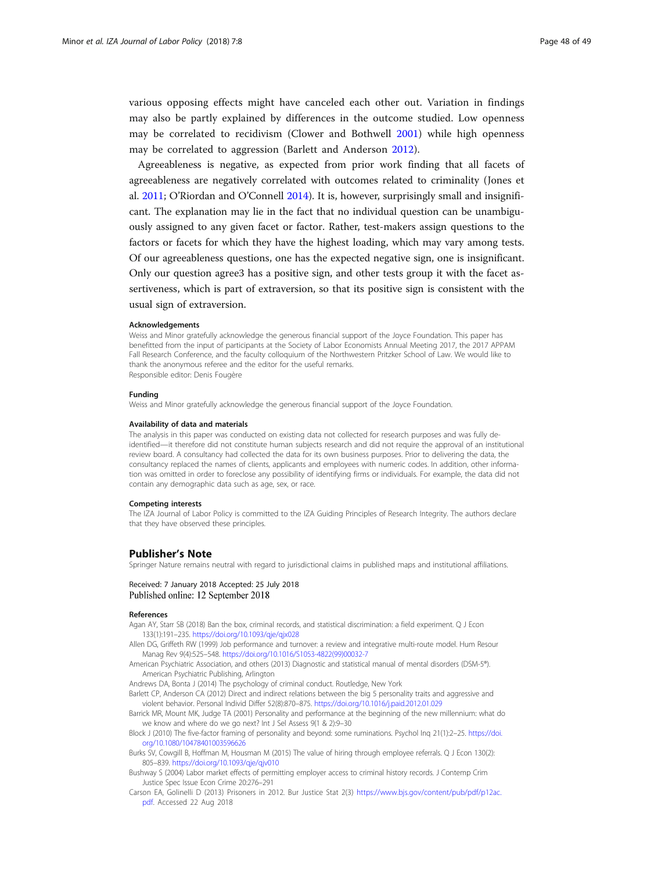<span id="page-47-0"></span>various opposing effects might have canceled each other out. Variation in findings may also be partly explained by differences in the outcome studied. Low openness may be correlated to recidivism (Clower and Bothwell [2001](#page-48-0)) while high openness may be correlated to aggression (Barlett and Anderson 2012).

Agreeableness is negative, as expected from prior work finding that all facets of agreeableness are negatively correlated with outcomes related to criminality (Jones et al. [2011](#page-48-0); O'Riordan and O'Connell [2014](#page-48-0)). It is, however, surprisingly small and insignificant. The explanation may lie in the fact that no individual question can be unambiguously assigned to any given facet or factor. Rather, test-makers assign questions to the factors or facets for which they have the highest loading, which may vary among tests. Of our agreeableness questions, one has the expected negative sign, one is insignificant. Only our question agree3 has a positive sign, and other tests group it with the facet assertiveness, which is part of extraversion, so that its positive sign is consistent with the usual sign of extraversion.

## Acknowledgements

Weiss and Minor gratefully acknowledge the generous financial support of the Joyce Foundation. This paper has benefitted from the input of participants at the Society of Labor Economists Annual Meeting 2017, the 2017 APPAM Fall Research Conference, and the faculty colloquium of the Northwestern Pritzker School of Law. We would like to thank the anonymous referee and the editor for the useful remarks. Responsible editor: Denis Fougère

#### Funding

Weiss and Minor gratefully acknowledge the generous financial support of the Joyce Foundation.

#### Availability of data and materials

The analysis in this paper was conducted on existing data not collected for research purposes and was fully deidentified—it therefore did not constitute human subjects research and did not require the approval of an institutional review board. A consultancy had collected the data for its own business purposes. Prior to delivering the data, the consultancy replaced the names of clients, applicants and employees with numeric codes. In addition, other information was omitted in order to foreclose any possibility of identifying firms or individuals. For example, the data did not contain any demographic data such as age, sex, or race.

### Competing interests

The IZA Journal of Labor Policy is committed to the IZA Guiding Principles of Research Integrity. The authors declare that they have observed these principles.

## Publisher's Note

Springer Nature remains neutral with regard to jurisdictional claims in published maps and institutional affiliations.

## Received: 7 January 2018 Accepted: 25 July 2018 Published online: 12 September 2018

### References

- Agan AY, Starr SB (2018) Ban the box, criminal records, and statistical discrimination: a field experiment. Q J Econ 133(1):191–235. <https://doi.org/10.1093/qje/qjx028>
- Allen DG, Griffeth RW (1999) Job performance and turnover: a review and integrative multi-route model. Hum Resour Manag Rev 9(4):525–548. [https://doi.org/10.1016/S1053-4822\(99\)00032-7](https://doi.org/10.1016/S1053-4822(99)00032-7)
- American Psychiatric Association, and others (2013) Diagnostic and statistical manual of mental disorders (DSM-5®). American Psychiatric Publishing, Arlington

Andrews DA, Bonta J (2014) The psychology of criminal conduct. Routledge, New York

- Barlett CP, Anderson CA (2012) Direct and indirect relations between the big 5 personality traits and aggressive and violent behavior. Personal Individ Differ 52(8):870–875. <https://doi.org/10.1016/j.paid.2012.01.029>
- Barrick MR, Mount MK, Judge TA (2001) Personality and performance at the beginning of the new millennium: what do we know and where do we go next? Int J Sel Assess 9(1 & 2):9–30
- Block J (2010) The five-factor framing of personality and beyond: some ruminations. Psychol Inq 21(1):2–25. [https://doi.](https://doi.org/10.1080/10478401003596626) [org/10.1080/10478401003596626](https://doi.org/10.1080/10478401003596626)
- Burks SV, Cowgill B, Hoffman M, Housman M (2015) The value of hiring through employee referrals. Q J Econ 130(2): 805–839. <https://doi.org/10.1093/qje/qjv010>
- Bushway S (2004) Labor market effects of permitting employer access to criminal history records. J Contemp Crim Justice Spec Issue Econ Crime 20:276–291
- Carson EA, Golinelli D (2013) Prisoners in 2012. Bur Justice Stat 2(3) [https://www.bjs.gov/content/pub/pdf/p12ac.](https://www.bjs.gov/content/pub/pdf/p12ac.pdf) [pdf](https://www.bjs.gov/content/pub/pdf/p12ac.pdf). Accessed 22 Aug 2018